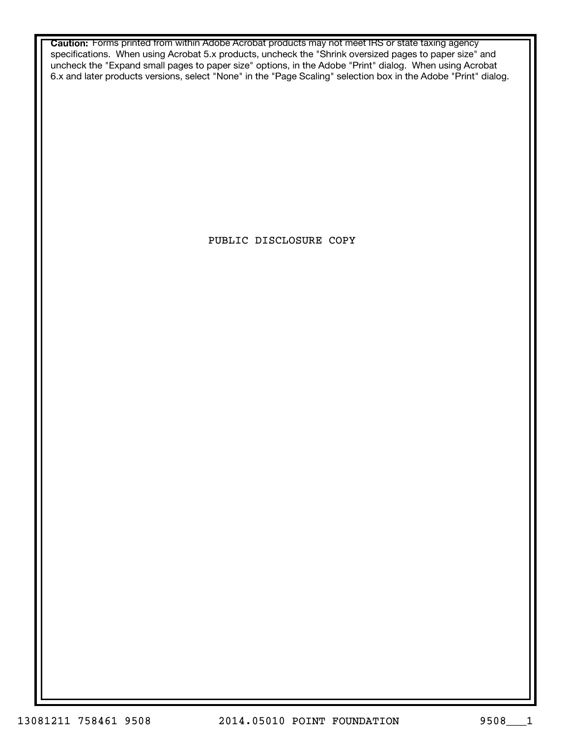**Caution:** Forms printed from within Adobe Acrobat products may not meet IRS or state taxing agency specifications. When using Acrobat 5.x products, uncheck the "Shrink oversized pages to paper size" and uncheck the "Expand small pages to paper size" options, in the Adobe "Print" dialog. When using Acrobat 6.x and later products versions, select "None" in the "Page Scaling" selection box in the Adobe "Print" dialog.

PUBLIC DISCLOSURE COPY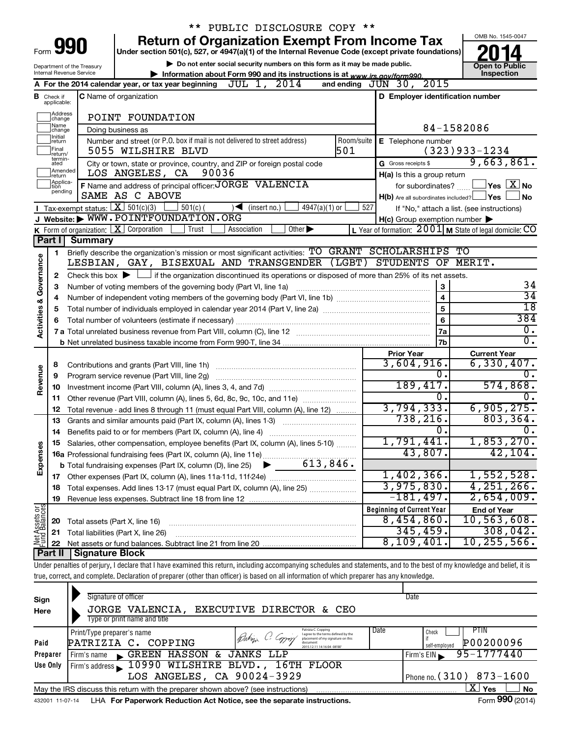|                                    |                                  |                                        | PUBLIC DISCLOSURE COPY **                                                                                                                                                  |                                                                       |                |                                                           |
|------------------------------------|----------------------------------|----------------------------------------|----------------------------------------------------------------------------------------------------------------------------------------------------------------------------|-----------------------------------------------------------------------|----------------|-----------------------------------------------------------|
|                                    |                                  |                                        | <b>Return of Organization Exempt From Income Tax</b>                                                                                                                       |                                                                       |                | OMB No. 1545-0047                                         |
| Form                               |                                  | 990                                    | Under section 501(c), 527, or 4947(a)(1) of the Internal Revenue Code (except private foundations)                                                                         |                                                                       |                |                                                           |
|                                    |                                  | Department of the Treasury             | Do not enter social security numbers on this form as it may be made public.                                                                                                |                                                                       |                | <b>Open to Public</b>                                     |
|                                    |                                  | Internal Revenue Service               | Information about Form 990 and its instructions is at www.irs.gov/form990.                                                                                                 |                                                                       |                | Inspection                                                |
|                                    |                                  |                                        | JUL 1, 2014<br>A For the 2014 calendar year, or tax year beginning                                                                                                         | and ending $J\bar{U}N$ 30, $2015$                                     |                |                                                           |
|                                    | <b>B</b> Check if<br>applicable: |                                        | C Name of organization                                                                                                                                                     | D Employer identification number                                      |                |                                                           |
|                                    | Address<br>change                |                                        | POINT FOUNDATION                                                                                                                                                           |                                                                       |                |                                                           |
|                                    | Name<br>change                   |                                        | Doing business as                                                                                                                                                          |                                                                       |                | 84-1582086                                                |
|                                    | Initial<br>return                |                                        | Number and street (or P.O. box if mail is not delivered to street address)<br>Room/suite                                                                                   | E Telephone number                                                    |                |                                                           |
|                                    | Final<br>return/<br>termin-      |                                        | 501<br>5055 WILSHIRE BLVD                                                                                                                                                  |                                                                       |                | $(323)933 - 1234$                                         |
|                                    | ated<br>Amended                  |                                        | City or town, state or province, country, and ZIP or foreign postal code                                                                                                   | G Gross receipts \$                                                   |                | 9,663,861.                                                |
|                                    | return<br>Applica-               |                                        | LOS ANGELES, CA 90036<br>F Name and address of principal officer: JORGE VALENCIA                                                                                           | H(a) Is this a group return                                           |                | $\Box$ Yes $\Box X$ No                                    |
|                                    | tion<br>pending                  |                                        | SAME AS C ABOVE                                                                                                                                                            | for subordinates?<br>$H(b)$ Are all subordinates included? $\Box$ Yes |                | No                                                        |
|                                    |                                  | Tax-exempt status: $X \over 301(c)(3)$ | $501(c)$ (<br>$4947(a)(1)$ or<br>(inset no.)<br>$\rightarrow$                                                                                                              | 527                                                                   |                | If "No," attach a list. (see instructions)                |
|                                    |                                  |                                        | J Website: WWW.POINTFOUNDATION.ORG                                                                                                                                         | $H(c)$ Group exemption number $\blacktriangleright$                   |                |                                                           |
|                                    |                                  |                                        | K Form of organization: X Corporation<br>Other $\blacktriangleright$<br>Trust<br>Association                                                                               |                                                                       |                | L Year of formation: $2001$ M State of legal domicile: CO |
|                                    | Part II                          | <b>Summary</b>                         |                                                                                                                                                                            |                                                                       |                |                                                           |
|                                    | 1                                |                                        | Briefly describe the organization's mission or most significant activities: TO GRANT SCHOLARSHIPS TO                                                                       |                                                                       |                |                                                           |
|                                    |                                  |                                        | LESBIAN, GAY, BISEXUAL AND TRANSGENDER (LGBT) STUDENTS OF MERIT.                                                                                                           |                                                                       |                |                                                           |
| <b>Activities &amp; Governance</b> | 2                                |                                        | Check this box $\blacktriangleright$ $\Box$ if the organization discontinued its operations or disposed of more than 25% of its net assets.                                |                                                                       |                |                                                           |
|                                    | з                                |                                        | Number of voting members of the governing body (Part VI, line 1a)                                                                                                          |                                                                       | 3              | 34                                                        |
|                                    | 4                                |                                        |                                                                                                                                                                            |                                                                       | $\overline{4}$ | $\overline{34}$                                           |
|                                    | 5                                |                                        |                                                                                                                                                                            |                                                                       | 5              | $\overline{18}$                                           |
|                                    | 6                                |                                        |                                                                                                                                                                            |                                                                       | 6              | 384                                                       |
|                                    |                                  |                                        |                                                                                                                                                                            |                                                                       | 7a             | 0.                                                        |
|                                    |                                  |                                        |                                                                                                                                                                            |                                                                       | 7b             | $\overline{0}$ .                                          |
|                                    |                                  |                                        |                                                                                                                                                                            | <b>Prior Year</b><br>3,604,916.                                       |                | <b>Current Year</b><br>$6,330,407$ .                      |
|                                    | 8                                |                                        |                                                                                                                                                                            |                                                                       | 0.             | 0.                                                        |
| Revenue                            | 9                                |                                        | Program service revenue (Part VIII, line 2g)                                                                                                                               | 189,417.                                                              |                | 574,868.                                                  |
|                                    | 10<br>11                         |                                        | Other revenue (Part VIII, column (A), lines 5, 6d, 8c, 9c, 10c, and 11e)                                                                                                   |                                                                       | O.             |                                                           |
|                                    | 12                               |                                        | Total revenue - add lines 8 through 11 (must equal Part VIII, column (A), line 12)                                                                                         | 3,794,333.                                                            |                | 6,905,275.                                                |
|                                    | 13                               |                                        | Grants and similar amounts paid (Part IX, column (A), lines 1-3)                                                                                                           | 738, 216.                                                             |                | 803, 364.                                                 |
|                                    | 14                               |                                        | Benefits paid to or for members (Part IX, column (A), line 4)                                                                                                              |                                                                       | 0              | Ο.                                                        |
|                                    | 15                               |                                        | Salaries, other compensation, employee benefits (Part IX, column (A), lines 5-10)                                                                                          | 1,791,441.                                                            |                | 1,853,270.                                                |
|                                    |                                  |                                        |                                                                                                                                                                            | 43,807.                                                               |                | 42,104.                                                   |
| Expenses                           |                                  |                                        |                                                                                                                                                                            |                                                                       |                |                                                           |
|                                    | 17                               |                                        |                                                                                                                                                                            | 1,402,366.                                                            |                | 1,552,528.                                                |
|                                    | 18                               |                                        | Total expenses. Add lines 13-17 (must equal Part IX, column (A), line 25)                                                                                                  | 3,975,830.                                                            |                | 4, 251, 266.                                              |
|                                    | 19                               |                                        |                                                                                                                                                                            | $-181,497$ .                                                          |                | 2,654,009.                                                |
|                                    |                                  |                                        |                                                                                                                                                                            | <b>Beginning of Current Year</b>                                      |                | <b>End of Year</b>                                        |
|                                    | 20                               | Total assets (Part X, line 16)         |                                                                                                                                                                            | $8,454,860$ .                                                         |                | 10, 563, 608.                                             |
| Net Assets or<br>Fund Balances     | 21                               |                                        | Total liabilities (Part X, line 26)                                                                                                                                        | 345, 459.                                                             |                | 308,042.                                                  |
|                                    | 22                               |                                        |                                                                                                                                                                            | 8,109,401                                                             |                | 10, 255, 566.                                             |
|                                    | Part II                          | Signature Block                        | Under penalties of perjury, I declare that I have examined this return, including accompanying schedules and statements, and to the best of my knowledge and belief, it is |                                                                       |                |                                                           |
|                                    |                                  |                                        | true, correct, and complete. Declaration of preparer (other than officer) is based on all information of which preparer has any knowledge.                                 |                                                                       |                |                                                           |
|                                    |                                  |                                        |                                                                                                                                                                            |                                                                       |                |                                                           |

| Sign<br>Here     | Signature of officer<br>JORGE VALENCIA, EXECUTIVE DIRECTOR & CEO<br>Type or print name and title                                                                                                                                                                                                                   | Date                                                                    |
|------------------|--------------------------------------------------------------------------------------------------------------------------------------------------------------------------------------------------------------------------------------------------------------------------------------------------------------------|-------------------------------------------------------------------------|
| Paid<br>Preparer | Date<br>Patrizia C. Copping<br>Print/Type preparer's name<br>Bahiji C. Copyrin<br>I agree to the terms defined by the<br>placement of my signature on this<br>PATRIZIA C. COPPING<br>document<br>2015.12.11 14:16:04 -08'00'<br>Firm's name GREEN HASSON & JANKS LLP                                               | PTIN<br>Check<br>P00200096<br>self-emploved<br>95-1777440<br>Firm's EIN |
| Use Only         | Firm's address 10990 WILSHIRE BLVD., 16TH FLOOR<br>LOS ANGELES, CA 90024-3929                                                                                                                                                                                                                                      | Phone no. $(310)$ 873-1600                                              |
|                  | May the IRS discuss this return with the preparer shown above? (see instructions)<br>. The state of the state of the state of the state of the state of the state of the state of the state of the state of the state of the state of the state of the state of the state of the state of the state of the state o | ΧI<br>∣ No<br>Yes<br>$\mathbf{r} = \mathbf{0} \mathbf{0} \mathbf{0}$    |

432001 11-07-14 **For Paperwork Reduction Act Notice, see the separate instructions.** LHA Form (2014)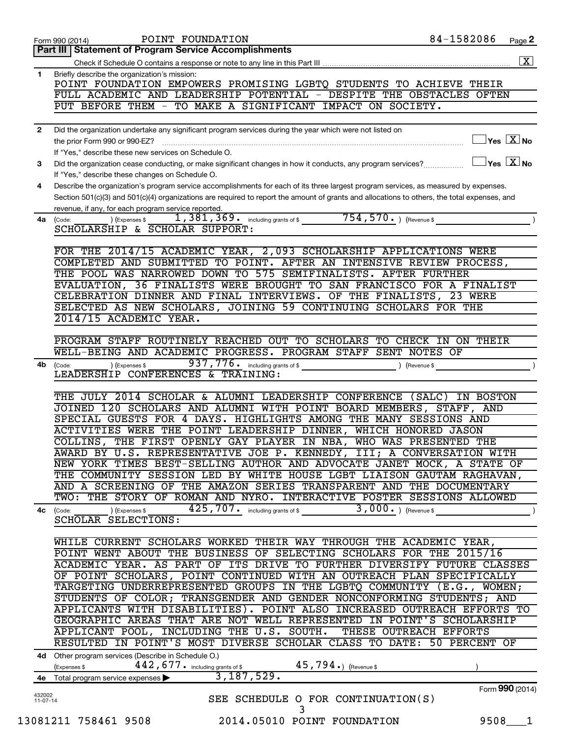|              | 84-1582086<br>POINT FOUNDATION<br>Page 2<br>Form 990 (2014)                                                                                             |
|--------------|---------------------------------------------------------------------------------------------------------------------------------------------------------|
|              | Part III   Statement of Program Service Accomplishments                                                                                                 |
|              | $\boxed{\text{X}}$                                                                                                                                      |
| 1            | Briefly describe the organization's mission:                                                                                                            |
|              | POINT FOUNDATION EMPOWERS PROMISING LGBTQ STUDENTS TO ACHIEVE THEIR                                                                                     |
|              | FULL ACADEMIC AND LEADERSHIP POTENTIAL - DESPITE THE OBSTACLES OFTEN                                                                                    |
|              | PUT BEFORE THEM - TO MAKE A SIGNIFICANT IMPACT ON SOCIETY.                                                                                              |
|              |                                                                                                                                                         |
| $\mathbf{2}$ | Did the organization undertake any significant program services during the year which were not listed on                                                |
|              | $\Box$ Yes $[\overline{\mathrm{X}}]$ No<br>the prior Form 990 or 990-EZ?                                                                                |
|              | If "Yes," describe these new services on Schedule O.                                                                                                    |
| 3            | $\Box$ Yes $[\overline{\mathrm{X}}]$ No<br>Did the organization cease conducting, or make significant changes in how it conducts, any program services? |
|              | If "Yes," describe these changes on Schedule O.                                                                                                         |
| 4            | Describe the organization's program service accomplishments for each of its three largest program services, as measured by expenses.                    |
|              | Section 501(c)(3) and 501(c)(4) organizations are required to report the amount of grants and allocations to others, the total expenses, and            |
|              | revenue, if any, for each program service reported.                                                                                                     |
| 4a           | 1, 381, 369. including grants of \$ 754, 570. THE Revenue \$<br>) (Expenses \$<br>(Code:                                                                |
|              | SCHOLARSHIP & SCHOLAR SUPPORT:                                                                                                                          |
|              |                                                                                                                                                         |
|              | FOR THE 2014/15 ACADEMIC YEAR, 2,093 SCHOLARSHIP APPLICATIONS WERE                                                                                      |
|              | COMPLETED AND SUBMITTED TO POINT. AFTER AN INTENSIVE REVIEW PROCESS,                                                                                    |
|              | THE POOL WAS NARROWED DOWN TO 575 SEMIFINALISTS. AFTER FURTHER                                                                                          |
|              | EVALUATION, 36 FINALISTS WERE BROUGHT TO SAN FRANCISCO FOR A FINALIST                                                                                   |
|              | CELEBRATION DINNER AND FINAL INTERVIEWS. OF THE FINALISTS, 23 WERE                                                                                      |
|              | SELECTED AS NEW SCHOLARS, JOINING 59 CONTINUING SCHOLARS FOR THE                                                                                        |
|              | 2014/15 ACADEMIC YEAR.                                                                                                                                  |
|              |                                                                                                                                                         |
|              | PROGRAM STAFF ROUTINELY REACHED OUT TO SCHOLARS TO CHECK IN ON THEIR                                                                                    |
|              | WELL-BEING AND ACADEMIC PROGRESS. PROGRAM STAFF SENT NOTES OF                                                                                           |
|              | $\overline{\phantom{a}}$                                                                                                                                |
| 4b           | ) (Expenses \$<br>(Code:<br>LEADERSHIP CONFERENCES & TRAINING:                                                                                          |
|              |                                                                                                                                                         |
|              |                                                                                                                                                         |
|              | THE JULY 2014 SCHOLAR & ALUMNI LEADERSHIP CONFERENCE (SALC) IN BOSTON                                                                                   |
|              | JOINED 120 SCHOLARS AND ALUMNI WITH POINT BOARD MEMBERS, STAFF, AND                                                                                     |
|              | SPECIAL GUESTS FOR 4 DAYS. HIGHLIGHTS AMONG THE MANY SESSIONS AND                                                                                       |
|              | ACTIVITIES WERE THE POINT LEADERSHIP DINNER, WHICH HONORED JASON                                                                                        |
|              | COLLINS, THE FIRST OPENLY GAY PLAYER IN NBA, WHO WAS PRESENTED THE                                                                                      |
|              | AWARD BY U.S. REPRESENTATIVE JOE P. KENNEDY, III; A CONVERSATION WITH                                                                                   |
|              | NEW YORK TIMES BEST-SELLING AUTHOR AND ADVOCATE JANET MOCK, A STATE OF                                                                                  |
|              | THE COMMUNITY SESSION LED BY WHITE HOUSE LGBT LIAISON GAUTAM RAGHAVAN,                                                                                  |
|              | AND A SCREENING OF THE AMAZON SERIES TRANSPARENT AND THE DOCUMENTARY                                                                                    |
|              | TWO: THE STORY OF ROMAN AND NYRO. INTERACTIVE POSTER SESSIONS ALLOWED                                                                                   |
|              | 425, 707. including grants of \$<br>$\overline{3}$ , 000. ) (Revenue \$<br>) (Expenses \$<br>4c (Code:                                                  |
|              | SCHOLAR SELECTIONS:                                                                                                                                     |
|              |                                                                                                                                                         |
|              | WHILE CURRENT SCHOLARS WORKED THEIR WAY THROUGH THE ACADEMIC YEAR,                                                                                      |
|              | POINT WENT ABOUT THE BUSINESS OF SELECTING SCHOLARS FOR THE 2015/16                                                                                     |
|              | ACADEMIC YEAR. AS PART OF ITS DRIVE TO FURTHER DIVERSIFY FUTURE CLASSES                                                                                 |
|              | OF POINT SCHOLARS, POINT CONTINUED WITH AN OUTREACH PLAN SPECIFICALLY                                                                                   |
|              | TARGETING UNDERREPRESENTED GROUPS IN THE LGBTQ COMMUNITY (E.G., WOMEN;                                                                                  |
|              | STUDENTS OF COLOR; TRANSGENDER AND GENDER NONCONFORMING STUDENTS; AND                                                                                   |
|              | APPLICANTS WITH DISABILITIES). POINT ALSO INCREASED OUTREACH EFFORTS TO                                                                                 |
|              | GEOGRAPHIC AREAS THAT ARE NOT WELL REPRESENTED IN POINT'S SCHOLARSHIP                                                                                   |
|              | APPLICANT POOL, INCLUDING THE U.S. SOUTH. THESE OUTREACH EFFORTS                                                                                        |
|              | RESULTED IN POINT'S MOST DIVERSE SCHOLAR CLASS TO DATE: 50 PERCENT OF                                                                                   |
|              | 4d Other program services (Describe in Schedule O.)                                                                                                     |
|              | $45$ , $794$ $\scriptstyle\bullet$ ) (Revenue \$<br>442, 677. including grants of \$                                                                    |
|              | (Expenses \$<br>3,187,529.                                                                                                                              |
|              | 4e Total program service expenses<br>Form 990 (2014)                                                                                                    |
| 432002       | SEE SCHEDULE O FOR CONTINUATION(S)                                                                                                                      |
| $11-07-14$   | 3                                                                                                                                                       |
|              | 13081211 758461 9508<br>2014.05010 POINT FOUNDATION<br>9508 1                                                                                           |
|              |                                                                                                                                                         |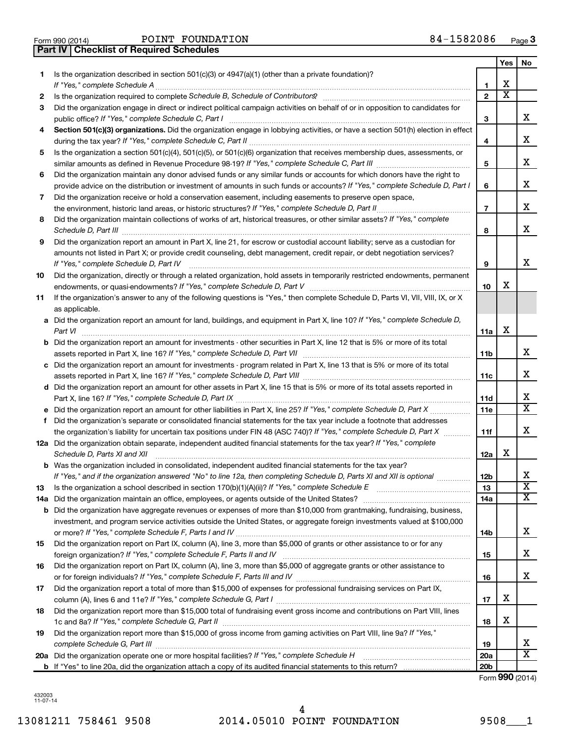| Form 990 (2014) |  |  |
|-----------------|--|--|

**Part IV Checklist of Required Schedules**

|     |                                                                                                                                      |                 | Yes                     | No                      |
|-----|--------------------------------------------------------------------------------------------------------------------------------------|-----------------|-------------------------|-------------------------|
| 1   | Is the organization described in section 501(c)(3) or 4947(a)(1) (other than a private foundation)?                                  |                 |                         |                         |
|     |                                                                                                                                      | 1               | X                       |                         |
| 2   |                                                                                                                                      | $\mathbf{2}$    | $\overline{\mathbf{X}}$ |                         |
| З   | Did the organization engage in direct or indirect political campaign activities on behalf of or in opposition to candidates for      |                 |                         |                         |
|     |                                                                                                                                      | 3               |                         | x                       |
| 4   | Section 501(c)(3) organizations. Did the organization engage in lobbying activities, or have a section 501(h) election in effect     |                 |                         |                         |
|     |                                                                                                                                      | 4               |                         | X                       |
| 5   | Is the organization a section 501(c)(4), 501(c)(5), or 501(c)(6) organization that receives membership dues, assessments, or         |                 |                         |                         |
|     |                                                                                                                                      | 5               |                         | х                       |
| 6   | Did the organization maintain any donor advised funds or any similar funds or accounts for which donors have the right to            |                 |                         |                         |
|     | provide advice on the distribution or investment of amounts in such funds or accounts? If "Yes," complete Schedule D, Part I         | 6               |                         | х                       |
| 7   | Did the organization receive or hold a conservation easement, including easements to preserve open space,                            |                 |                         |                         |
|     |                                                                                                                                      | $\overline{7}$  |                         | х                       |
| 8   | Did the organization maintain collections of works of art, historical treasures, or other similar assets? If "Yes," complete         |                 |                         |                         |
|     |                                                                                                                                      | 8               |                         | х                       |
| 9   | Did the organization report an amount in Part X, line 21, for escrow or custodial account liability; serve as a custodian for        |                 |                         |                         |
|     | amounts not listed in Part X; or provide credit counseling, debt management, credit repair, or debt negotiation services?            |                 |                         |                         |
|     |                                                                                                                                      | 9               |                         | х                       |
| 10  | Did the organization, directly or through a related organization, hold assets in temporarily restricted endowments, permanent        |                 |                         |                         |
|     |                                                                                                                                      | 10              | X                       |                         |
| 11  | If the organization's answer to any of the following questions is "Yes," then complete Schedule D, Parts VI, VII, VIII, IX, or X     |                 |                         |                         |
|     | as applicable.                                                                                                                       |                 |                         |                         |
|     | a Did the organization report an amount for land, buildings, and equipment in Part X, line 10? If "Yes," complete Schedule D,        |                 |                         |                         |
|     |                                                                                                                                      | 11a             | X                       |                         |
|     | <b>b</b> Did the organization report an amount for investments - other securities in Part X, line 12 that is 5% or more of its total |                 |                         |                         |
|     |                                                                                                                                      | 11 <sub>b</sub> |                         | х                       |
|     | c Did the organization report an amount for investments - program related in Part X, line 13 that is 5% or more of its total         |                 |                         |                         |
|     |                                                                                                                                      | 11c             |                         | х                       |
|     | d Did the organization report an amount for other assets in Part X, line 15 that is 5% or more of its total assets reported in       |                 |                         |                         |
|     |                                                                                                                                      | 11d             |                         | х                       |
|     |                                                                                                                                      | 11e             |                         | $\overline{\texttt{x}}$ |
|     | f Did the organization's separate or consolidated financial statements for the tax year include a footnote that addresses            |                 |                         |                         |
|     | the organization's liability for uncertain tax positions under FIN 48 (ASC 740)? If "Yes," complete Schedule D, Part X               | 11f             |                         | х                       |
|     | 12a Did the organization obtain separate, independent audited financial statements for the tax year? If "Yes," complete              |                 |                         |                         |
|     | Schedule D, Parts XI and XII                                                                                                         | 12a             | х                       |                         |
|     | <b>b</b> Was the organization included in consolidated, independent audited financial statements for the tax year?                   |                 |                         |                         |
|     | If "Yes," and if the organization answered "No" to line 12a, then completing Schedule D, Parts XI and XII is optional                | 12 <sub>b</sub> |                         | х                       |
| 13  |                                                                                                                                      | 13              |                         | $\overline{\mathbf{X}}$ |
| 14a |                                                                                                                                      | 14a             |                         | X                       |
|     | <b>b</b> Did the organization have aggregate revenues or expenses of more than \$10,000 from grantmaking, fundraising, business,     |                 |                         |                         |
|     | investment, and program service activities outside the United States, or aggregate foreign investments valued at \$100,000           |                 |                         |                         |
|     |                                                                                                                                      | 14b             |                         | х                       |
| 15  | Did the organization report on Part IX, column (A), line 3, more than \$5,000 of grants or other assistance to or for any            |                 |                         |                         |
|     |                                                                                                                                      | 15              |                         | х                       |
| 16  | Did the organization report on Part IX, column (A), line 3, more than \$5,000 of aggregate grants or other assistance to             |                 |                         |                         |
|     |                                                                                                                                      | 16              |                         | x                       |
| 17  | Did the organization report a total of more than \$15,000 of expenses for professional fundraising services on Part IX,              |                 |                         |                         |
|     |                                                                                                                                      | 17              | х                       |                         |
| 18  | Did the organization report more than \$15,000 total of fundraising event gross income and contributions on Part VIII, lines         |                 |                         |                         |
|     |                                                                                                                                      | 18              | х                       |                         |
| 19  | Did the organization report more than \$15,000 of gross income from gaming activities on Part VIII, line 9a? If "Yes,"               |                 |                         |                         |
|     |                                                                                                                                      | 19              |                         | х                       |
|     |                                                                                                                                      | 20a             |                         | $\overline{\texttt{x}}$ |
|     |                                                                                                                                      | 20 <sub>b</sub> |                         |                         |

Form (2014) **990**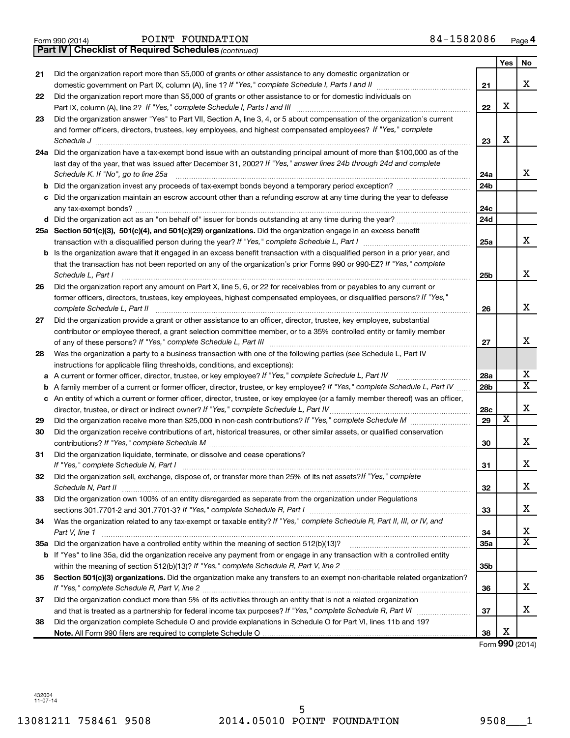|  | Form 990 (2014) |  |
|--|-----------------|--|

|    | <b>Part IV   Checklist of Required Schedules (continued)</b>                                                                      |                 |                       |                       |
|----|-----------------------------------------------------------------------------------------------------------------------------------|-----------------|-----------------------|-----------------------|
|    |                                                                                                                                   |                 | Yes                   | No                    |
| 21 | Did the organization report more than \$5,000 of grants or other assistance to any domestic organization or                       |                 |                       |                       |
|    |                                                                                                                                   | 21              |                       | х                     |
| 22 | Did the organization report more than \$5,000 of grants or other assistance to or for domestic individuals on                     |                 |                       |                       |
|    |                                                                                                                                   | 22              | х                     |                       |
| 23 | Did the organization answer "Yes" to Part VII, Section A, line 3, 4, or 5 about compensation of the organization's current        |                 |                       |                       |
|    | and former officers, directors, trustees, key employees, and highest compensated employees? If "Yes," complete                    |                 |                       |                       |
|    |                                                                                                                                   | 23              | х                     |                       |
|    | 24a Did the organization have a tax-exempt bond issue with an outstanding principal amount of more than \$100,000 as of the       |                 |                       |                       |
|    | last day of the year, that was issued after December 31, 2002? If "Yes," answer lines 24b through 24d and complete                |                 |                       |                       |
|    | Schedule K. If "No", go to line 25a                                                                                               | 24a             |                       | х                     |
|    |                                                                                                                                   | 24b             |                       |                       |
|    | Did the organization maintain an escrow account other than a refunding escrow at any time during the year to defease              |                 |                       |                       |
|    |                                                                                                                                   | 24c             |                       |                       |
|    |                                                                                                                                   | 24d             |                       |                       |
|    | 25a Section 501(c)(3), 501(c)(4), and 501(c)(29) organizations. Did the organization engage in an excess benefit                  |                 |                       |                       |
|    |                                                                                                                                   | 25a             |                       | х                     |
|    | Is the organization aware that it engaged in an excess benefit transaction with a disqualified person in a prior year, and        |                 |                       |                       |
|    | that the transaction has not been reported on any of the organization's prior Forms 990 or 990-EZ? If "Yes," complete             |                 |                       |                       |
|    | Schedule L. Part I                                                                                                                | 25b             |                       | x                     |
| 26 | Did the organization report any amount on Part X, line 5, 6, or 22 for receivables from or payables to any current or             |                 |                       |                       |
|    | former officers, directors, trustees, key employees, highest compensated employees, or disqualified persons? If "Yes,"            |                 |                       |                       |
|    | complete Schedule L, Part II                                                                                                      | 26              |                       | х                     |
| 27 | Did the organization provide a grant or other assistance to an officer, director, trustee, key employee, substantial              |                 |                       |                       |
|    | contributor or employee thereof, a grant selection committee member, or to a 35% controlled entity or family member               |                 |                       |                       |
|    |                                                                                                                                   | 27              |                       | x                     |
| 28 | Was the organization a party to a business transaction with one of the following parties (see Schedule L, Part IV                 |                 |                       |                       |
|    | instructions for applicable filing thresholds, conditions, and exceptions):                                                       |                 |                       |                       |
| а  | A current or former officer, director, trustee, or key employee? If "Yes," complete Schedule L, Part IV                           | 28a             |                       | x                     |
| b  | A family member of a current or former officer, director, trustee, or key employee? If "Yes," complete Schedule L, Part IV        | 28 <sub>b</sub> |                       | $\overline{\text{X}}$ |
|    | c An entity of which a current or former officer, director, trustee, or key employee (or a family member thereof) was an officer, |                 |                       |                       |
|    | director, trustee, or direct or indirect owner? If "Yes," complete Schedule L, Part IV                                            | 28c             |                       | х                     |
| 29 |                                                                                                                                   | 29              | $\overline{\text{X}}$ |                       |
| 30 | Did the organization receive contributions of art, historical treasures, or other similar assets, or qualified conservation       |                 |                       |                       |
|    |                                                                                                                                   | 30              |                       | х                     |
| 31 | Did the organization liquidate, terminate, or dissolve and cease operations?                                                      |                 |                       |                       |
|    | If "Yes," complete Schedule N, Part I                                                                                             | 31              |                       | ▵                     |
| 32 | Did the organization sell, exchange, dispose of, or transfer more than 25% of its net assets?/f "Yes," complete                   |                 |                       |                       |
|    | Schedule N, Part II                                                                                                               | 32              |                       | х                     |
| 33 | Did the organization own 100% of an entity disregarded as separate from the organization under Regulations                        |                 |                       |                       |
|    |                                                                                                                                   | 33              |                       | x                     |
| 34 | Was the organization related to any tax-exempt or taxable entity? If "Yes," complete Schedule R, Part II, III, or IV, and         |                 |                       |                       |
|    | Part V, line 1                                                                                                                    | 34              |                       | x                     |
|    |                                                                                                                                   | 35a             |                       | $\overline{\text{X}}$ |
|    | b If "Yes" to line 35a, did the organization receive any payment from or engage in any transaction with a controlled entity       |                 |                       |                       |
|    |                                                                                                                                   | 35b             |                       |                       |
| 36 | Section 501(c)(3) organizations. Did the organization make any transfers to an exempt non-charitable related organization?        |                 |                       |                       |
|    |                                                                                                                                   | 36              |                       | х                     |
| 37 | Did the organization conduct more than 5% of its activities through an entity that is not a related organization                  |                 |                       |                       |
|    |                                                                                                                                   | 37              |                       | х                     |
| 38 | Did the organization complete Schedule O and provide explanations in Schedule O for Part VI, lines 11b and 19?                    |                 |                       |                       |
|    |                                                                                                                                   | 38              | х                     |                       |

Form (2014) **990**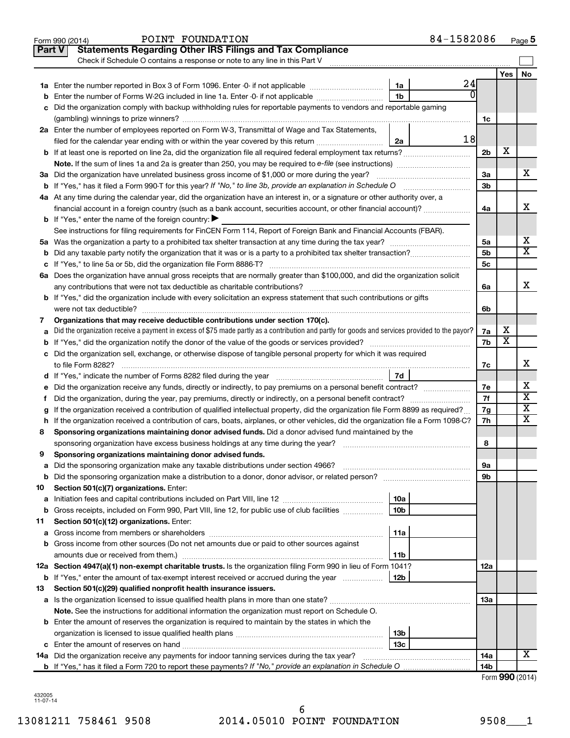| <b>Statements Regarding Other IRS Filings and Tax Compliance</b><br><b>Part V</b><br>Check if Schedule O contains a response or note to any line in this Part V<br>24<br>1a<br>О<br>1 <sub>b</sub><br>Enter the number of Forms W-2G included in line 1a. Enter -0- if not applicable<br>b<br>c Did the organization comply with backup withholding rules for reportable payments to vendors and reportable gaming<br>1c<br>2a Enter the number of employees reported on Form W-3, Transmittal of Wage and Tax Statements,<br>18<br>filed for the calendar year ending with or within the year covered by this return<br>2a<br>2 <sub>b</sub><br>3a<br>3a Did the organization have unrelated business gross income of \$1,000 or more during the year?<br><b>b</b> If "Yes," has it filed a Form 990-T for this year? If "No," to line 3b, provide an explanation in Schedule O<br>3b<br>4a At any time during the calendar year, did the organization have an interest in, or a signature or other authority over, a<br>financial account in a foreign country (such as a bank account, securities account, or other financial account)?<br>4a<br><b>b</b> If "Yes," enter the name of the foreign country: $\blacktriangleright$<br>See instructions for filing requirements for FinCEN Form 114, Report of Foreign Bank and Financial Accounts (FBAR).<br>5a<br>5b<br><b>b</b> Did any taxable party notify the organization that it was or is a party to a prohibited tax shelter transaction?<br>5c<br>6a Does the organization have annual gross receipts that are normally greater than \$100,000, and did the organization solicit<br>6a<br><b>b</b> If "Yes," did the organization include with every solicitation an express statement that such contributions or gifts<br>6b<br>Organizations that may receive deductible contributions under section 170(c).<br>7<br>Did the organization receive a payment in excess of \$75 made partly as a contribution and partly for goods and services provided to the payor?<br>7a<br>a<br>7b<br>c Did the organization sell, exchange, or otherwise dispose of tangible personal property for which it was required<br>7c<br>Did the organization receive any funds, directly or indirectly, to pay premiums on a personal benefit contract?<br>7e<br>е<br>7f<br>f.<br>If the organization received a contribution of qualified intellectual property, did the organization file Form 8899 as required?<br>7g<br>h If the organization received a contribution of cars, boats, airplanes, or other vehicles, did the organization file a Form 1098-C?<br>7h<br>Sponsoring organizations maintaining donor advised funds. Did a donor advised fund maintained by the<br>8<br>8 | Yes<br>X                | No<br>х<br>x            |
|-------------------------------------------------------------------------------------------------------------------------------------------------------------------------------------------------------------------------------------------------------------------------------------------------------------------------------------------------------------------------------------------------------------------------------------------------------------------------------------------------------------------------------------------------------------------------------------------------------------------------------------------------------------------------------------------------------------------------------------------------------------------------------------------------------------------------------------------------------------------------------------------------------------------------------------------------------------------------------------------------------------------------------------------------------------------------------------------------------------------------------------------------------------------------------------------------------------------------------------------------------------------------------------------------------------------------------------------------------------------------------------------------------------------------------------------------------------------------------------------------------------------------------------------------------------------------------------------------------------------------------------------------------------------------------------------------------------------------------------------------------------------------------------------------------------------------------------------------------------------------------------------------------------------------------------------------------------------------------------------------------------------------------------------------------------------------------------------------------------------------------------------------------------------------------------------------------------------------------------------------------------------------------------------------------------------------------------------------------------------------------------------------------------------------------------------------------------------------------------------------------------------------------------------------------------------------------------------------------------------------------------------------------------------------------------------------------------------------------------|-------------------------|-------------------------|
|                                                                                                                                                                                                                                                                                                                                                                                                                                                                                                                                                                                                                                                                                                                                                                                                                                                                                                                                                                                                                                                                                                                                                                                                                                                                                                                                                                                                                                                                                                                                                                                                                                                                                                                                                                                                                                                                                                                                                                                                                                                                                                                                                                                                                                                                                                                                                                                                                                                                                                                                                                                                                                                                                                                                     |                         |                         |
|                                                                                                                                                                                                                                                                                                                                                                                                                                                                                                                                                                                                                                                                                                                                                                                                                                                                                                                                                                                                                                                                                                                                                                                                                                                                                                                                                                                                                                                                                                                                                                                                                                                                                                                                                                                                                                                                                                                                                                                                                                                                                                                                                                                                                                                                                                                                                                                                                                                                                                                                                                                                                                                                                                                                     |                         |                         |
|                                                                                                                                                                                                                                                                                                                                                                                                                                                                                                                                                                                                                                                                                                                                                                                                                                                                                                                                                                                                                                                                                                                                                                                                                                                                                                                                                                                                                                                                                                                                                                                                                                                                                                                                                                                                                                                                                                                                                                                                                                                                                                                                                                                                                                                                                                                                                                                                                                                                                                                                                                                                                                                                                                                                     |                         |                         |
|                                                                                                                                                                                                                                                                                                                                                                                                                                                                                                                                                                                                                                                                                                                                                                                                                                                                                                                                                                                                                                                                                                                                                                                                                                                                                                                                                                                                                                                                                                                                                                                                                                                                                                                                                                                                                                                                                                                                                                                                                                                                                                                                                                                                                                                                                                                                                                                                                                                                                                                                                                                                                                                                                                                                     |                         |                         |
|                                                                                                                                                                                                                                                                                                                                                                                                                                                                                                                                                                                                                                                                                                                                                                                                                                                                                                                                                                                                                                                                                                                                                                                                                                                                                                                                                                                                                                                                                                                                                                                                                                                                                                                                                                                                                                                                                                                                                                                                                                                                                                                                                                                                                                                                                                                                                                                                                                                                                                                                                                                                                                                                                                                                     |                         |                         |
|                                                                                                                                                                                                                                                                                                                                                                                                                                                                                                                                                                                                                                                                                                                                                                                                                                                                                                                                                                                                                                                                                                                                                                                                                                                                                                                                                                                                                                                                                                                                                                                                                                                                                                                                                                                                                                                                                                                                                                                                                                                                                                                                                                                                                                                                                                                                                                                                                                                                                                                                                                                                                                                                                                                                     |                         |                         |
|                                                                                                                                                                                                                                                                                                                                                                                                                                                                                                                                                                                                                                                                                                                                                                                                                                                                                                                                                                                                                                                                                                                                                                                                                                                                                                                                                                                                                                                                                                                                                                                                                                                                                                                                                                                                                                                                                                                                                                                                                                                                                                                                                                                                                                                                                                                                                                                                                                                                                                                                                                                                                                                                                                                                     |                         |                         |
|                                                                                                                                                                                                                                                                                                                                                                                                                                                                                                                                                                                                                                                                                                                                                                                                                                                                                                                                                                                                                                                                                                                                                                                                                                                                                                                                                                                                                                                                                                                                                                                                                                                                                                                                                                                                                                                                                                                                                                                                                                                                                                                                                                                                                                                                                                                                                                                                                                                                                                                                                                                                                                                                                                                                     |                         |                         |
|                                                                                                                                                                                                                                                                                                                                                                                                                                                                                                                                                                                                                                                                                                                                                                                                                                                                                                                                                                                                                                                                                                                                                                                                                                                                                                                                                                                                                                                                                                                                                                                                                                                                                                                                                                                                                                                                                                                                                                                                                                                                                                                                                                                                                                                                                                                                                                                                                                                                                                                                                                                                                                                                                                                                     |                         |                         |
|                                                                                                                                                                                                                                                                                                                                                                                                                                                                                                                                                                                                                                                                                                                                                                                                                                                                                                                                                                                                                                                                                                                                                                                                                                                                                                                                                                                                                                                                                                                                                                                                                                                                                                                                                                                                                                                                                                                                                                                                                                                                                                                                                                                                                                                                                                                                                                                                                                                                                                                                                                                                                                                                                                                                     |                         |                         |
|                                                                                                                                                                                                                                                                                                                                                                                                                                                                                                                                                                                                                                                                                                                                                                                                                                                                                                                                                                                                                                                                                                                                                                                                                                                                                                                                                                                                                                                                                                                                                                                                                                                                                                                                                                                                                                                                                                                                                                                                                                                                                                                                                                                                                                                                                                                                                                                                                                                                                                                                                                                                                                                                                                                                     |                         |                         |
|                                                                                                                                                                                                                                                                                                                                                                                                                                                                                                                                                                                                                                                                                                                                                                                                                                                                                                                                                                                                                                                                                                                                                                                                                                                                                                                                                                                                                                                                                                                                                                                                                                                                                                                                                                                                                                                                                                                                                                                                                                                                                                                                                                                                                                                                                                                                                                                                                                                                                                                                                                                                                                                                                                                                     |                         |                         |
|                                                                                                                                                                                                                                                                                                                                                                                                                                                                                                                                                                                                                                                                                                                                                                                                                                                                                                                                                                                                                                                                                                                                                                                                                                                                                                                                                                                                                                                                                                                                                                                                                                                                                                                                                                                                                                                                                                                                                                                                                                                                                                                                                                                                                                                                                                                                                                                                                                                                                                                                                                                                                                                                                                                                     |                         |                         |
|                                                                                                                                                                                                                                                                                                                                                                                                                                                                                                                                                                                                                                                                                                                                                                                                                                                                                                                                                                                                                                                                                                                                                                                                                                                                                                                                                                                                                                                                                                                                                                                                                                                                                                                                                                                                                                                                                                                                                                                                                                                                                                                                                                                                                                                                                                                                                                                                                                                                                                                                                                                                                                                                                                                                     |                         |                         |
|                                                                                                                                                                                                                                                                                                                                                                                                                                                                                                                                                                                                                                                                                                                                                                                                                                                                                                                                                                                                                                                                                                                                                                                                                                                                                                                                                                                                                                                                                                                                                                                                                                                                                                                                                                                                                                                                                                                                                                                                                                                                                                                                                                                                                                                                                                                                                                                                                                                                                                                                                                                                                                                                                                                                     |                         |                         |
|                                                                                                                                                                                                                                                                                                                                                                                                                                                                                                                                                                                                                                                                                                                                                                                                                                                                                                                                                                                                                                                                                                                                                                                                                                                                                                                                                                                                                                                                                                                                                                                                                                                                                                                                                                                                                                                                                                                                                                                                                                                                                                                                                                                                                                                                                                                                                                                                                                                                                                                                                                                                                                                                                                                                     |                         |                         |
|                                                                                                                                                                                                                                                                                                                                                                                                                                                                                                                                                                                                                                                                                                                                                                                                                                                                                                                                                                                                                                                                                                                                                                                                                                                                                                                                                                                                                                                                                                                                                                                                                                                                                                                                                                                                                                                                                                                                                                                                                                                                                                                                                                                                                                                                                                                                                                                                                                                                                                                                                                                                                                                                                                                                     |                         |                         |
|                                                                                                                                                                                                                                                                                                                                                                                                                                                                                                                                                                                                                                                                                                                                                                                                                                                                                                                                                                                                                                                                                                                                                                                                                                                                                                                                                                                                                                                                                                                                                                                                                                                                                                                                                                                                                                                                                                                                                                                                                                                                                                                                                                                                                                                                                                                                                                                                                                                                                                                                                                                                                                                                                                                                     |                         | х                       |
|                                                                                                                                                                                                                                                                                                                                                                                                                                                                                                                                                                                                                                                                                                                                                                                                                                                                                                                                                                                                                                                                                                                                                                                                                                                                                                                                                                                                                                                                                                                                                                                                                                                                                                                                                                                                                                                                                                                                                                                                                                                                                                                                                                                                                                                                                                                                                                                                                                                                                                                                                                                                                                                                                                                                     |                         | $\overline{\texttt{x}}$ |
|                                                                                                                                                                                                                                                                                                                                                                                                                                                                                                                                                                                                                                                                                                                                                                                                                                                                                                                                                                                                                                                                                                                                                                                                                                                                                                                                                                                                                                                                                                                                                                                                                                                                                                                                                                                                                                                                                                                                                                                                                                                                                                                                                                                                                                                                                                                                                                                                                                                                                                                                                                                                                                                                                                                                     |                         |                         |
|                                                                                                                                                                                                                                                                                                                                                                                                                                                                                                                                                                                                                                                                                                                                                                                                                                                                                                                                                                                                                                                                                                                                                                                                                                                                                                                                                                                                                                                                                                                                                                                                                                                                                                                                                                                                                                                                                                                                                                                                                                                                                                                                                                                                                                                                                                                                                                                                                                                                                                                                                                                                                                                                                                                                     |                         |                         |
|                                                                                                                                                                                                                                                                                                                                                                                                                                                                                                                                                                                                                                                                                                                                                                                                                                                                                                                                                                                                                                                                                                                                                                                                                                                                                                                                                                                                                                                                                                                                                                                                                                                                                                                                                                                                                                                                                                                                                                                                                                                                                                                                                                                                                                                                                                                                                                                                                                                                                                                                                                                                                                                                                                                                     |                         | x                       |
|                                                                                                                                                                                                                                                                                                                                                                                                                                                                                                                                                                                                                                                                                                                                                                                                                                                                                                                                                                                                                                                                                                                                                                                                                                                                                                                                                                                                                                                                                                                                                                                                                                                                                                                                                                                                                                                                                                                                                                                                                                                                                                                                                                                                                                                                                                                                                                                                                                                                                                                                                                                                                                                                                                                                     |                         |                         |
|                                                                                                                                                                                                                                                                                                                                                                                                                                                                                                                                                                                                                                                                                                                                                                                                                                                                                                                                                                                                                                                                                                                                                                                                                                                                                                                                                                                                                                                                                                                                                                                                                                                                                                                                                                                                                                                                                                                                                                                                                                                                                                                                                                                                                                                                                                                                                                                                                                                                                                                                                                                                                                                                                                                                     |                         |                         |
|                                                                                                                                                                                                                                                                                                                                                                                                                                                                                                                                                                                                                                                                                                                                                                                                                                                                                                                                                                                                                                                                                                                                                                                                                                                                                                                                                                                                                                                                                                                                                                                                                                                                                                                                                                                                                                                                                                                                                                                                                                                                                                                                                                                                                                                                                                                                                                                                                                                                                                                                                                                                                                                                                                                                     | х                       |                         |
|                                                                                                                                                                                                                                                                                                                                                                                                                                                                                                                                                                                                                                                                                                                                                                                                                                                                                                                                                                                                                                                                                                                                                                                                                                                                                                                                                                                                                                                                                                                                                                                                                                                                                                                                                                                                                                                                                                                                                                                                                                                                                                                                                                                                                                                                                                                                                                                                                                                                                                                                                                                                                                                                                                                                     | $\overline{\textbf{x}}$ |                         |
|                                                                                                                                                                                                                                                                                                                                                                                                                                                                                                                                                                                                                                                                                                                                                                                                                                                                                                                                                                                                                                                                                                                                                                                                                                                                                                                                                                                                                                                                                                                                                                                                                                                                                                                                                                                                                                                                                                                                                                                                                                                                                                                                                                                                                                                                                                                                                                                                                                                                                                                                                                                                                                                                                                                                     |                         |                         |
|                                                                                                                                                                                                                                                                                                                                                                                                                                                                                                                                                                                                                                                                                                                                                                                                                                                                                                                                                                                                                                                                                                                                                                                                                                                                                                                                                                                                                                                                                                                                                                                                                                                                                                                                                                                                                                                                                                                                                                                                                                                                                                                                                                                                                                                                                                                                                                                                                                                                                                                                                                                                                                                                                                                                     |                         | х                       |
|                                                                                                                                                                                                                                                                                                                                                                                                                                                                                                                                                                                                                                                                                                                                                                                                                                                                                                                                                                                                                                                                                                                                                                                                                                                                                                                                                                                                                                                                                                                                                                                                                                                                                                                                                                                                                                                                                                                                                                                                                                                                                                                                                                                                                                                                                                                                                                                                                                                                                                                                                                                                                                                                                                                                     |                         |                         |
|                                                                                                                                                                                                                                                                                                                                                                                                                                                                                                                                                                                                                                                                                                                                                                                                                                                                                                                                                                                                                                                                                                                                                                                                                                                                                                                                                                                                                                                                                                                                                                                                                                                                                                                                                                                                                                                                                                                                                                                                                                                                                                                                                                                                                                                                                                                                                                                                                                                                                                                                                                                                                                                                                                                                     |                         | х                       |
|                                                                                                                                                                                                                                                                                                                                                                                                                                                                                                                                                                                                                                                                                                                                                                                                                                                                                                                                                                                                                                                                                                                                                                                                                                                                                                                                                                                                                                                                                                                                                                                                                                                                                                                                                                                                                                                                                                                                                                                                                                                                                                                                                                                                                                                                                                                                                                                                                                                                                                                                                                                                                                                                                                                                     |                         | $\overline{\textbf{X}}$ |
|                                                                                                                                                                                                                                                                                                                                                                                                                                                                                                                                                                                                                                                                                                                                                                                                                                                                                                                                                                                                                                                                                                                                                                                                                                                                                                                                                                                                                                                                                                                                                                                                                                                                                                                                                                                                                                                                                                                                                                                                                                                                                                                                                                                                                                                                                                                                                                                                                                                                                                                                                                                                                                                                                                                                     |                         | $\overline{\textbf{X}}$ |
|                                                                                                                                                                                                                                                                                                                                                                                                                                                                                                                                                                                                                                                                                                                                                                                                                                                                                                                                                                                                                                                                                                                                                                                                                                                                                                                                                                                                                                                                                                                                                                                                                                                                                                                                                                                                                                                                                                                                                                                                                                                                                                                                                                                                                                                                                                                                                                                                                                                                                                                                                                                                                                                                                                                                     |                         | $\overline{\textbf{X}}$ |
|                                                                                                                                                                                                                                                                                                                                                                                                                                                                                                                                                                                                                                                                                                                                                                                                                                                                                                                                                                                                                                                                                                                                                                                                                                                                                                                                                                                                                                                                                                                                                                                                                                                                                                                                                                                                                                                                                                                                                                                                                                                                                                                                                                                                                                                                                                                                                                                                                                                                                                                                                                                                                                                                                                                                     |                         |                         |
|                                                                                                                                                                                                                                                                                                                                                                                                                                                                                                                                                                                                                                                                                                                                                                                                                                                                                                                                                                                                                                                                                                                                                                                                                                                                                                                                                                                                                                                                                                                                                                                                                                                                                                                                                                                                                                                                                                                                                                                                                                                                                                                                                                                                                                                                                                                                                                                                                                                                                                                                                                                                                                                                                                                                     |                         |                         |
| Sponsoring organizations maintaining donor advised funds.                                                                                                                                                                                                                                                                                                                                                                                                                                                                                                                                                                                                                                                                                                                                                                                                                                                                                                                                                                                                                                                                                                                                                                                                                                                                                                                                                                                                                                                                                                                                                                                                                                                                                                                                                                                                                                                                                                                                                                                                                                                                                                                                                                                                                                                                                                                                                                                                                                                                                                                                                                                                                                                                           |                         |                         |
| Did the sponsoring organization make any taxable distributions under section 4966?<br>9а<br>а                                                                                                                                                                                                                                                                                                                                                                                                                                                                                                                                                                                                                                                                                                                                                                                                                                                                                                                                                                                                                                                                                                                                                                                                                                                                                                                                                                                                                                                                                                                                                                                                                                                                                                                                                                                                                                                                                                                                                                                                                                                                                                                                                                                                                                                                                                                                                                                                                                                                                                                                                                                                                                       |                         |                         |
| 9b<br>b                                                                                                                                                                                                                                                                                                                                                                                                                                                                                                                                                                                                                                                                                                                                                                                                                                                                                                                                                                                                                                                                                                                                                                                                                                                                                                                                                                                                                                                                                                                                                                                                                                                                                                                                                                                                                                                                                                                                                                                                                                                                                                                                                                                                                                                                                                                                                                                                                                                                                                                                                                                                                                                                                                                             |                         |                         |
| Section 501(c)(7) organizations. Enter:<br>10                                                                                                                                                                                                                                                                                                                                                                                                                                                                                                                                                                                                                                                                                                                                                                                                                                                                                                                                                                                                                                                                                                                                                                                                                                                                                                                                                                                                                                                                                                                                                                                                                                                                                                                                                                                                                                                                                                                                                                                                                                                                                                                                                                                                                                                                                                                                                                                                                                                                                                                                                                                                                                                                                       |                         |                         |
| 10a<br>a                                                                                                                                                                                                                                                                                                                                                                                                                                                                                                                                                                                                                                                                                                                                                                                                                                                                                                                                                                                                                                                                                                                                                                                                                                                                                                                                                                                                                                                                                                                                                                                                                                                                                                                                                                                                                                                                                                                                                                                                                                                                                                                                                                                                                                                                                                                                                                                                                                                                                                                                                                                                                                                                                                                            |                         |                         |
| 10 <sub>b</sub><br>Gross receipts, included on Form 990, Part VIII, line 12, for public use of club facilities<br>b                                                                                                                                                                                                                                                                                                                                                                                                                                                                                                                                                                                                                                                                                                                                                                                                                                                                                                                                                                                                                                                                                                                                                                                                                                                                                                                                                                                                                                                                                                                                                                                                                                                                                                                                                                                                                                                                                                                                                                                                                                                                                                                                                                                                                                                                                                                                                                                                                                                                                                                                                                                                                 |                         |                         |
| Section 501(c)(12) organizations. Enter:<br>11                                                                                                                                                                                                                                                                                                                                                                                                                                                                                                                                                                                                                                                                                                                                                                                                                                                                                                                                                                                                                                                                                                                                                                                                                                                                                                                                                                                                                                                                                                                                                                                                                                                                                                                                                                                                                                                                                                                                                                                                                                                                                                                                                                                                                                                                                                                                                                                                                                                                                                                                                                                                                                                                                      |                         |                         |
| 11a<br>а                                                                                                                                                                                                                                                                                                                                                                                                                                                                                                                                                                                                                                                                                                                                                                                                                                                                                                                                                                                                                                                                                                                                                                                                                                                                                                                                                                                                                                                                                                                                                                                                                                                                                                                                                                                                                                                                                                                                                                                                                                                                                                                                                                                                                                                                                                                                                                                                                                                                                                                                                                                                                                                                                                                            |                         |                         |
| b Gross income from other sources (Do not net amounts due or paid to other sources against                                                                                                                                                                                                                                                                                                                                                                                                                                                                                                                                                                                                                                                                                                                                                                                                                                                                                                                                                                                                                                                                                                                                                                                                                                                                                                                                                                                                                                                                                                                                                                                                                                                                                                                                                                                                                                                                                                                                                                                                                                                                                                                                                                                                                                                                                                                                                                                                                                                                                                                                                                                                                                          |                         |                         |
| amounts due or received from them.)<br>11b                                                                                                                                                                                                                                                                                                                                                                                                                                                                                                                                                                                                                                                                                                                                                                                                                                                                                                                                                                                                                                                                                                                                                                                                                                                                                                                                                                                                                                                                                                                                                                                                                                                                                                                                                                                                                                                                                                                                                                                                                                                                                                                                                                                                                                                                                                                                                                                                                                                                                                                                                                                                                                                                                          |                         |                         |
| 12a Section 4947(a)(1) non-exempt charitable trusts. Is the organization filing Form 990 in lieu of Form 1041?<br>12a                                                                                                                                                                                                                                                                                                                                                                                                                                                                                                                                                                                                                                                                                                                                                                                                                                                                                                                                                                                                                                                                                                                                                                                                                                                                                                                                                                                                                                                                                                                                                                                                                                                                                                                                                                                                                                                                                                                                                                                                                                                                                                                                                                                                                                                                                                                                                                                                                                                                                                                                                                                                               |                         |                         |
| <b>b</b> If "Yes," enter the amount of tax-exempt interest received or accrued during the year<br>12b                                                                                                                                                                                                                                                                                                                                                                                                                                                                                                                                                                                                                                                                                                                                                                                                                                                                                                                                                                                                                                                                                                                                                                                                                                                                                                                                                                                                                                                                                                                                                                                                                                                                                                                                                                                                                                                                                                                                                                                                                                                                                                                                                                                                                                                                                                                                                                                                                                                                                                                                                                                                                               |                         |                         |
| Section 501(c)(29) qualified nonprofit health insurance issuers.<br>13                                                                                                                                                                                                                                                                                                                                                                                                                                                                                                                                                                                                                                                                                                                                                                                                                                                                                                                                                                                                                                                                                                                                                                                                                                                                                                                                                                                                                                                                                                                                                                                                                                                                                                                                                                                                                                                                                                                                                                                                                                                                                                                                                                                                                                                                                                                                                                                                                                                                                                                                                                                                                                                              |                         |                         |
| 1За<br>a Is the organization licensed to issue qualified health plans in more than one state?                                                                                                                                                                                                                                                                                                                                                                                                                                                                                                                                                                                                                                                                                                                                                                                                                                                                                                                                                                                                                                                                                                                                                                                                                                                                                                                                                                                                                                                                                                                                                                                                                                                                                                                                                                                                                                                                                                                                                                                                                                                                                                                                                                                                                                                                                                                                                                                                                                                                                                                                                                                                                                       |                         |                         |
| Note. See the instructions for additional information the organization must report on Schedule O.                                                                                                                                                                                                                                                                                                                                                                                                                                                                                                                                                                                                                                                                                                                                                                                                                                                                                                                                                                                                                                                                                                                                                                                                                                                                                                                                                                                                                                                                                                                                                                                                                                                                                                                                                                                                                                                                                                                                                                                                                                                                                                                                                                                                                                                                                                                                                                                                                                                                                                                                                                                                                                   |                         |                         |
| <b>b</b> Enter the amount of reserves the organization is required to maintain by the states in which the                                                                                                                                                                                                                                                                                                                                                                                                                                                                                                                                                                                                                                                                                                                                                                                                                                                                                                                                                                                                                                                                                                                                                                                                                                                                                                                                                                                                                                                                                                                                                                                                                                                                                                                                                                                                                                                                                                                                                                                                                                                                                                                                                                                                                                                                                                                                                                                                                                                                                                                                                                                                                           |                         |                         |
| 13b                                                                                                                                                                                                                                                                                                                                                                                                                                                                                                                                                                                                                                                                                                                                                                                                                                                                                                                                                                                                                                                                                                                                                                                                                                                                                                                                                                                                                                                                                                                                                                                                                                                                                                                                                                                                                                                                                                                                                                                                                                                                                                                                                                                                                                                                                                                                                                                                                                                                                                                                                                                                                                                                                                                                 |                         |                         |
| 13 <sub>c</sub>                                                                                                                                                                                                                                                                                                                                                                                                                                                                                                                                                                                                                                                                                                                                                                                                                                                                                                                                                                                                                                                                                                                                                                                                                                                                                                                                                                                                                                                                                                                                                                                                                                                                                                                                                                                                                                                                                                                                                                                                                                                                                                                                                                                                                                                                                                                                                                                                                                                                                                                                                                                                                                                                                                                     |                         |                         |
| 14a Did the organization receive any payments for indoor tanning services during the tax year?<br>14a                                                                                                                                                                                                                                                                                                                                                                                                                                                                                                                                                                                                                                                                                                                                                                                                                                                                                                                                                                                                                                                                                                                                                                                                                                                                                                                                                                                                                                                                                                                                                                                                                                                                                                                                                                                                                                                                                                                                                                                                                                                                                                                                                                                                                                                                                                                                                                                                                                                                                                                                                                                                                               |                         | х                       |
| 14 <sub>b</sub>                                                                                                                                                                                                                                                                                                                                                                                                                                                                                                                                                                                                                                                                                                                                                                                                                                                                                                                                                                                                                                                                                                                                                                                                                                                                                                                                                                                                                                                                                                                                                                                                                                                                                                                                                                                                                                                                                                                                                                                                                                                                                                                                                                                                                                                                                                                                                                                                                                                                                                                                                                                                                                                                                                                     |                         |                         |

Form (2014) **990**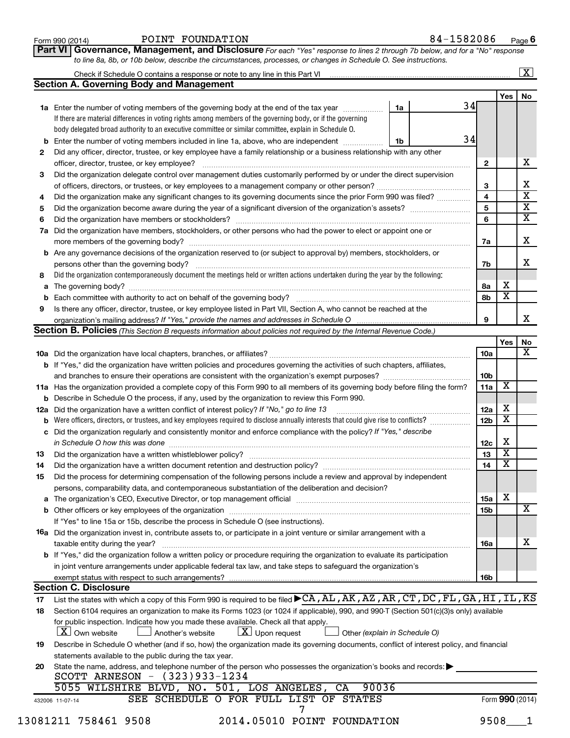| Form 990 (2014) | FOUNDATION<br>POINT | 582086<br>84– | Page |
|-----------------|---------------------|---------------|------|
|-----------------|---------------------|---------------|------|

| POINT FOUNDATION |  |
|------------------|--|
|------------------|--|

 $\boxed{\text{X}}$ 

**Part VI** Governance, Management, and Disclosure For each "Yes" response to lines 2 through 7b below, and for a "No" response *to line 8a, 8b, or 10b below, describe the circumstances, processes, or changes in Schedule O. See instructions.*

|     | <b>Section A. Governing Body and Management</b>                                                                                                                                                                                                                                                                                                                                      |    |    |                 | Yes                     | No |
|-----|--------------------------------------------------------------------------------------------------------------------------------------------------------------------------------------------------------------------------------------------------------------------------------------------------------------------------------------------------------------------------------------|----|----|-----------------|-------------------------|----|
|     | 1a Enter the number of voting members of the governing body at the end of the tax year <i>manumer</i>                                                                                                                                                                                                                                                                                | 1a | 34 |                 |                         |    |
|     | If there are material differences in voting rights among members of the governing body, or if the governing                                                                                                                                                                                                                                                                          |    |    |                 |                         |    |
|     | body delegated broad authority to an executive committee or similar committee, explain in Schedule O.                                                                                                                                                                                                                                                                                |    |    |                 |                         |    |
|     |                                                                                                                                                                                                                                                                                                                                                                                      |    | 34 |                 |                         |    |
| b   | Enter the number of voting members included in line 1a, above, who are independent <i>manamerican</i>                                                                                                                                                                                                                                                                                | 1b |    |                 |                         |    |
| 2   | Did any officer, director, trustee, or key employee have a family relationship or a business relationship with any other                                                                                                                                                                                                                                                             |    |    |                 |                         |    |
|     | officer, director, trustee, or key employee?<br>$\begin{bmatrix} \begin{bmatrix} 0 & 0 & 0 & 0 \\ 0 & 0 & 0 & 0 \\ 0 & 0 & 0 & 0 \\ 0 & 0 & 0 & 0 \\ 0 & 0 & 0 & 0 \\ 0 & 0 & 0 & 0 \\ 0 & 0 & 0 & 0 \\ 0 & 0 & 0 & 0 & 0 \\ 0 & 0 & 0 & 0 & 0 \\ 0 & 0 & 0 & 0 & 0 \\ 0 & 0 & 0 & 0 & 0 \\ 0 & 0 & 0 & 0 & 0 \\ 0 & 0 & 0 & 0 & 0 & 0 \\ 0 & 0 & 0 & 0 & 0 & 0 \\ 0 & 0 & 0 & 0 & $ |    |    | $\mathbf{2}$    |                         |    |
| 3   | Did the organization delegate control over management duties customarily performed by or under the direct supervision                                                                                                                                                                                                                                                                |    |    |                 |                         |    |
|     |                                                                                                                                                                                                                                                                                                                                                                                      |    |    | 3               |                         |    |
| 4   | Did the organization make any significant changes to its governing documents since the prior Form 990 was filed?                                                                                                                                                                                                                                                                     |    |    | 4               |                         |    |
| 5   |                                                                                                                                                                                                                                                                                                                                                                                      |    |    | 5               |                         |    |
| 6   |                                                                                                                                                                                                                                                                                                                                                                                      |    |    | 6               |                         |    |
| 7a  | Did the organization have members, stockholders, or other persons who had the power to elect or appoint one or                                                                                                                                                                                                                                                                       |    |    |                 |                         |    |
|     |                                                                                                                                                                                                                                                                                                                                                                                      |    |    | 7a              |                         |    |
|     | <b>b</b> Are any governance decisions of the organization reserved to (or subject to approval by) members, stockholders, or                                                                                                                                                                                                                                                          |    |    |                 |                         |    |
|     |                                                                                                                                                                                                                                                                                                                                                                                      |    |    | 7b              |                         |    |
| 8   | Did the organization contemporaneously document the meetings held or written actions undertaken during the year by the following:                                                                                                                                                                                                                                                    |    |    |                 |                         |    |
| а   |                                                                                                                                                                                                                                                                                                                                                                                      |    |    | 8a              | х                       |    |
| b   |                                                                                                                                                                                                                                                                                                                                                                                      |    |    | 8b              | $\overline{\textbf{x}}$ |    |
| 9   | Is there any officer, director, trustee, or key employee listed in Part VII, Section A, who cannot be reached at the                                                                                                                                                                                                                                                                 |    |    |                 |                         |    |
|     |                                                                                                                                                                                                                                                                                                                                                                                      |    |    | 9               |                         |    |
|     | <b>Section B. Policies</b> (This Section B requests information about policies not required by the Internal Revenue Code.)                                                                                                                                                                                                                                                           |    |    |                 |                         |    |
|     |                                                                                                                                                                                                                                                                                                                                                                                      |    |    |                 | <b>Yes</b>              |    |
|     |                                                                                                                                                                                                                                                                                                                                                                                      |    |    | 10a             |                         |    |
|     | <b>b</b> If "Yes," did the organization have written policies and procedures governing the activities of such chapters, affiliates,                                                                                                                                                                                                                                                  |    |    |                 |                         |    |
|     |                                                                                                                                                                                                                                                                                                                                                                                      |    |    | 10 <sub>b</sub> |                         |    |
|     | 11a Has the organization provided a complete copy of this Form 990 to all members of its governing body before filing the form?                                                                                                                                                                                                                                                      |    |    | 11a             | Х                       |    |
| b   | Describe in Schedule O the process, if any, used by the organization to review this Form 990.                                                                                                                                                                                                                                                                                        |    |    |                 |                         |    |
| 12a | Did the organization have a written conflict of interest policy? If "No," go to line 13                                                                                                                                                                                                                                                                                              |    |    | 12a             | X                       |    |
| b   | Were officers, directors, or trustees, and key employees required to disclose annually interests that could give rise to conflicts?                                                                                                                                                                                                                                                  |    |    | 12 <sub>b</sub> | $\overline{\mathbf{X}}$ |    |
| с   | Did the organization regularly and consistently monitor and enforce compliance with the policy? If "Yes," describe                                                                                                                                                                                                                                                                   |    |    |                 |                         |    |
|     | in Schedule O how this was done manufactured and continuum control of the state of the state of the state of t                                                                                                                                                                                                                                                                       |    |    | 12c             | X                       |    |
| 13  |                                                                                                                                                                                                                                                                                                                                                                                      |    |    | 13              | $\overline{\textbf{x}}$ |    |
| 14  |                                                                                                                                                                                                                                                                                                                                                                                      |    |    | 14              | $\overline{\textbf{x}}$ |    |
| 15  | Did the process for determining compensation of the following persons include a review and approval by independent                                                                                                                                                                                                                                                                   |    |    |                 |                         |    |
|     |                                                                                                                                                                                                                                                                                                                                                                                      |    |    |                 |                         |    |
|     | persons, comparability data, and contemporaneous substantiation of the deliberation and decision?                                                                                                                                                                                                                                                                                    |    |    |                 | X                       |    |
|     |                                                                                                                                                                                                                                                                                                                                                                                      |    |    | 15a             |                         |    |
|     |                                                                                                                                                                                                                                                                                                                                                                                      |    |    | 15b             |                         |    |
|     | If "Yes" to line 15a or 15b, describe the process in Schedule O (see instructions).                                                                                                                                                                                                                                                                                                  |    |    |                 |                         |    |
|     | <b>16a</b> Did the organization invest in, contribute assets to, or participate in a joint venture or similar arrangement with a                                                                                                                                                                                                                                                     |    |    |                 |                         |    |
|     | taxable entity during the year?                                                                                                                                                                                                                                                                                                                                                      |    |    | 16a             |                         |    |
|     | b If "Yes," did the organization follow a written policy or procedure requiring the organization to evaluate its participation                                                                                                                                                                                                                                                       |    |    |                 |                         |    |
|     | in joint venture arrangements under applicable federal tax law, and take steps to safeguard the organization's                                                                                                                                                                                                                                                                       |    |    |                 |                         |    |
|     |                                                                                                                                                                                                                                                                                                                                                                                      |    |    | 16b             |                         |    |
|     | <b>Section C. Disclosure</b>                                                                                                                                                                                                                                                                                                                                                         |    |    |                 |                         |    |
| 17  | List the states with which a copy of this Form 990 is required to be filed ▶ CA, AL, AK, AZ, AR, CT, DC, FL, GA, HI, IL, KS                                                                                                                                                                                                                                                          |    |    |                 |                         |    |
| 18  | Section 6104 requires an organization to make its Forms 1023 (or 1024 if applicable), 990, and 990-T (Section 501(c)(3)s only) available                                                                                                                                                                                                                                             |    |    |                 |                         |    |
|     | for public inspection. Indicate how you made these available. Check all that apply.                                                                                                                                                                                                                                                                                                  |    |    |                 |                         |    |
|     | $\lfloor \underline{X} \rfloor$ Upon request<br><b>X</b> Own website<br>Another's website<br>Other (explain in Schedule O)                                                                                                                                                                                                                                                           |    |    |                 |                         |    |
| 19  | Describe in Schedule O whether (and if so, how) the organization made its governing documents, conflict of interest policy, and financial                                                                                                                                                                                                                                            |    |    |                 |                         |    |
|     | statements available to the public during the tax year.                                                                                                                                                                                                                                                                                                                              |    |    |                 |                         |    |
| 20  | State the name, address, and telephone number of the person who possesses the organization's books and records:<br>SCOTT ARNESON - (323)933-1234                                                                                                                                                                                                                                     |    |    |                 |                         |    |
|     | 90036<br>5055 WILSHIRE BLVD, NO. 501, LOS ANGELES,<br>CA                                                                                                                                                                                                                                                                                                                             |    |    |                 |                         |    |
|     | SEE SCHEDULE O FOR FULL LIST OF STATES                                                                                                                                                                                                                                                                                                                                               |    |    |                 | Form 990 (2014)         |    |
|     | 432006 11-07-14                                                                                                                                                                                                                                                                                                                                                                      |    |    |                 |                         |    |
|     | 2014.05010 POINT FOUNDATION<br>13081211 758461 9508                                                                                                                                                                                                                                                                                                                                  |    |    | 9508            |                         |    |
|     |                                                                                                                                                                                                                                                                                                                                                                                      |    |    |                 |                         |    |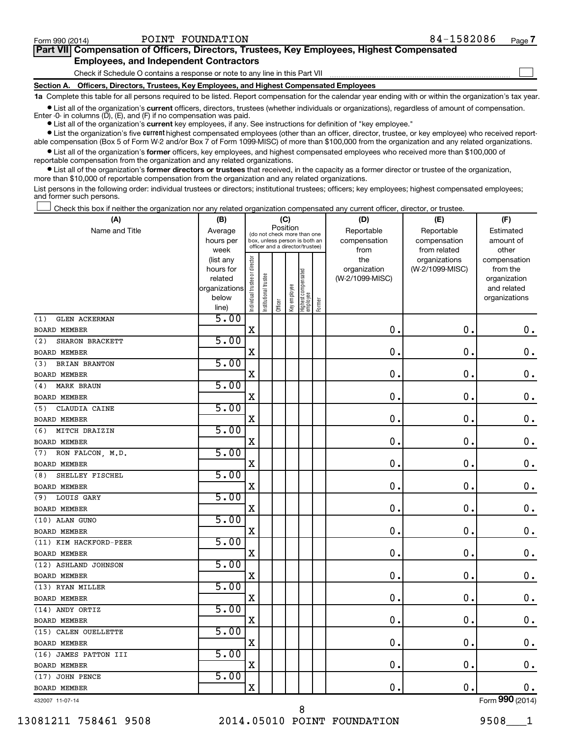$\Box$ 

| Part VII Compensation of Officers, Directors, Trustees, Key Employees, Highest Compensated |  |  |  |  |
|--------------------------------------------------------------------------------------------|--|--|--|--|
| <b>Employees, and Independent Contractors</b>                                              |  |  |  |  |

Check if Schedule O contains a response or note to any line in this Part VII

**Section A. Officers, Directors, Trustees, Key Employees, and Highest Compensated Employees**

**1a**  Complete this table for all persons required to be listed. Report compensation for the calendar year ending with or within the organization's tax year.

**•** List all of the organization's current officers, directors, trustees (whether individuals or organizations), regardless of amount of compensation. Enter -0- in columns  $(D)$ ,  $(E)$ , and  $(F)$  if no compensation was paid.

**•** List all of the organization's **current** key employees, if any. See instructions for definition of "key employee."

**•** List the organization's five current highest compensated employees (other than an officer, director, trustee, or key employee) who received reportable compensation (Box 5 of Form W-2 and/or Box 7 of Form 1099-MISC) of more than \$100,000 from the organization and any related organizations.

**•** List all of the organization's former officers, key employees, and highest compensated employees who received more than \$100,000 of reportable compensation from the organization and any related organizations.

**•** List all of the organization's former directors or trustees that received, in the capacity as a former director or trustee of the organization, more than \$10,000 of reportable compensation from the organization and any related organizations.

List persons in the following order: individual trustees or directors; institutional trustees; officers; key employees; highest compensated employees; and former such persons.

Check this box if neither the organization nor any related organization compensated any current officer, director, or trustee.  $\Box$ 

| (A)                         | (B)                    |                                |                                                                  | (C)      |              |                                   |        | (D)                             | (E)                              | (F)                      |
|-----------------------------|------------------------|--------------------------------|------------------------------------------------------------------|----------|--------------|-----------------------------------|--------|---------------------------------|----------------------------------|--------------------------|
| Name and Title              | Average                |                                | (do not check more than one                                      | Position |              |                                   |        | Reportable                      | Reportable                       | Estimated                |
|                             | hours per              |                                | box, unless person is both an<br>officer and a director/trustee) |          |              |                                   |        | compensation                    | compensation                     | amount of                |
|                             | week                   |                                |                                                                  |          |              |                                   |        | from                            | from related                     | other                    |
|                             | (list any<br>hours for |                                |                                                                  |          |              |                                   |        | the                             | organizations<br>(W-2/1099-MISC) | compensation<br>from the |
|                             | related                |                                |                                                                  |          |              |                                   |        | organization<br>(W-2/1099-MISC) |                                  | organization             |
|                             | organizations          |                                |                                                                  |          |              |                                   |        |                                 |                                  | and related              |
|                             | below                  | Individual trustee or director | Institutional trustee                                            |          |              |                                   |        |                                 |                                  | organizations            |
|                             | line)                  |                                |                                                                  | Officer  | Key employee | Highest compensated<br>  employee | Former |                                 |                                  |                          |
| <b>GLEN ACKERMAN</b><br>(1) | 5.00                   |                                |                                                                  |          |              |                                   |        |                                 |                                  |                          |
| BOARD MEMBER                |                        | $\mathbf X$                    |                                                                  |          |              |                                   |        | 0.                              | $\mathbf 0$ .                    | 0.                       |
| SHARON BRACKETT<br>(2)      | 5.00                   |                                |                                                                  |          |              |                                   |        |                                 |                                  |                          |
| <b>BOARD MEMBER</b>         |                        | X                              |                                                                  |          |              |                                   |        | $\mathbf 0$ .                   | $\mathbf 0$ .                    | $\mathbf 0$ .            |
| BRIAN BRANTON<br>(3)        | 5.00                   |                                |                                                                  |          |              |                                   |        |                                 |                                  |                          |
| BOARD MEMBER                |                        | $\mathbf X$                    |                                                                  |          |              |                                   |        | $\mathbf 0$ .                   | $\mathbf 0$                      | $\mathbf 0$ .            |
| <b>MARK BRAUN</b><br>(4)    | 5.00                   |                                |                                                                  |          |              |                                   |        |                                 |                                  |                          |
| BOARD MEMBER                |                        | $\mathbf X$                    |                                                                  |          |              |                                   |        | $\mathbf 0$                     | 0.                               | $\boldsymbol{0}$ .       |
| (5)<br>CLAUDIA CAINE        | 5.00                   |                                |                                                                  |          |              |                                   |        |                                 |                                  |                          |
| <b>BOARD MEMBER</b>         |                        | X                              |                                                                  |          |              |                                   |        | 0                               | $\mathbf 0$                      | $\mathbf 0$ .            |
| MITCH DRAIZIN<br>(6)        | 5.00                   |                                |                                                                  |          |              |                                   |        |                                 |                                  |                          |
| <b>BOARD MEMBER</b>         |                        | X                              |                                                                  |          |              |                                   |        | 0                               | 0.                               | $\mathbf 0$ .            |
| RON FALCON, M.D.<br>(7)     | 5.00                   |                                |                                                                  |          |              |                                   |        |                                 |                                  |                          |
| <b>BOARD MEMBER</b>         |                        | $\mathbf X$                    |                                                                  |          |              |                                   |        | $\mathbf 0$ .                   | $\mathbf 0$                      | $\mathbf 0$ .            |
| SHELLEY FISCHEL<br>(8)      | 5.00                   |                                |                                                                  |          |              |                                   |        |                                 |                                  |                          |
| <b>BOARD MEMBER</b>         |                        | X                              |                                                                  |          |              |                                   |        | 0                               | 0.                               | $\mathbf 0$ .            |
| LOUIS GARY<br>(9)           | 5.00                   |                                |                                                                  |          |              |                                   |        |                                 |                                  |                          |
| <b>BOARD MEMBER</b>         |                        | $\mathbf X$                    |                                                                  |          |              |                                   |        | $\mathbf 0$ .                   | $\mathbf 0$                      | $\mathbf 0$ .            |
| (10) ALAN GUNO              | 5.00                   |                                |                                                                  |          |              |                                   |        |                                 |                                  |                          |
| <b>BOARD MEMBER</b>         |                        | X                              |                                                                  |          |              |                                   |        | 0.                              | $\mathbf 0$ .                    | 0.                       |
| (11) KIM HACKFORD-PEER      | 5.00                   |                                |                                                                  |          |              |                                   |        |                                 |                                  |                          |
| <b>BOARD MEMBER</b>         |                        | $\mathbf X$                    |                                                                  |          |              |                                   |        | $\mathbf 0$                     | $\mathbf 0$                      | $\mathbf 0$ .            |
| (12) ASHLAND JOHNSON        | 5.00                   |                                |                                                                  |          |              |                                   |        |                                 |                                  |                          |
| <b>BOARD MEMBER</b>         |                        | X                              |                                                                  |          |              |                                   |        | 0                               | $\mathbf 0$ .                    | $\mathbf 0$ .            |
| (13) RYAN MILLER            | 5.00                   |                                |                                                                  |          |              |                                   |        |                                 |                                  |                          |
| <b>BOARD MEMBER</b>         |                        | X                              |                                                                  |          |              |                                   |        | 0                               | $\mathbf 0$                      | $\mathbf 0$ .            |
| (14) ANDY ORTIZ             | 5.00                   |                                |                                                                  |          |              |                                   |        |                                 |                                  |                          |
| <b>BOARD MEMBER</b>         |                        | $\mathbf X$                    |                                                                  |          |              |                                   |        | $\mathbf 0$ .                   | $\mathbf 0$ .                    | $\mathbf 0$ .            |
| (15) CALEN OUELLETTE        | 5.00                   |                                |                                                                  |          |              |                                   |        |                                 |                                  |                          |
| <b>BOARD MEMBER</b>         |                        | $\mathbf X$                    |                                                                  |          |              |                                   |        | 0                               | $\mathbf 0$                      | $\mathbf 0$ .            |
| (16) JAMES PATTON III       | 5.00                   |                                |                                                                  |          |              |                                   |        |                                 |                                  |                          |
| <b>BOARD MEMBER</b>         |                        | X                              |                                                                  |          |              |                                   |        | $\mathbf 0$                     | $\mathbf 0$ .                    | 0.                       |
| (17) JOHN PENCE             | 5.00                   |                                |                                                                  |          |              |                                   |        |                                 |                                  |                          |
| <b>BOARD MEMBER</b>         |                        | X                              |                                                                  |          |              |                                   |        | 0.                              | $\mathbf 0$                      | 0.                       |
| 432007 11-07-14             |                        |                                |                                                                  |          |              |                                   |        |                                 |                                  | Form 990 (2014)          |

432007 11-07-14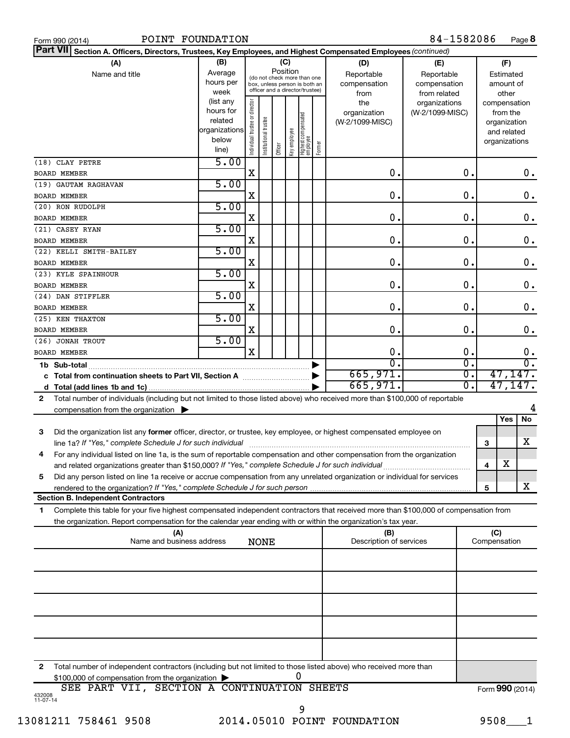|  | Form 990 (2014 |
|--|----------------|

| Part VII Section A. Officers, Directors, Trustees, Key Employees, and Highest Compensated Employees (continued)                           |                        |                                |                       |         |              |                                   |        |                         |                 |                 |                             |               |
|-------------------------------------------------------------------------------------------------------------------------------------------|------------------------|--------------------------------|-----------------------|---------|--------------|-----------------------------------|--------|-------------------------|-----------------|-----------------|-----------------------------|---------------|
| (A)                                                                                                                                       | (B)                    |                                |                       |         | (C)          |                                   |        | (D)                     | (E)             |                 | (F)                         |               |
| Name and title                                                                                                                            | Average                |                                |                       |         | Position     | (do not check more than one       |        | Reportable              | Reportable      |                 | Estimated                   |               |
|                                                                                                                                           | hours per              |                                |                       |         |              | box, unless person is both an     |        | compensation            | compensation    |                 | amount of                   |               |
|                                                                                                                                           | week                   |                                |                       |         |              | officer and a director/trustee)   |        | from                    | from related    |                 | other                       |               |
|                                                                                                                                           | (list any<br>hours for |                                |                       |         |              |                                   |        | the                     | organizations   |                 | compensation                |               |
|                                                                                                                                           | related                |                                |                       |         |              |                                   |        | organization            | (W-2/1099-MISC) |                 | from the                    |               |
|                                                                                                                                           | organizations          |                                |                       |         |              |                                   |        | (W-2/1099-MISC)         |                 |                 | organization<br>and related |               |
|                                                                                                                                           | below                  |                                |                       |         |              |                                   |        |                         |                 |                 | organizations               |               |
|                                                                                                                                           | line)                  | Individual trustee or director | Institutional trustee | Officer | Key employee | Highest compensated<br>  employee | Former |                         |                 |                 |                             |               |
| (18) CLAY PETRE                                                                                                                           | 5.00                   |                                |                       |         |              |                                   |        |                         |                 |                 |                             |               |
| <b>BOARD MEMBER</b>                                                                                                                       |                        | $\mathbf X$                    |                       |         |              |                                   |        | $\mathbf 0$ .           | О.              |                 |                             | $0$ .         |
| (19) GAUTAM RAGHAVAN                                                                                                                      | 5.00                   |                                |                       |         |              |                                   |        |                         |                 |                 |                             |               |
| <b>BOARD MEMBER</b>                                                                                                                       |                        | X                              |                       |         |              |                                   |        | $\mathbf 0$ .           | $\mathbf 0$ .   |                 |                             | 0.            |
| (20) RON RUDOLPH                                                                                                                          | 5.00                   | X                              |                       |         |              |                                   |        | $\mathbf 0$ .           | $\mathbf 0$ .   |                 |                             | $\mathbf 0$ . |
| <b>BOARD MEMBER</b><br>(21) CASEY RYAN                                                                                                    | 5.00                   |                                |                       |         |              |                                   |        |                         |                 |                 |                             |               |
| <b>BOARD MEMBER</b>                                                                                                                       |                        | X                              |                       |         |              |                                   |        | $\mathbf 0$ .           | О.              |                 |                             | $\mathbf 0$ . |
| (22) KELLI SMITH-BAILEY                                                                                                                   | 5.00                   |                                |                       |         |              |                                   |        |                         |                 |                 |                             |               |
| <b>BOARD MEMBER</b>                                                                                                                       |                        | X                              |                       |         |              |                                   |        | $\mathbf 0$ .           | О.              |                 |                             | $\mathbf 0$ . |
| (23) KYLE SPAINHOUR                                                                                                                       | 5.00                   |                                |                       |         |              |                                   |        |                         |                 |                 |                             |               |
| <b>BOARD MEMBER</b>                                                                                                                       |                        | X                              |                       |         |              |                                   |        | $\mathbf 0$ .           | $\mathbf 0$ .   |                 |                             | $\mathbf 0$ . |
| (24) DAN STIFFLER                                                                                                                         | 5.00                   |                                |                       |         |              |                                   |        |                         |                 |                 |                             |               |
| <b>BOARD MEMBER</b>                                                                                                                       | 5.00                   | X                              |                       |         |              |                                   |        | $\mathbf 0$ .           | $\mathbf 0$ .   |                 |                             | $\mathbf 0$ . |
| (25) KEN THAXTON<br><b>BOARD MEMBER</b>                                                                                                   |                        | X                              |                       |         |              |                                   |        | $\mathbf 0$ .           | $\mathbf 0$ .   |                 |                             | $\mathbf 0$ . |
| (26) JONAH TROUT                                                                                                                          | 5.00                   |                                |                       |         |              |                                   |        |                         |                 |                 |                             |               |
| <b>BOARD MEMBER</b>                                                                                                                       |                        | $\mathbf x$                    |                       |         |              |                                   |        | О.                      | О.              |                 |                             | 0.            |
| 1b Sub-total                                                                                                                              |                        |                                |                       |         |              |                                   |        | $\overline{0}$ .        | σ.              |                 |                             | σ.            |
|                                                                                                                                           |                        |                                |                       |         |              |                                   |        | 665,971.                | σ.              |                 |                             | 47, 147.      |
|                                                                                                                                           |                        |                                |                       |         |              |                                   |        | 665,971.                | О.              |                 |                             | 47, 147.      |
| Total number of individuals (including but not limited to those listed above) who received more than \$100,000 of reportable<br>2         |                        |                                |                       |         |              |                                   |        |                         |                 |                 |                             |               |
| compensation from the organization $\blacktriangleright$                                                                                  |                        |                                |                       |         |              |                                   |        |                         |                 |                 |                             | 4             |
|                                                                                                                                           |                        |                                |                       |         |              |                                   |        |                         |                 |                 | Yes                         | <b>No</b>     |
| Did the organization list any former officer, director, or trustee, key employee, or highest compensated employee on<br>3                 |                        |                                |                       |         |              |                                   |        |                         |                 |                 |                             |               |
| line 1a? If "Yes," complete Schedule J for such individual                                                                                |                        |                                |                       |         |              |                                   |        |                         |                 | 3               |                             | x             |
| For any individual listed on line 1a, is the sum of reportable compensation and other compensation from the organization<br>4             |                        |                                |                       |         |              |                                   |        |                         |                 |                 | $\overline{\text{X}}$       |               |
| and related organizations greater than \$150,000? If "Yes," complete Schedule J for such individual                                       |                        |                                |                       |         |              |                                   |        |                         |                 | 4               |                             |               |
| Did any person listed on line 1a receive or accrue compensation from any unrelated organization or individual for services<br>5           |                        |                                |                       |         |              |                                   |        |                         |                 |                 |                             | x             |
| rendered to the organization? If "Yes," complete Schedule J for such person.<br><b>Section B. Independent Contractors</b>                 |                        |                                |                       |         |              |                                   |        |                         |                 | 5               |                             |               |
| Complete this table for your five highest compensated independent contractors that received more than \$100,000 of compensation from<br>1 |                        |                                |                       |         |              |                                   |        |                         |                 |                 |                             |               |
| the organization. Report compensation for the calendar year ending with or within the organization's tax year.                            |                        |                                |                       |         |              |                                   |        |                         |                 |                 |                             |               |
| (A)                                                                                                                                       |                        |                                |                       |         |              |                                   |        | (B)                     |                 | (C)             |                             |               |
| Name and business address                                                                                                                 |                        |                                | <b>NONE</b>           |         |              |                                   |        | Description of services |                 | Compensation    |                             |               |
|                                                                                                                                           |                        |                                |                       |         |              |                                   |        |                         |                 |                 |                             |               |
|                                                                                                                                           |                        |                                |                       |         |              |                                   |        |                         |                 |                 |                             |               |
|                                                                                                                                           |                        |                                |                       |         |              |                                   |        |                         |                 |                 |                             |               |
|                                                                                                                                           |                        |                                |                       |         |              |                                   |        |                         |                 |                 |                             |               |
|                                                                                                                                           |                        |                                |                       |         |              |                                   |        |                         |                 |                 |                             |               |
|                                                                                                                                           |                        |                                |                       |         |              |                                   |        |                         |                 |                 |                             |               |
|                                                                                                                                           |                        |                                |                       |         |              |                                   |        |                         |                 |                 |                             |               |
|                                                                                                                                           |                        |                                |                       |         |              |                                   |        |                         |                 |                 |                             |               |
| Total number of independent contractors (including but not limited to those listed above) who received more than<br>2                     |                        |                                |                       |         |              |                                   |        |                         |                 |                 |                             |               |
| \$100,000 of compensation from the organization                                                                                           |                        |                                |                       |         |              | 0                                 |        |                         |                 |                 |                             |               |
| SEE PART VII, SECTION A CONTINUATION SHEETS                                                                                               |                        |                                |                       |         |              |                                   |        |                         |                 | Form 990 (2014) |                             |               |
| 432008<br>11-07-14                                                                                                                        |                        |                                |                       |         |              |                                   |        |                         |                 |                 |                             |               |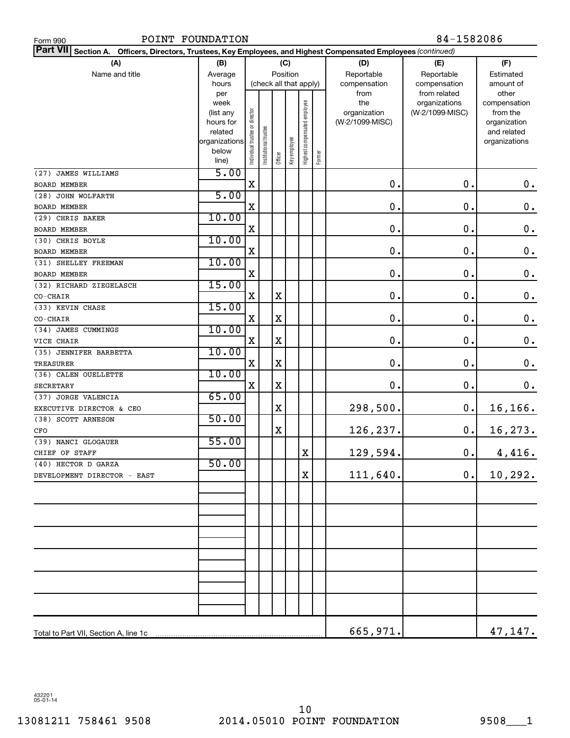| POINT FOUNDATION<br>Form 990                                                                                       |                          |                                | 84-1582086            |             |              |                              |        |                 |                               |                              |  |
|--------------------------------------------------------------------------------------------------------------------|--------------------------|--------------------------------|-----------------------|-------------|--------------|------------------------------|--------|-----------------|-------------------------------|------------------------------|--|
| Part VII Section A.<br>Officers, Directors, Trustees, Key Employees, and Highest Compensated Employees (continued) |                          |                                |                       |             |              |                              |        |                 |                               |                              |  |
| (A)                                                                                                                | (B)                      |                                |                       |             | (C)          |                              |        | (D)             | (E)                           | (F)                          |  |
| Name and title                                                                                                     | Average                  |                                |                       | Position    |              |                              |        | Reportable      | Reportable                    | Estimated                    |  |
|                                                                                                                    | hours                    |                                |                       |             |              | (check all that apply)       |        | compensation    | compensation                  | amount of<br>other           |  |
|                                                                                                                    | per<br>week              |                                |                       |             |              |                              |        | from<br>the     | from related<br>organizations | compensation                 |  |
|                                                                                                                    | (list any                |                                |                       |             |              |                              |        | organization    | (W-2/1099-MISC)               | from the                     |  |
|                                                                                                                    | hours for                |                                |                       |             |              |                              |        | (W-2/1099-MISC) |                               | organization                 |  |
|                                                                                                                    | related<br>organizations |                                |                       |             |              |                              |        |                 |                               | and related<br>organizations |  |
|                                                                                                                    | below                    | Individual trustee or director | Institutional trustee |             | Key employee | Highest compensated employee |        |                 |                               |                              |  |
|                                                                                                                    | line)                    |                                |                       | Officer     |              |                              | Former |                 |                               |                              |  |
| (27) JAMES WILLIAMS                                                                                                | 5.00                     |                                |                       |             |              |                              |        |                 |                               |                              |  |
| <b>BOARD MEMBER</b>                                                                                                |                          | X                              |                       |             |              |                              |        | $\mathbf 0$     | $\mathbf 0$ .                 | $\mathbf 0$ .                |  |
| (28) JOHN WOLFARTH                                                                                                 | 5.00                     |                                |                       |             |              |                              |        |                 |                               |                              |  |
| BOARD MEMBER                                                                                                       |                          | Χ                              |                       |             |              |                              |        | $\mathbf 0$     | 0.                            | $\mathbf 0$ .                |  |
| (29) CHRIS BAKER                                                                                                   | 10.00                    |                                |                       |             |              |                              |        |                 |                               |                              |  |
| BOARD MEMBER                                                                                                       |                          | Χ                              |                       |             |              |                              |        | $\mathbf 0$     | $\mathbf 0$                   | $\mathbf 0$ .                |  |
| (30) CHRIS BOYLE                                                                                                   | 10.00                    |                                |                       |             |              |                              |        |                 |                               |                              |  |
| BOARD MEMBER                                                                                                       |                          | Χ                              |                       |             |              |                              |        | $\mathbf 0$     | 0.                            | $\mathbf 0$ .                |  |
| (31) SHELLEY FREEMAN                                                                                               | 10.00                    | Χ                              |                       |             |              |                              |        | 0               | 0.                            | $\mathbf 0$ .                |  |
| BOARD MEMBER<br>(32) RICHARD ZIEGELASCH                                                                            | 15.00                    |                                |                       |             |              |                              |        |                 |                               |                              |  |
| CO-CHAIR                                                                                                           |                          | X                              |                       | $\mathbf X$ |              |                              |        | 0               | 0.                            | $\mathbf 0$ .                |  |
| (33) KEVIN CHASE                                                                                                   | 15.00                    |                                |                       |             |              |                              |        |                 |                               |                              |  |
| CO-CHAIR                                                                                                           |                          | X                              |                       | $\mathbf X$ |              |                              |        | 0               | 0.                            | $\mathbf 0$ .                |  |
| (34) JAMES CUMMINGS                                                                                                | 10.00                    |                                |                       |             |              |                              |        |                 |                               |                              |  |
| VICE CHAIR                                                                                                         |                          | X                              |                       | $\mathbf X$ |              |                              |        | 0               | 0.                            | $\mathbf 0$ .                |  |
| (35) JENNIFER BARBETTA                                                                                             | 10.00                    |                                |                       |             |              |                              |        |                 |                               |                              |  |
| TREASURER                                                                                                          |                          | X                              |                       | $\mathbf X$ |              |                              |        | 0               | 0.                            | $\mathbf 0$ .                |  |
| (36) CALEN OUELLETTE                                                                                               | 10.00                    |                                |                       |             |              |                              |        |                 |                               |                              |  |
| SECRETARY                                                                                                          |                          | X                              |                       | $\mathbf X$ |              |                              |        | 0               | $\mathbf 0$ .                 | 0.                           |  |
| (37) JORGE VALENCIA                                                                                                | 65.00                    |                                |                       |             |              |                              |        |                 |                               |                              |  |
| EXECUTIVE DIRECTOR & CEO                                                                                           |                          |                                |                       | X           |              |                              |        | 298,500.        | 0.                            | 16,166.                      |  |
| (38) SCOTT ARNESON                                                                                                 | 50.00                    |                                |                       | X           |              |                              |        | 126,237.        | 0.                            | 16,273.                      |  |
| CFO<br>(39) NANCI GLOGAUER                                                                                         | 55.00                    |                                |                       |             |              |                              |        |                 |                               |                              |  |
| CHIEF OF STAFF                                                                                                     |                          |                                |                       |             |              | X                            |        | 129,594.        | $0$ .                         | 4,416.                       |  |
| (40) HECTOR D GARZA                                                                                                | 50.00                    |                                |                       |             |              |                              |        |                 |                               |                              |  |
| DEVELOPMENT DIRECTOR - EAST                                                                                        |                          |                                |                       |             |              | $\mathbf X$                  |        | 111,640.        | $0$ .                         | 10, 292.                     |  |
|                                                                                                                    |                          |                                |                       |             |              |                              |        |                 |                               |                              |  |
|                                                                                                                    |                          |                                |                       |             |              |                              |        |                 |                               |                              |  |
|                                                                                                                    |                          |                                |                       |             |              |                              |        |                 |                               |                              |  |
|                                                                                                                    |                          |                                |                       |             |              |                              |        |                 |                               |                              |  |
|                                                                                                                    |                          |                                |                       |             |              |                              |        |                 |                               |                              |  |
|                                                                                                                    |                          |                                |                       |             |              |                              |        |                 |                               |                              |  |
|                                                                                                                    |                          |                                |                       |             |              |                              |        |                 |                               |                              |  |
|                                                                                                                    |                          |                                |                       |             |              |                              |        |                 |                               |                              |  |
|                                                                                                                    |                          |                                |                       |             |              |                              |        |                 |                               |                              |  |
|                                                                                                                    |                          |                                |                       |             |              |                              |        |                 |                               |                              |  |
|                                                                                                                    |                          |                                |                       |             |              |                              |        |                 |                               |                              |  |
|                                                                                                                    |                          |                                |                       |             |              |                              |        |                 |                               |                              |  |
| Total to Part VII, Section A, line 1c                                                                              |                          |                                |                       |             |              |                              |        | 665,971.        |                               | 47,147.                      |  |

432201 05-01-14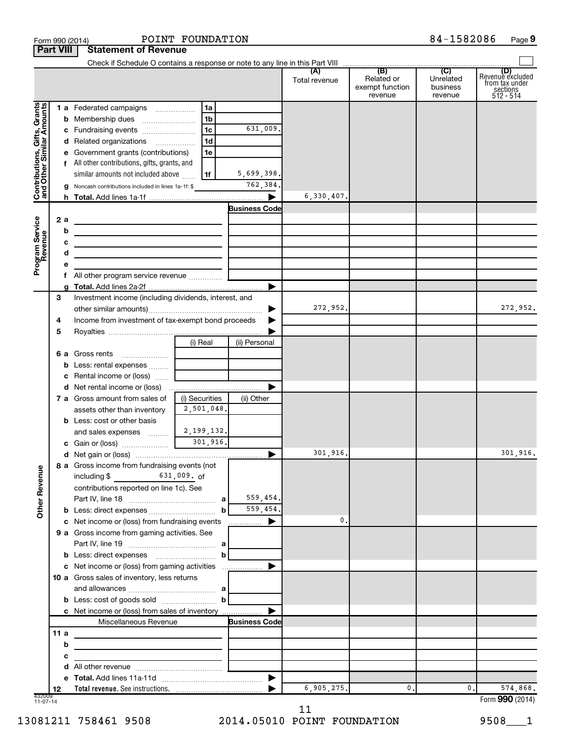|                                                           | <b>Part VIII</b> | <b>Statement of Revenue</b>                                                                                           |                                          |                       |               |                                          |                                  |                                                             |
|-----------------------------------------------------------|------------------|-----------------------------------------------------------------------------------------------------------------------|------------------------------------------|-----------------------|---------------|------------------------------------------|----------------------------------|-------------------------------------------------------------|
|                                                           |                  |                                                                                                                       |                                          |                       |               |                                          |                                  | (D)                                                         |
|                                                           |                  |                                                                                                                       |                                          |                       | Total revenue | Related or<br>exempt function<br>revenue | Unrelated<br>business<br>revenue | Revenue excluded<br>from tax under<br>sections<br>512 - 514 |
| Contributions, Gifts, Grants<br>and Other Similar Amounts |                  | 1 a Federated campaigns                                                                                               | 1a                                       |                       |               |                                          |                                  |                                                             |
|                                                           | b                |                                                                                                                       | 1b                                       |                       |               |                                          |                                  |                                                             |
|                                                           |                  |                                                                                                                       | 1 <sub>c</sub>                           | 631,009.              |               |                                          |                                  |                                                             |
|                                                           |                  | d Related organizations                                                                                               | 1 <sub>d</sub>                           |                       |               |                                          |                                  |                                                             |
|                                                           |                  | Government grants (contributions)                                                                                     | 1e                                       |                       |               |                                          |                                  |                                                             |
|                                                           |                  | f All other contributions, gifts, grants, and                                                                         |                                          |                       |               |                                          |                                  |                                                             |
|                                                           |                  | similar amounts not included above                                                                                    | 1f                                       | 5,699,398.            |               |                                          |                                  |                                                             |
|                                                           |                  | Noncash contributions included in lines 1a-1f: \$                                                                     |                                          | 762,384.              |               |                                          |                                  |                                                             |
|                                                           |                  |                                                                                                                       |                                          | $\blacktriangleright$ | 6,330,407.    |                                          |                                  |                                                             |
|                                                           |                  |                                                                                                                       |                                          | <b>Business Code</b>  |               |                                          |                                  |                                                             |
|                                                           | 2a               | the contract of the contract of the contract of the contract of                                                       |                                          |                       |               |                                          |                                  |                                                             |
|                                                           | b                | <u> 1989 - Johann Barbara, martin amerikan basar dan basar dan basar dalam basar dalam basar dalam basar dalam ba</u> |                                          |                       |               |                                          |                                  |                                                             |
|                                                           | с                | <u> 1989 - Johann Barbara, martxa alemaniar arg</u>                                                                   |                                          |                       |               |                                          |                                  |                                                             |
| Program Service<br>Revenue                                | d                | the control of the control of the control of the control of the control of                                            |                                          |                       |               |                                          |                                  |                                                             |
|                                                           | е                |                                                                                                                       |                                          |                       |               |                                          |                                  |                                                             |
|                                                           |                  |                                                                                                                       |                                          |                       |               |                                          |                                  |                                                             |
|                                                           | 3                | Investment income (including dividends, interest, and                                                                 |                                          |                       |               |                                          |                                  |                                                             |
|                                                           |                  |                                                                                                                       |                                          |                       | 272,952.      |                                          |                                  | 272,952.                                                    |
|                                                           | 4                | Income from investment of tax-exempt bond proceeds                                                                    |                                          |                       |               |                                          |                                  |                                                             |
|                                                           | 5                |                                                                                                                       |                                          |                       |               |                                          |                                  |                                                             |
|                                                           |                  |                                                                                                                       | (i) Real                                 | (ii) Personal         |               |                                          |                                  |                                                             |
|                                                           |                  | <b>6 a</b> Gross rents                                                                                                |                                          |                       |               |                                          |                                  |                                                             |
|                                                           | b                | Less: rental expenses                                                                                                 |                                          |                       |               |                                          |                                  |                                                             |
|                                                           | с                | Rental income or (loss)                                                                                               |                                          |                       |               |                                          |                                  |                                                             |
|                                                           |                  |                                                                                                                       |                                          |                       |               |                                          |                                  |                                                             |
|                                                           |                  | 7 a Gross amount from sales of                                                                                        | (i) Securities                           | (ii) Other            |               |                                          |                                  |                                                             |
|                                                           |                  | assets other than inventory                                                                                           | 2,501,048.                               |                       |               |                                          |                                  |                                                             |
|                                                           |                  | <b>b</b> Less: cost or other basis                                                                                    |                                          |                       |               |                                          |                                  |                                                             |
|                                                           |                  | and sales expenses  [                                                                                                 | 2,199,132.                               |                       |               |                                          |                                  |                                                             |
|                                                           |                  |                                                                                                                       |                                          |                       |               |                                          |                                  |                                                             |
|                                                           |                  |                                                                                                                       |                                          |                       | 301,916.      |                                          |                                  | 301,916.                                                    |
| <b>Other Revenue</b>                                      |                  | 8 a Gross income from fundraising events (not<br>including \$                                                         | $631,009.$ of                            |                       |               |                                          |                                  |                                                             |
|                                                           |                  | contributions reported on line 1c). See                                                                               |                                          |                       |               |                                          |                                  |                                                             |
|                                                           |                  |                                                                                                                       |                                          | 559,454.              |               |                                          |                                  |                                                             |
|                                                           |                  |                                                                                                                       | $\mathbf b$                              | 559,454.              |               |                                          |                                  |                                                             |
|                                                           |                  | c Net income or (loss) from fundraising events                                                                        |                                          | $\frac{1}{2}$         | 0.            |                                          |                                  |                                                             |
|                                                           |                  | 9 a Gross income from gaming activities. See                                                                          |                                          |                       |               |                                          |                                  |                                                             |
|                                                           |                  |                                                                                                                       |                                          |                       |               |                                          |                                  |                                                             |
|                                                           |                  | <b>b</b> Less: direct expenses                                                                                        | b                                        |                       |               |                                          |                                  |                                                             |
|                                                           |                  |                                                                                                                       |                                          |                       |               |                                          |                                  |                                                             |
|                                                           |                  | 10 a Gross sales of inventory, less returns                                                                           |                                          |                       |               |                                          |                                  |                                                             |
|                                                           |                  |                                                                                                                       |                                          |                       |               |                                          |                                  |                                                             |
|                                                           |                  |                                                                                                                       |                                          |                       |               |                                          |                                  |                                                             |
|                                                           |                  | c Net income or (loss) from sales of inventory                                                                        |                                          |                       |               |                                          |                                  |                                                             |
|                                                           |                  | Miscellaneous Revenue                                                                                                 |                                          | <b>Business Code</b>  |               |                                          |                                  |                                                             |
|                                                           | 11a              |                                                                                                                       |                                          |                       |               |                                          |                                  |                                                             |
|                                                           | b                |                                                                                                                       |                                          |                       |               |                                          |                                  |                                                             |
|                                                           | с                |                                                                                                                       | <u> 1989 - Johann Barbara, martxa al</u> |                       |               |                                          |                                  |                                                             |
|                                                           | d                |                                                                                                                       |                                          |                       |               |                                          |                                  |                                                             |
|                                                           | е<br>12          |                                                                                                                       |                                          |                       | 6,905,275.    | 0.                                       | 0.                               | 574,868.                                                    |
| 432009<br>11-07-14                                        |                  |                                                                                                                       |                                          |                       |               |                                          |                                  | Form 990 (2014)                                             |

Form 990 (2014) POINT FOUNDATION  $84-1582086$  Page

84-1582086 Page 9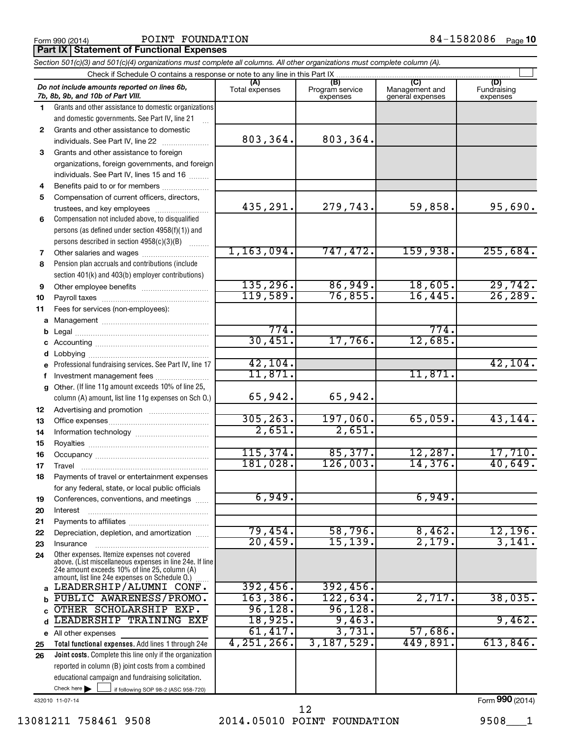Form 990 (2014)  $\begin{array}{cccc} \text{POLNT} & \text{FOUNDATION} \end{array}$  84-1582086  $\begin{array}{cccc} \text{Page} & \text{POLNT} & \text{POLNT} \end{array}$ 

**Part IX Statement of Functional Expenses** 

|              | Section 501(c)(3) and 501(c)(4) organizations must complete all columns. All other organizations must complete column (A).                                                                                       |                       |                                    |                                           |                                |
|--------------|------------------------------------------------------------------------------------------------------------------------------------------------------------------------------------------------------------------|-----------------------|------------------------------------|-------------------------------------------|--------------------------------|
|              | Check if Schedule O contains a response or note to any line in this Part IX                                                                                                                                      |                       |                                    |                                           |                                |
|              | Do not include amounts reported on lines 6b,<br>7b, 8b, 9b, and 10b of Part VIII.                                                                                                                                | (A)<br>Total expenses | (B)<br>Program service<br>expenses | (C)<br>Management and<br>general expenses | (D)<br>Fundraising<br>expenses |
| 1.           | Grants and other assistance to domestic organizations                                                                                                                                                            |                       |                                    |                                           |                                |
|              | and domestic governments. See Part IV, line 21                                                                                                                                                                   |                       |                                    |                                           |                                |
| $\mathbf{2}$ | Grants and other assistance to domestic                                                                                                                                                                          |                       |                                    |                                           |                                |
|              | individuals. See Part IV, line 22                                                                                                                                                                                | 803,364.              | 803,364.                           |                                           |                                |
| 3            | Grants and other assistance to foreign                                                                                                                                                                           |                       |                                    |                                           |                                |
|              | organizations, foreign governments, and foreign                                                                                                                                                                  |                       |                                    |                                           |                                |
|              | individuals. See Part IV, lines 15 and 16                                                                                                                                                                        |                       |                                    |                                           |                                |
| 4            | Benefits paid to or for members                                                                                                                                                                                  |                       |                                    |                                           |                                |
| 5            | Compensation of current officers, directors,                                                                                                                                                                     |                       |                                    |                                           |                                |
|              | trustees, and key employees                                                                                                                                                                                      | 435,291.              | 279,743.                           | 59,858.                                   | 95,690.                        |
| 6            | Compensation not included above, to disqualified                                                                                                                                                                 |                       |                                    |                                           |                                |
|              | persons (as defined under section 4958(f)(1)) and                                                                                                                                                                |                       |                                    |                                           |                                |
|              | persons described in section 4958(c)(3)(B)                                                                                                                                                                       |                       |                                    |                                           |                                |
| 7            |                                                                                                                                                                                                                  | 1, 163, 094.          | 747, 472.                          | 159,938.                                  | 255,684.                       |
| 8            | Pension plan accruals and contributions (include                                                                                                                                                                 |                       |                                    |                                           |                                |
|              | section 401(k) and 403(b) employer contributions)                                                                                                                                                                |                       |                                    |                                           |                                |
| 9            |                                                                                                                                                                                                                  | 135, 296.             | 86,949.                            | 18,605.                                   | 29,742.                        |
| 10           |                                                                                                                                                                                                                  | 119,589.              | 76,855.                            | 16,445.                                   | 26, 289.                       |
| 11           | Fees for services (non-employees):                                                                                                                                                                               |                       |                                    |                                           |                                |
| a            |                                                                                                                                                                                                                  |                       |                                    |                                           |                                |
| b            |                                                                                                                                                                                                                  | 774.                  |                                    | 774.                                      |                                |
|              |                                                                                                                                                                                                                  | 30,451.               | 17,766.                            | 12,685.                                   |                                |
| d            |                                                                                                                                                                                                                  |                       |                                    |                                           |                                |
|              | Professional fundraising services. See Part IV, line 17                                                                                                                                                          | 42, 104.              |                                    |                                           | 42, 104.                       |
| f            | Investment management fees                                                                                                                                                                                       | 11,871.               |                                    | 11,871.                                   |                                |
| g            | Other. (If line 11g amount exceeds 10% of line 25,<br>column (A) amount, list line 11g expenses on Sch O.)                                                                                                       | 65,942.               | 65,942.                            |                                           |                                |
| 12           |                                                                                                                                                                                                                  |                       |                                    |                                           |                                |
| 13           |                                                                                                                                                                                                                  | 305, 263.             | 197,060.                           | 65,059.                                   | 43, 144.                       |
| 14           |                                                                                                                                                                                                                  | 2,651.                | 2,651.                             |                                           |                                |
| 15           |                                                                                                                                                                                                                  |                       |                                    |                                           |                                |
| 16           |                                                                                                                                                                                                                  | 115,374.              | 85,377.                            | 12,287.                                   | 17,710.                        |
| 17           |                                                                                                                                                                                                                  | 181,028.              | 126,003.                           | 14,376.                                   | 40,649.                        |
| 18           | Payments of travel or entertainment expenses                                                                                                                                                                     |                       |                                    |                                           |                                |
|              | for any federal, state, or local public officials                                                                                                                                                                |                       |                                    |                                           |                                |
| 19           | Conferences, conventions, and meetings                                                                                                                                                                           | 6,949.                |                                    | 6,949.                                    |                                |
| 20           | Interest                                                                                                                                                                                                         |                       |                                    |                                           |                                |
| 21           |                                                                                                                                                                                                                  |                       |                                    |                                           |                                |
| 22           | Depreciation, depletion, and amortization                                                                                                                                                                        | 79,454.               | 58,796.                            | 8,462.                                    | 12,196.                        |
| 23           | Insurance                                                                                                                                                                                                        | 20,459.               | 15, 139.                           | 2,179.                                    | 3,141.                         |
| 24           | Other expenses. Itemize expenses not covered<br>above. (List miscellaneous expenses in line 24e. If line<br>24e amount exceeds 10% of line 25, column (A)<br>amount, list line 24e expenses on Schedule O.)<br>. |                       |                                    |                                           |                                |
| a            | LEADERSHIP/ALUMNI CONF.                                                                                                                                                                                          | 392,456.              | 392,456.                           |                                           |                                |
| b            | PUBLIC AWARENESS/PROMO.                                                                                                                                                                                          | 163, 386.             | 122,634.                           | 2,717.                                    | 38,035.                        |
|              | OTHER SCHOLARSHIP EXP.                                                                                                                                                                                           | 96, 128.              | 96,128.                            |                                           |                                |
| d            | LEADERSHIP TRAINING<br>EXP                                                                                                                                                                                       | 18,925.               | 9,463.                             |                                           | 9,462.                         |
|              | e All other expenses                                                                                                                                                                                             | 61,417.               | 3,731.                             | 57,686.                                   |                                |
| 25           | Total functional expenses. Add lines 1 through 24e                                                                                                                                                               | 4, 251, 266.          | 3,187,529.                         | 449,891.                                  | 613,846.                       |
| 26           | Joint costs. Complete this line only if the organization                                                                                                                                                         |                       |                                    |                                           |                                |
|              | reported in column (B) joint costs from a combined                                                                                                                                                               |                       |                                    |                                           |                                |
|              | educational campaign and fundraising solicitation.                                                                                                                                                               |                       |                                    |                                           |                                |
|              | Check here $\blacktriangleright$<br>if following SOP 98-2 (ASC 958-720)                                                                                                                                          |                       |                                    |                                           |                                |

432010 11-07-14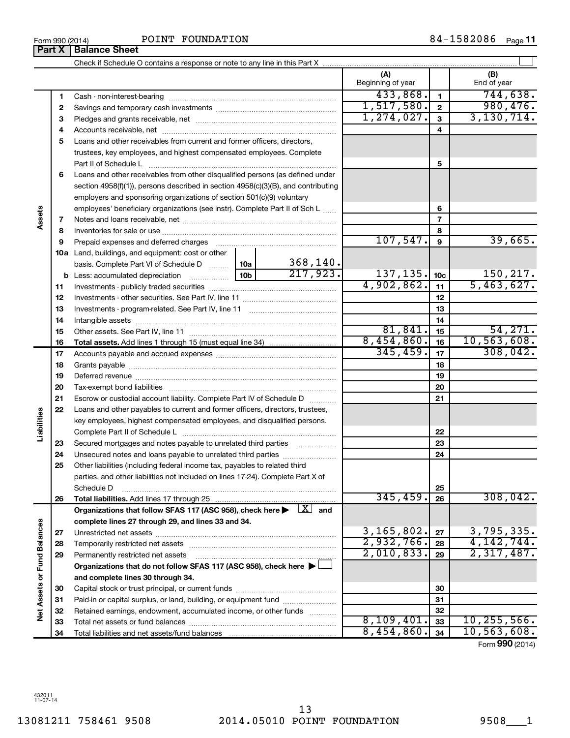**Part X Balance Sheet**

|                             |    |                                                                                                                                                                                                                               |                 |            | (A)<br>Beginning of year |                         | (B)<br>End of year    |
|-----------------------------|----|-------------------------------------------------------------------------------------------------------------------------------------------------------------------------------------------------------------------------------|-----------------|------------|--------------------------|-------------------------|-----------------------|
|                             | 1  |                                                                                                                                                                                                                               |                 |            | 433,868.                 | $\blacksquare$          | 744,638.              |
|                             | 2  |                                                                                                                                                                                                                               |                 |            | 1,517,580.               | $\overline{\mathbf{2}}$ | 980, 476.             |
|                             | З  |                                                                                                                                                                                                                               |                 |            | 1, 274, 027.             | 3                       | 3,130,714.            |
|                             | 4  |                                                                                                                                                                                                                               |                 |            |                          | 4                       |                       |
|                             | 5  | Loans and other receivables from current and former officers, directors,                                                                                                                                                      |                 |            |                          |                         |                       |
|                             |    | trustees, key employees, and highest compensated employees. Complete                                                                                                                                                          |                 |            |                          |                         |                       |
|                             |    | Part II of Schedule Latin minimum and all the Schedule Latin minimum and all the Marian minimum and the Schedule                                                                                                              |                 |            |                          | 5                       |                       |
|                             | 6  | Loans and other receivables from other disqualified persons (as defined under                                                                                                                                                 |                 |            |                          |                         |                       |
|                             |    | section 4958(f)(1)), persons described in section 4958(c)(3)(B), and contributing                                                                                                                                             |                 |            |                          |                         |                       |
|                             |    | employers and sponsoring organizations of section 501(c)(9) voluntary                                                                                                                                                         |                 |            |                          |                         |                       |
|                             |    | employees' beneficiary organizations (see instr). Complete Part II of Sch L                                                                                                                                                   |                 | 6          |                          |                         |                       |
| Assets                      | 7  |                                                                                                                                                                                                                               |                 |            |                          | 7                       |                       |
|                             | 8  |                                                                                                                                                                                                                               |                 |            |                          | 8                       |                       |
|                             | 9  | Prepaid expenses and deferred charges [11] [11] Drepaid expenses and deferred charges [11] [11] Martin Marian Marian Marian Marian Marian Marian Marian Marian Marian Marian Marian Marian Marian Marian Marian Marian Marian |                 |            | 107,547.                 | $\boldsymbol{9}$        | 39,665.               |
|                             |    | 10a Land, buildings, and equipment: cost or other                                                                                                                                                                             |                 |            |                          |                         |                       |
|                             |    | basis. Complete Part VI of Schedule D  10a                                                                                                                                                                                    |                 | 368,140.   |                          |                         |                       |
|                             |    |                                                                                                                                                                                                                               | 10 <sub>b</sub> | 217,923.   | 137, 135.                | 10 <sub>c</sub>         | 150,217.              |
|                             | 11 |                                                                                                                                                                                                                               |                 | 4,902,862. | 11                       | 5,463,627.              |                       |
|                             | 12 |                                                                                                                                                                                                                               |                 | 12         |                          |                         |                       |
|                             | 13 |                                                                                                                                                                                                                               |                 |            | 13                       |                         |                       |
|                             | 14 |                                                                                                                                                                                                                               |                 |            | 14                       |                         |                       |
|                             | 15 |                                                                                                                                                                                                                               |                 |            | 81,841.                  | 15                      | 54, 271.              |
|                             | 16 |                                                                                                                                                                                                                               |                 |            | 8,454,860.               | 16                      | 10, 563, 608.         |
|                             | 17 |                                                                                                                                                                                                                               |                 | 345, 459.  | 17                       | 308,042.                |                       |
|                             | 18 |                                                                                                                                                                                                                               |                 | 18         |                          |                         |                       |
|                             | 19 |                                                                                                                                                                                                                               |                 |            | 19                       |                         |                       |
|                             | 20 |                                                                                                                                                                                                                               |                 |            |                          | 20                      |                       |
|                             | 21 | Escrow or custodial account liability. Complete Part IV of Schedule D                                                                                                                                                         |                 |            |                          | 21                      |                       |
|                             | 22 | Loans and other payables to current and former officers, directors, trustees,                                                                                                                                                 |                 |            |                          |                         |                       |
|                             |    | key employees, highest compensated employees, and disqualified persons.                                                                                                                                                       |                 |            |                          |                         |                       |
| Liabilities                 |    |                                                                                                                                                                                                                               |                 |            |                          | 22                      |                       |
|                             | 23 | Secured mortgages and notes payable to unrelated third parties                                                                                                                                                                |                 |            |                          | 23                      |                       |
|                             | 24 | Unsecured notes and loans payable to unrelated third parties                                                                                                                                                                  |                 |            |                          | 24                      |                       |
|                             | 25 | Other liabilities (including federal income tax, payables to related third                                                                                                                                                    |                 |            |                          |                         |                       |
|                             |    | parties, and other liabilities not included on lines 17-24). Complete Part X of                                                                                                                                               |                 |            |                          |                         |                       |
|                             |    | Schedule D                                                                                                                                                                                                                    |                 |            |                          | 25                      |                       |
|                             | 26 |                                                                                                                                                                                                                               |                 |            | 345, 459.                | 26                      | 308,042.              |
|                             |    | Organizations that follow SFAS 117 (ASC 958), check here $\blacktriangleright \begin{array}{c} \perp X \end{array}$ and                                                                                                       |                 |            |                          |                         |                       |
|                             |    | complete lines 27 through 29, and lines 33 and 34.                                                                                                                                                                            |                 |            | 3, 165, 802.             |                         | 3,795,335.            |
|                             | 27 |                                                                                                                                                                                                                               |                 |            | 2,932,766.               | 27                      | 4, 142, 744.          |
|                             | 28 |                                                                                                                                                                                                                               |                 |            | 2,010,833.               | 28                      | 2,317,487.            |
|                             | 29 | Permanently restricted net assets                                                                                                                                                                                             |                 |            |                          | 29                      |                       |
|                             |    | Organizations that do not follow SFAS 117 (ASC 958), check here ▶ [                                                                                                                                                           |                 |            |                          |                         |                       |
|                             |    | and complete lines 30 through 34.                                                                                                                                                                                             |                 |            |                          |                         |                       |
|                             | 30 |                                                                                                                                                                                                                               |                 |            | 30                       |                         |                       |
| Net Assets or Fund Balances | 31 | Paid-in or capital surplus, or land, building, or equipment fund                                                                                                                                                              |                 |            |                          | 31                      |                       |
|                             | 32 | Retained earnings, endowment, accumulated income, or other funds                                                                                                                                                              |                 |            | 8,109,401.               | 32<br>33                | 10, 255, 566.         |
|                             | 33 |                                                                                                                                                                                                                               |                 |            | 8,454,860.               | 34                      | 10, 563, 608.         |
|                             | 34 |                                                                                                                                                                                                                               |                 |            |                          |                         | $ -$ 000 $(0.01)^{1}$ |

Form (2014) **990**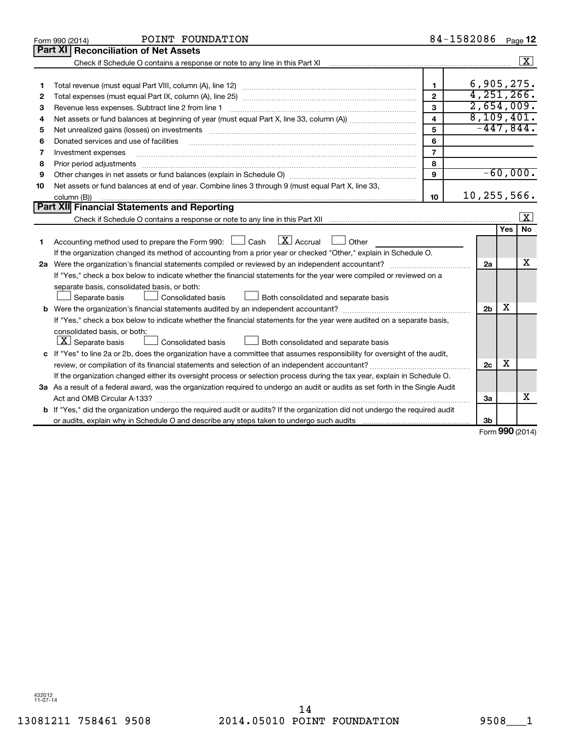|    | POINT FOUNDATION<br>Form 990 (2014)                                                                                                  |                         | 84-1582086     |                     | Page 12              |
|----|--------------------------------------------------------------------------------------------------------------------------------------|-------------------------|----------------|---------------------|----------------------|
|    | Part XI<br><b>Reconciliation of Net Assets</b>                                                                                       |                         |                |                     |                      |
|    |                                                                                                                                      |                         |                |                     | $\boxed{\textbf{X}}$ |
|    |                                                                                                                                      |                         |                |                     |                      |
| 1  |                                                                                                                                      | 1                       | 6,905,275.     |                     |                      |
| 2  |                                                                                                                                      | $\overline{2}$          | 4, 251, 266.   |                     |                      |
| 3  | Revenue less expenses. Subtract line 2 from line 1                                                                                   | 3                       | 2,654,009.     |                     |                      |
| 4  |                                                                                                                                      | $\overline{\mathbf{4}}$ | 8,109,401.     |                     |                      |
| 5  |                                                                                                                                      | 5                       | $-447,844.$    |                     |                      |
| 6  | Donated services and use of facilities                                                                                               | 6                       |                |                     |                      |
| 7  | Investment expenses                                                                                                                  | $\overline{7}$          |                |                     |                      |
| 8  |                                                                                                                                      | 8                       |                |                     |                      |
| 9  |                                                                                                                                      | 9                       |                |                     | $-60,000.$           |
| 10 | Net assets or fund balances at end of year. Combine lines 3 through 9 (must equal Part X, line 33,                                   |                         |                |                     |                      |
|    | column (B))                                                                                                                          | 10                      | 10,255,566.    |                     |                      |
|    | Part XII Financial Statements and Reporting                                                                                          |                         |                |                     |                      |
|    |                                                                                                                                      |                         |                |                     | X                    |
|    |                                                                                                                                      |                         |                | Yes                 | <b>No</b>            |
| 1  | $\lfloor x \rfloor$ Accrual<br>Accounting method used to prepare the Form 990: $\Box$ Cash<br>Other                                  |                         |                |                     |                      |
|    | If the organization changed its method of accounting from a prior year or checked "Other," explain in Schedule O.                    |                         |                |                     |                      |
|    |                                                                                                                                      |                         | 2a             |                     | x                    |
|    | If "Yes," check a box below to indicate whether the financial statements for the year were compiled or reviewed on a                 |                         |                |                     |                      |
|    | separate basis, consolidated basis, or both:                                                                                         |                         |                |                     |                      |
|    | Both consolidated and separate basis<br>Separate basis<br><b>Consolidated basis</b>                                                  |                         |                |                     |                      |
|    |                                                                                                                                      |                         | 2 <sub>b</sub> | x                   |                      |
|    | If "Yes," check a box below to indicate whether the financial statements for the year were audited on a separate basis,              |                         |                |                     |                      |
|    | consolidated basis, or both:                                                                                                         |                         |                |                     |                      |
|    | $ \mathbf{X} $ Separate basis<br>Consolidated basis<br>Both consolidated and separate basis                                          |                         |                |                     |                      |
|    | c If "Yes" to line 2a or 2b, does the organization have a committee that assumes responsibility for oversight of the audit,          |                         |                |                     |                      |
|    |                                                                                                                                      |                         | 2c             | х                   |                      |
|    | If the organization changed either its oversight process or selection process during the tax year, explain in Schedule O.            |                         |                |                     |                      |
|    | 3a As a result of a federal award, was the organization required to undergo an audit or audits as set forth in the Single Audit      |                         |                |                     |                      |
|    |                                                                                                                                      |                         | 3a             |                     | x                    |
|    | <b>b</b> If "Yes," did the organization undergo the required audit or audits? If the organization did not undergo the required audit |                         |                |                     |                      |
|    |                                                                                                                                      |                         | 3b             | $000 \, \text{GeV}$ |                      |
|    |                                                                                                                                      |                         |                |                     |                      |

Form (2014) **990**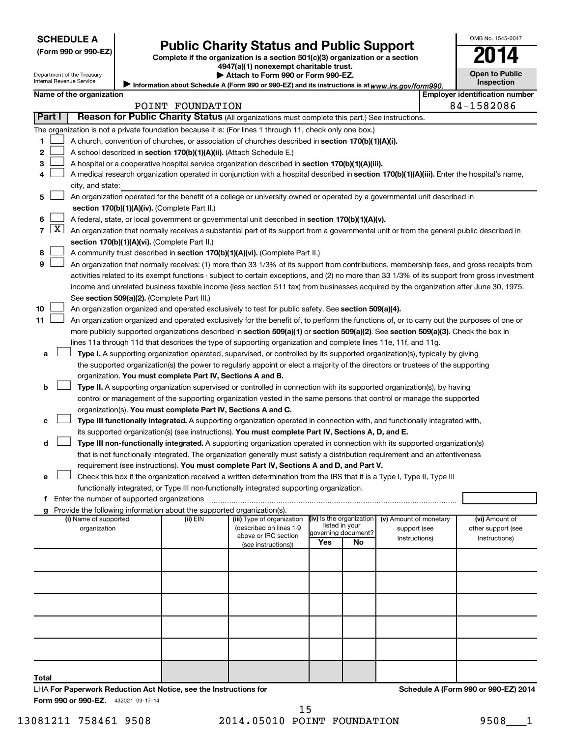| <b>SCHEDULE A</b> |  |
|-------------------|--|
|-------------------|--|

## **Public Charity Status and Public Support**

**(Form 990 or 990-EZ) Complete if the organization is a section 501(c)(3) organization or a section**

**4947(a)(1) nonexempt charitable trust.**

| <b>Open to Public</b><br>Inspection |
|-------------------------------------|

OMB No. 1545-0047

<u>Inter</u>

|    |            | Department of the Treasury<br>Internal Revenue Service                                                                                            |  | Attach to Form 990 or Form 990-EZ.<br>Information about Schedule A (Form 990 or 990-EZ) and its instructions is at www.irs.gov/form990. |                                                                                                                                               |     |                                            |                                        |  |                                                            |  |  |  |  |
|----|------------|---------------------------------------------------------------------------------------------------------------------------------------------------|--|-----------------------------------------------------------------------------------------------------------------------------------------|-----------------------------------------------------------------------------------------------------------------------------------------------|-----|--------------------------------------------|----------------------------------------|--|------------------------------------------------------------|--|--|--|--|
|    |            | Name of the organization                                                                                                                          |  |                                                                                                                                         |                                                                                                                                               |     |                                            |                                        |  | <b>Inspection</b><br><b>Employer identification number</b> |  |  |  |  |
|    |            |                                                                                                                                                   |  | POINT FOUNDATION                                                                                                                        |                                                                                                                                               |     |                                            |                                        |  | 84-1582086                                                 |  |  |  |  |
|    | Part I     |                                                                                                                                                   |  |                                                                                                                                         | Reason for Public Charity Status (All organizations must complete this part.) See instructions.                                               |     |                                            |                                        |  |                                                            |  |  |  |  |
|    |            |                                                                                                                                                   |  |                                                                                                                                         | The organization is not a private foundation because it is: (For lines 1 through 11, check only one box.)                                     |     |                                            |                                        |  |                                                            |  |  |  |  |
| 1  |            |                                                                                                                                                   |  |                                                                                                                                         | A church, convention of churches, or association of churches described in section 170(b)(1)(A)(i).                                            |     |                                            |                                        |  |                                                            |  |  |  |  |
|    |            |                                                                                                                                                   |  |                                                                                                                                         |                                                                                                                                               |     |                                            |                                        |  |                                                            |  |  |  |  |
| 2  |            |                                                                                                                                                   |  | A school described in section 170(b)(1)(A)(ii). (Attach Schedule E.)                                                                    |                                                                                                                                               |     |                                            |                                        |  |                                                            |  |  |  |  |
| 3  |            |                                                                                                                                                   |  |                                                                                                                                         | A hospital or a cooperative hospital service organization described in section 170(b)(1)(A)(iii).                                             |     |                                            |                                        |  |                                                            |  |  |  |  |
| 4  |            |                                                                                                                                                   |  |                                                                                                                                         | A medical research organization operated in conjunction with a hospital described in section 170(b)(1)(A)(iii). Enter the hospital's name,    |     |                                            |                                        |  |                                                            |  |  |  |  |
|    |            | city, and state:                                                                                                                                  |  |                                                                                                                                         |                                                                                                                                               |     |                                            |                                        |  |                                                            |  |  |  |  |
| 5  |            |                                                                                                                                                   |  |                                                                                                                                         | An organization operated for the benefit of a college or university owned or operated by a governmental unit described in                     |     |                                            |                                        |  |                                                            |  |  |  |  |
|    |            | section 170(b)(1)(A)(iv). (Complete Part II.)<br>A federal, state, or local government or governmental unit described in section 170(b)(1)(A)(v). |  |                                                                                                                                         |                                                                                                                                               |     |                                            |                                        |  |                                                            |  |  |  |  |
| 6  | <u>X  </u> |                                                                                                                                                   |  |                                                                                                                                         |                                                                                                                                               |     |                                            |                                        |  |                                                            |  |  |  |  |
| 7  |            |                                                                                                                                                   |  |                                                                                                                                         | An organization that normally receives a substantial part of its support from a governmental unit or from the general public described in     |     |                                            |                                        |  |                                                            |  |  |  |  |
|    |            |                                                                                                                                                   |  | section 170(b)(1)(A)(vi). (Complete Part II.)                                                                                           |                                                                                                                                               |     |                                            |                                        |  |                                                            |  |  |  |  |
| 8  |            |                                                                                                                                                   |  |                                                                                                                                         | A community trust described in section 170(b)(1)(A)(vi). (Complete Part II.)                                                                  |     |                                            |                                        |  |                                                            |  |  |  |  |
| 9  |            |                                                                                                                                                   |  |                                                                                                                                         | An organization that normally receives: (1) more than 33 1/3% of its support from contributions, membership fees, and gross receipts from     |     |                                            |                                        |  |                                                            |  |  |  |  |
|    |            |                                                                                                                                                   |  |                                                                                                                                         | activities related to its exempt functions - subject to certain exceptions, and (2) no more than 33 1/3% of its support from gross investment |     |                                            |                                        |  |                                                            |  |  |  |  |
|    |            |                                                                                                                                                   |  |                                                                                                                                         | income and unrelated business taxable income (less section 511 tax) from businesses acquired by the organization after June 30, 1975.         |     |                                            |                                        |  |                                                            |  |  |  |  |
|    |            |                                                                                                                                                   |  | See section 509(a)(2). (Complete Part III.)                                                                                             |                                                                                                                                               |     |                                            |                                        |  |                                                            |  |  |  |  |
| 10 |            |                                                                                                                                                   |  |                                                                                                                                         | An organization organized and operated exclusively to test for public safety. See section 509(a)(4).                                          |     |                                            |                                        |  |                                                            |  |  |  |  |
| 11 |            |                                                                                                                                                   |  |                                                                                                                                         | An organization organized and operated exclusively for the benefit of, to perform the functions of, or to carry out the purposes of one or    |     |                                            |                                        |  |                                                            |  |  |  |  |
|    |            |                                                                                                                                                   |  |                                                                                                                                         | more publicly supported organizations described in section 509(a)(1) or section 509(a)(2). See section 509(a)(3). Check the box in            |     |                                            |                                        |  |                                                            |  |  |  |  |
|    |            |                                                                                                                                                   |  |                                                                                                                                         | lines 11a through 11d that describes the type of supporting organization and complete lines 11e, 11f, and 11g.                                |     |                                            |                                        |  |                                                            |  |  |  |  |
| а  |            |                                                                                                                                                   |  |                                                                                                                                         | Type I. A supporting organization operated, supervised, or controlled by its supported organization(s), typically by giving                   |     |                                            |                                        |  |                                                            |  |  |  |  |
|    |            |                                                                                                                                                   |  |                                                                                                                                         | the supported organization(s) the power to regularly appoint or elect a majority of the directors or trustees of the supporting               |     |                                            |                                        |  |                                                            |  |  |  |  |
|    |            |                                                                                                                                                   |  | organization. You must complete Part IV, Sections A and B.                                                                              |                                                                                                                                               |     |                                            |                                        |  |                                                            |  |  |  |  |
| b  |            |                                                                                                                                                   |  |                                                                                                                                         | Type II. A supporting organization supervised or controlled in connection with its supported organization(s), by having                       |     |                                            |                                        |  |                                                            |  |  |  |  |
|    |            |                                                                                                                                                   |  |                                                                                                                                         | control or management of the supporting organization vested in the same persons that control or manage the supported                          |     |                                            |                                        |  |                                                            |  |  |  |  |
|    |            |                                                                                                                                                   |  | organization(s). You must complete Part IV, Sections A and C.                                                                           |                                                                                                                                               |     |                                            |                                        |  |                                                            |  |  |  |  |
| с  |            |                                                                                                                                                   |  |                                                                                                                                         | Type III functionally integrated. A supporting organization operated in connection with, and functionally integrated with,                    |     |                                            |                                        |  |                                                            |  |  |  |  |
|    |            |                                                                                                                                                   |  |                                                                                                                                         | its supported organization(s) (see instructions). You must complete Part IV, Sections A, D, and E.                                            |     |                                            |                                        |  |                                                            |  |  |  |  |
| d  |            |                                                                                                                                                   |  |                                                                                                                                         | Type III non-functionally integrated. A supporting organization operated in connection with its supported organization(s)                     |     |                                            |                                        |  |                                                            |  |  |  |  |
|    |            |                                                                                                                                                   |  |                                                                                                                                         | that is not functionally integrated. The organization generally must satisfy a distribution requirement and an attentiveness                  |     |                                            |                                        |  |                                                            |  |  |  |  |
|    |            |                                                                                                                                                   |  |                                                                                                                                         | requirement (see instructions). You must complete Part IV, Sections A and D, and Part V.                                                      |     |                                            |                                        |  |                                                            |  |  |  |  |
| е  |            |                                                                                                                                                   |  |                                                                                                                                         | Check this box if the organization received a written determination from the IRS that it is a Type I, Type II, Type III                       |     |                                            |                                        |  |                                                            |  |  |  |  |
|    |            |                                                                                                                                                   |  |                                                                                                                                         | functionally integrated, or Type III non-functionally integrated supporting organization.                                                     |     |                                            |                                        |  |                                                            |  |  |  |  |
|    |            |                                                                                                                                                   |  |                                                                                                                                         |                                                                                                                                               |     |                                            |                                        |  |                                                            |  |  |  |  |
|    |            |                                                                                                                                                   |  | g Provide the following information about the supported organization(s).                                                                |                                                                                                                                               |     |                                            |                                        |  |                                                            |  |  |  |  |
|    |            | (i) Name of supported<br>organization                                                                                                             |  | (ii) EIN                                                                                                                                | (iii) Type of organization<br>(described on lines 1-9                                                                                         |     | (iv) Is the organization<br>listed in your | (v) Amount of monetary<br>support (see |  | (vi) Amount of<br>other support (see                       |  |  |  |  |
|    |            |                                                                                                                                                   |  |                                                                                                                                         | above or IRC section                                                                                                                          |     | governing document?                        | Instructions)                          |  | Instructions)                                              |  |  |  |  |
|    |            |                                                                                                                                                   |  |                                                                                                                                         | (see instructions))                                                                                                                           | Yes | No                                         |                                        |  |                                                            |  |  |  |  |
|    |            |                                                                                                                                                   |  |                                                                                                                                         |                                                                                                                                               |     |                                            |                                        |  |                                                            |  |  |  |  |
|    |            |                                                                                                                                                   |  |                                                                                                                                         |                                                                                                                                               |     |                                            |                                        |  |                                                            |  |  |  |  |
|    |            |                                                                                                                                                   |  |                                                                                                                                         |                                                                                                                                               |     |                                            |                                        |  |                                                            |  |  |  |  |
|    |            |                                                                                                                                                   |  |                                                                                                                                         |                                                                                                                                               |     |                                            |                                        |  |                                                            |  |  |  |  |
|    |            |                                                                                                                                                   |  |                                                                                                                                         |                                                                                                                                               |     |                                            |                                        |  |                                                            |  |  |  |  |
|    |            |                                                                                                                                                   |  |                                                                                                                                         |                                                                                                                                               |     |                                            |                                        |  |                                                            |  |  |  |  |
|    |            |                                                                                                                                                   |  |                                                                                                                                         |                                                                                                                                               |     |                                            |                                        |  |                                                            |  |  |  |  |

**Total** LHA **For Paperwork Reduction Act Notice, see the Instructions for** 

**Schedule A (Form 990 or 990-EZ) 2014**

Form 990 or 990-EZ. 432021 09-17-14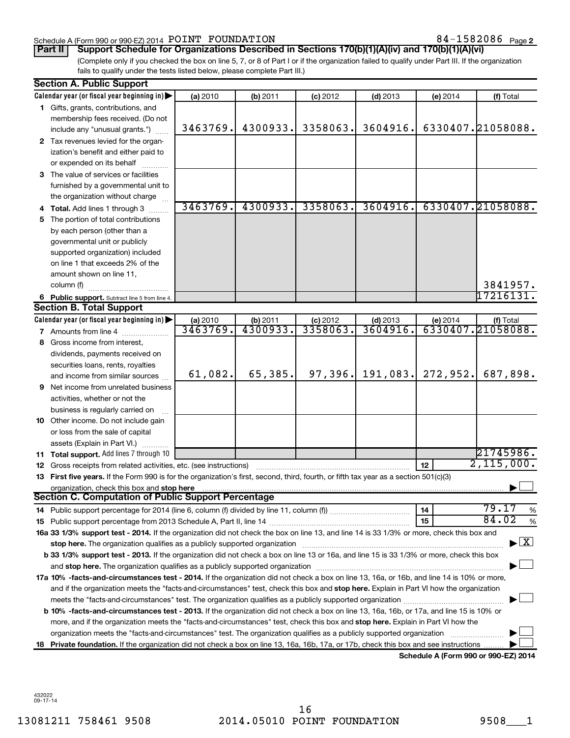#### Schedule A (Form 990 or 990-EZ) 2014  $\tt POINT$   $\tt FOUNDATION$   $\tt 84-1582086$   $\tt Page$

84-1582086 Page 2

**Part II Support Schedule for Organizations Described in Sections 170(b)(1)(A)(iv) and 170(b)(1)(A)(vi)**

(Complete only if you checked the box on line 5, 7, or 8 of Part I or if the organization failed to qualify under Part III. If the organization fails to qualify under the tests listed below, please complete Part III.)

|    | <b>Section A. Public Support</b>                                                                                                                                                                                               |                      |                     |                       |                       |          |                                         |
|----|--------------------------------------------------------------------------------------------------------------------------------------------------------------------------------------------------------------------------------|----------------------|---------------------|-----------------------|-----------------------|----------|-----------------------------------------|
|    | Calendar year (or fiscal year beginning in)                                                                                                                                                                                    | (a) 2010             | (b) 2011            | $(c)$ 2012            | $(d)$ 2013            | (e) 2014 | (f) Total                               |
|    | 1 Gifts, grants, contributions, and                                                                                                                                                                                            |                      |                     |                       |                       |          |                                         |
|    | membership fees received. (Do not                                                                                                                                                                                              |                      |                     |                       |                       |          |                                         |
|    | include any "unusual grants.")                                                                                                                                                                                                 | 3463769.             | 4300933.            | 3358063.              | 3604916.              |          | 6330407.21058088.                       |
|    | 2 Tax revenues levied for the organ-                                                                                                                                                                                           |                      |                     |                       |                       |          |                                         |
|    | ization's benefit and either paid to                                                                                                                                                                                           |                      |                     |                       |                       |          |                                         |
|    | or expended on its behalf                                                                                                                                                                                                      |                      |                     |                       |                       |          |                                         |
|    | 3 The value of services or facilities                                                                                                                                                                                          |                      |                     |                       |                       |          |                                         |
|    | furnished by a governmental unit to                                                                                                                                                                                            |                      |                     |                       |                       |          |                                         |
|    | the organization without charge                                                                                                                                                                                                |                      |                     |                       |                       |          |                                         |
|    | 4 Total. Add lines 1 through 3                                                                                                                                                                                                 | 3463769.             | 4300933.            | 3358063.              | 3604916.              |          | 6330407.21058088.                       |
| 5  | The portion of total contributions                                                                                                                                                                                             |                      |                     |                       |                       |          |                                         |
|    | by each person (other than a                                                                                                                                                                                                   |                      |                     |                       |                       |          |                                         |
|    | governmental unit or publicly                                                                                                                                                                                                  |                      |                     |                       |                       |          |                                         |
|    | supported organization) included                                                                                                                                                                                               |                      |                     |                       |                       |          |                                         |
|    | on line 1 that exceeds 2% of the                                                                                                                                                                                               |                      |                     |                       |                       |          |                                         |
|    | amount shown on line 11,                                                                                                                                                                                                       |                      |                     |                       |                       |          |                                         |
|    | column (f)                                                                                                                                                                                                                     |                      |                     |                       |                       |          | 3841957.                                |
|    | 6 Public support. Subtract line 5 from line 4.                                                                                                                                                                                 |                      |                     |                       |                       |          | 17216131.                               |
|    | <b>Section B. Total Support</b>                                                                                                                                                                                                |                      |                     |                       |                       |          |                                         |
|    | Calendar year (or fiscal year beginning in)                                                                                                                                                                                    | (a) 2010<br>3463769. | $\frac{1}{4300933}$ | $(c)$ 2012<br>3358063 | $(d)$ 2013<br>3604916 |          | (e) 2014 $($ f) Total 6330407.21058088. |
|    | <b>7</b> Amounts from line 4                                                                                                                                                                                                   |                      |                     |                       |                       |          |                                         |
| 8  | Gross income from interest,                                                                                                                                                                                                    |                      |                     |                       |                       |          |                                         |
|    | dividends, payments received on                                                                                                                                                                                                |                      |                     |                       |                       |          |                                         |
|    | securities loans, rents, royalties                                                                                                                                                                                             | 61,082.              | 65,385.             | 97,396.               | 191,083.              | 272,952. | 687,898.                                |
|    | and income from similar sources                                                                                                                                                                                                |                      |                     |                       |                       |          |                                         |
|    | <b>9</b> Net income from unrelated business                                                                                                                                                                                    |                      |                     |                       |                       |          |                                         |
|    | activities, whether or not the                                                                                                                                                                                                 |                      |                     |                       |                       |          |                                         |
|    | business is regularly carried on                                                                                                                                                                                               |                      |                     |                       |                       |          |                                         |
|    | 10 Other income. Do not include gain                                                                                                                                                                                           |                      |                     |                       |                       |          |                                         |
|    | or loss from the sale of capital                                                                                                                                                                                               |                      |                     |                       |                       |          |                                         |
|    | assets (Explain in Part VI.)                                                                                                                                                                                                   |                      |                     |                       |                       |          | 21745986.                               |
|    | 11 Total support. Add lines 7 through 10                                                                                                                                                                                       |                      |                     |                       |                       | 12       | 2,115,000.                              |
|    | <b>12</b> Gross receipts from related activities, etc. (see instructions)<br>13 First five years. If the Form 990 is for the organization's first, second, third, fourth, or fifth tax year as a section 501(c)(3)             |                      |                     |                       |                       |          |                                         |
|    | organization, check this box and stop here                                                                                                                                                                                     |                      |                     |                       |                       |          |                                         |
|    | Section C. Computation of Public Support Percentage                                                                                                                                                                            |                      |                     |                       |                       |          |                                         |
|    |                                                                                                                                                                                                                                |                      |                     |                       |                       | 14       | 79.17<br>%                              |
|    |                                                                                                                                                                                                                                |                      |                     |                       |                       | 15       | 84.02<br>%                              |
|    | 16a 33 1/3% support test - 2014. If the organization did not check the box on line 13, and line 14 is 33 1/3% or more, check this box and                                                                                      |                      |                     |                       |                       |          |                                         |
|    | stop here. The organization qualifies as a publicly supported organization manufaction manufacture content and the state of the state of the state of the state of the state of the state of the state of the state of the sta |                      |                     |                       |                       |          | $\blacktriangleright$ $\vert$ X         |
|    | b 33 1/3% support test - 2013. If the organization did not check a box on line 13 or 16a, and line 15 is 33 1/3% or more, check this box                                                                                       |                      |                     |                       |                       |          |                                         |
|    |                                                                                                                                                                                                                                |                      |                     |                       |                       |          |                                         |
|    | 17a 10% -facts-and-circumstances test - 2014. If the organization did not check a box on line 13, 16a, or 16b, and line 14 is 10% or more,                                                                                     |                      |                     |                       |                       |          |                                         |
|    | and if the organization meets the "facts-and-circumstances" test, check this box and stop here. Explain in Part VI how the organization                                                                                        |                      |                     |                       |                       |          |                                         |
|    |                                                                                                                                                                                                                                |                      |                     |                       |                       |          |                                         |
|    | b 10% -facts-and-circumstances test - 2013. If the organization did not check a box on line 13, 16a, 16b, or 17a, and line 15 is 10% or                                                                                        |                      |                     |                       |                       |          |                                         |
|    | more, and if the organization meets the "facts-and-circumstances" test, check this box and <b>stop here.</b> Explain in Part VI how the                                                                                        |                      |                     |                       |                       |          |                                         |
|    | organization meets the "facts-and-circumstances" test. The organization qualifies as a publicly supported organization                                                                                                         |                      |                     |                       |                       |          |                                         |
| 18 | Private foundation. If the organization did not check a box on line 13, 16a, 16b, 17a, or 17b, check this box and see instructions                                                                                             |                      |                     |                       |                       |          |                                         |
|    |                                                                                                                                                                                                                                |                      |                     |                       |                       |          | Schedule A (Form 990 or 990-EZ) 2014    |

432022 09-17-14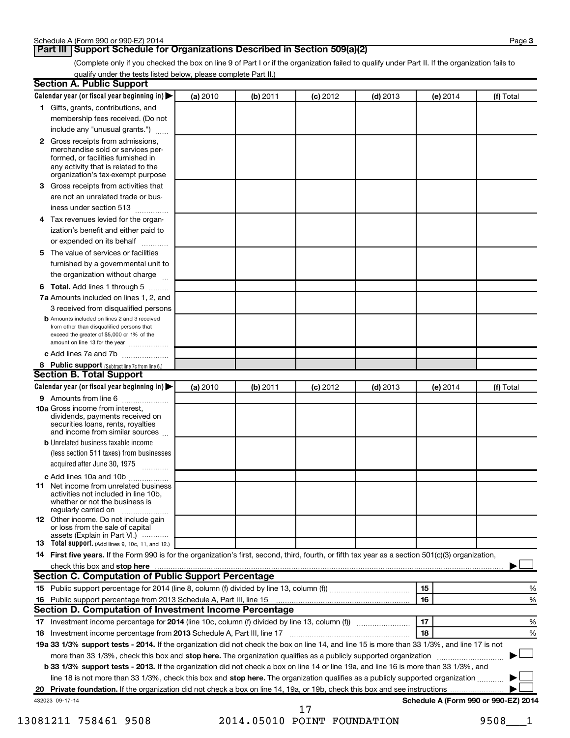#### **Part III Support Schedule for Organizations Described in Section 509(a)(2)**

(Complete only if you checked the box on line 9 of Part I or if the organization failed to qualify under Part II. If the organization fails to qualify under the tests listed below, please complete Part II.)

| <b>Section A. Public Support</b>                                                                                                                                                 |          |          |            |            |          |                                      |
|----------------------------------------------------------------------------------------------------------------------------------------------------------------------------------|----------|----------|------------|------------|----------|--------------------------------------|
| Calendar year (or fiscal year beginning in)                                                                                                                                      | (a) 2010 | (b) 2011 | $(c)$ 2012 | $(d)$ 2013 | (e) 2014 | (f) Total                            |
| 1 Gifts, grants, contributions, and                                                                                                                                              |          |          |            |            |          |                                      |
| membership fees received. (Do not                                                                                                                                                |          |          |            |            |          |                                      |
| include any "unusual grants.")                                                                                                                                                   |          |          |            |            |          |                                      |
| 2 Gross receipts from admissions,<br>merchandise sold or services per-<br>formed, or facilities furnished in<br>any activity that is related to the                              |          |          |            |            |          |                                      |
| organization's tax-exempt purpose                                                                                                                                                |          |          |            |            |          |                                      |
| 3 Gross receipts from activities that                                                                                                                                            |          |          |            |            |          |                                      |
| are not an unrelated trade or bus-                                                                                                                                               |          |          |            |            |          |                                      |
| iness under section 513                                                                                                                                                          |          |          |            |            |          |                                      |
| 4 Tax revenues levied for the organ-                                                                                                                                             |          |          |            |            |          |                                      |
| ization's benefit and either paid to                                                                                                                                             |          |          |            |            |          |                                      |
| or expended on its behalf                                                                                                                                                        |          |          |            |            |          |                                      |
| 5 The value of services or facilities                                                                                                                                            |          |          |            |            |          |                                      |
| furnished by a governmental unit to                                                                                                                                              |          |          |            |            |          |                                      |
| the organization without charge                                                                                                                                                  |          |          |            |            |          |                                      |
| 6 Total. Add lines 1 through 5                                                                                                                                                   |          |          |            |            |          |                                      |
| 7a Amounts included on lines 1, 2, and                                                                                                                                           |          |          |            |            |          |                                      |
| 3 received from disqualified persons                                                                                                                                             |          |          |            |            |          |                                      |
| <b>b</b> Amounts included on lines 2 and 3 received<br>from other than disqualified persons that<br>exceed the greater of \$5,000 or 1% of the<br>amount on line 13 for the year |          |          |            |            |          |                                      |
| c Add lines 7a and 7b                                                                                                                                                            |          |          |            |            |          |                                      |
| 8 Public support (Subtract line 7c from line 6.)                                                                                                                                 |          |          |            |            |          |                                      |
| <b>Section B. Total Support</b>                                                                                                                                                  |          |          |            |            |          |                                      |
| Calendar year (or fiscal year beginning in)                                                                                                                                      | (a) 2010 | (b) 2011 | $(c)$ 2012 | $(d)$ 2013 | (e) 2014 | (f) Total                            |
| 9 Amounts from line 6                                                                                                                                                            |          |          |            |            |          |                                      |
| <b>10a</b> Gross income from interest,<br>dividends, payments received on<br>securities loans, rents, royalties<br>and income from similar sources                               |          |          |            |            |          |                                      |
| <b>b</b> Unrelated business taxable income                                                                                                                                       |          |          |            |            |          |                                      |
| (less section 511 taxes) from businesses<br>acquired after June 30, 1975                                                                                                         |          |          |            |            |          |                                      |
| c Add lines 10a and 10b                                                                                                                                                          |          |          |            |            |          |                                      |
| <b>11</b> Net income from unrelated business<br>activities not included in line 10b.<br>whether or not the business is<br>regularly carried on                                   |          |          |            |            |          |                                      |
| <b>12</b> Other income. Do not include gain<br>or loss from the sale of capital<br>assets (Explain in Part VI.)                                                                  |          |          |            |            |          |                                      |
| <b>13</b> Total support. (Add lines 9, 10c, 11, and 12.)                                                                                                                         |          |          |            |            |          |                                      |
| 14 First five years. If the Form 990 is for the organization's first, second, third, fourth, or fifth tax year as a section 501(c)(3) organization,                              |          |          |            |            |          |                                      |
| check this box and stop here                                                                                                                                                     |          |          |            |            |          |                                      |
| Section C. Computation of Public Support Percentage                                                                                                                              |          |          |            |            |          |                                      |
|                                                                                                                                                                                  |          |          |            |            | 15       | %                                    |
| 16 Public support percentage from 2013 Schedule A, Part III, line 15                                                                                                             |          |          |            |            | 16       | %                                    |
| Section D. Computation of Investment Income Percentage                                                                                                                           |          |          |            |            |          |                                      |
|                                                                                                                                                                                  |          |          |            |            | 17       | %                                    |
| 18 Investment income percentage from 2013 Schedule A, Part III, line 17                                                                                                          |          |          |            |            | 18       | %                                    |
| 19a 33 1/3% support tests - 2014. If the organization did not check the box on line 14, and line 15 is more than 33 1/3%, and line 17 is not                                     |          |          |            |            |          |                                      |
| more than 33 1/3%, check this box and stop here. The organization qualifies as a publicly supported organization                                                                 |          |          |            |            |          |                                      |
| b 33 1/3% support tests - 2013. If the organization did not check a box on line 14 or line 19a, and line 16 is more than 33 1/3%, and                                            |          |          |            |            |          |                                      |
| line 18 is not more than 33 1/3%, check this box and stop here. The organization qualifies as a publicly supported organization                                                  |          |          |            |            |          |                                      |
|                                                                                                                                                                                  |          |          |            |            |          |                                      |
| 432023 09-17-14                                                                                                                                                                  |          |          | 17         |            |          | Schedule A (Form 990 or 990-EZ) 2014 |
|                                                                                                                                                                                  |          |          |            |            |          |                                      |

13081211 758461 9508 2014.05010 POINT FOUNDATION 9508\_\_\_1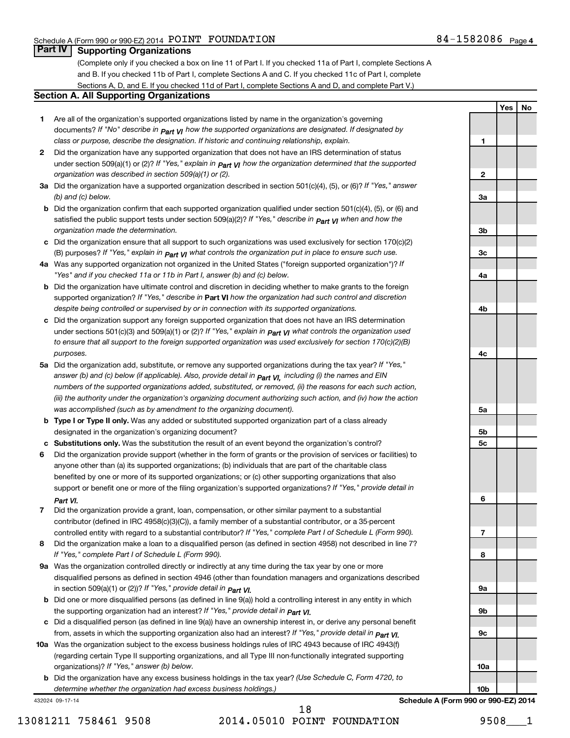**1**

**2**

**3a**

**3b**

**3c**

**4a**

**4b**

**4c**

**5a**

**5b 5c**

**6**

**7**

**8**

**9a**

**9b**

**9c**

**10a**

**Yes No**

#### **Part IV Supporting Organizations**

(Complete only if you checked a box on line 11 of Part I. If you checked 11a of Part I, complete Sections A and B. If you checked 11b of Part I, complete Sections A and C. If you checked 11c of Part I, complete Sections A, D, and E. If you checked 11d of Part I, complete Sections A and D, and complete Part V.)

#### **Section A. All Supporting Organizations**

- **1** Are all of the organization's supported organizations listed by name in the organization's governing documents? If "No" describe in  $_{\mathsf{Part}}$   $_{\mathsf{V}}$  how the supported organizations are designated. If designated by *class or purpose, describe the designation. If historic and continuing relationship, explain.*
- **2** Did the organization have any supported organization that does not have an IRS determination of status under section 509(a)(1) or (2)? If "Yes," explain in  $_{\sf Part}$   $_{\sf VI}$  how the organization determined that the supported *organization was described in section 509(a)(1) or (2).*
- **3a** Did the organization have a supported organization described in section 501(c)(4), (5), or (6)? If "Yes," answer *(b) and (c) below.*
- **b** Did the organization confirm that each supported organization qualified under section 501(c)(4), (5), or (6) and satisfied the public support tests under section 509(a)(2)? If "Yes," describe in  $_{\rm Part}$   $_{\rm VI}$  when and how the *organization made the determination.*
- **c** Did the organization ensure that all support to such organizations was used exclusively for section 170(c)(2) (B) purposes? If "Yes," explain in  $_{\mathsf{Part}}$   $_{\mathsf{V}}$  what controls the organization put in place to ensure such use.
- **4 a** *If* Was any supported organization not organized in the United States ("foreign supported organization")? *"Yes" and if you checked 11a or 11b in Part I, answer (b) and (c) below.*
- **b** Did the organization have ultimate control and discretion in deciding whether to make grants to the foreign supported organization? If "Yes," describe in Part VI how the organization had such control and discretion *despite being controlled or supervised by or in connection with its supported organizations.*
- **c** Did the organization support any foreign supported organization that does not have an IRS determination under sections 501(c)(3) and 509(a)(1) or (2)? If "Yes," ex*plain in*  $_{\sf Part}$  *v*J what controls the organization used *to ensure that all support to the foreign supported organization was used exclusively for section 170(c)(2)(B) purposes.*
- **5a** Did the organization add, substitute, or remove any supported organizations during the tax year? If "Yes," answer (b) and (c) below (if applicable). Also, provide detail in  $_{\mathsf{Part}}$   $_{\mathsf{V{\mathsf{I}}}}$ , including (i) the names and EIN *numbers of the supported organizations added, substituted, or removed, (ii) the reasons for each such action, (iii) the authority under the organization's organizing document authorizing such action, and (iv) how the action was accomplished (such as by amendment to the organizing document).*
- **b** Type I or Type II only. Was any added or substituted supported organization part of a class already designated in the organization's organizing document?
- **c Substitutions only.**  Was the substitution the result of an event beyond the organization's control?
- **6** Did the organization provide support (whether in the form of grants or the provision of services or facilities) to support or benefit one or more of the filing organization's supported organizations? If "Yes," provide detail in anyone other than (a) its supported organizations; (b) individuals that are part of the charitable class benefited by one or more of its supported organizations; or (c) other supporting organizations that also *Part VI.*
- **7** Did the organization provide a grant, loan, compensation, or other similar payment to a substantial controlled entity with regard to a substantial contributor? If "Yes," complete Part I of Schedule L (Form 990). contributor (defined in IRC 4958(c)(3)(C)), a family member of a substantial contributor, or a 35-percent
- **8** Did the organization make a loan to a disqualified person (as defined in section 4958) not described in line 7? *If "Yes," complete Part I of Schedule L (Form 990).*
- **9 a** Was the organization controlled directly or indirectly at any time during the tax year by one or more *If "Yes," provide detail in*  in section 509(a)(1) or (2))? *Part VI.* disqualified persons as defined in section 4946 (other than foundation managers and organizations described
- **b** Did one or more disqualified persons (as defined in line 9(a)) hold a controlling interest in any entity in which  *If "Yes," provide detail in*  the supporting organization had an interest? *Part VI.*
- **c** Did a disqualified person (as defined in line 9(a)) have an ownership interest in, or derive any personal benefit from, assets in which the supporting organization also had an interest? If "Yes," *provide detail in Part VI.*
- **10 a** Was the organization subject to the excess business holdings rules of IRC 4943 because of IRC 4943(f)  *If "Yes," answer (b) below.* organizations)? (regarding certain Type II supporting organizations, and all Type III non-functionally integrated supporting
	- **b** Did the organization have any excess business holdings in the tax year? (Use Schedule C, Form 4720, to *determine whether the organization had excess business holdings.)*

432024 09-17-14

**10b Schedule A (Form 990 or 990-EZ) 2014**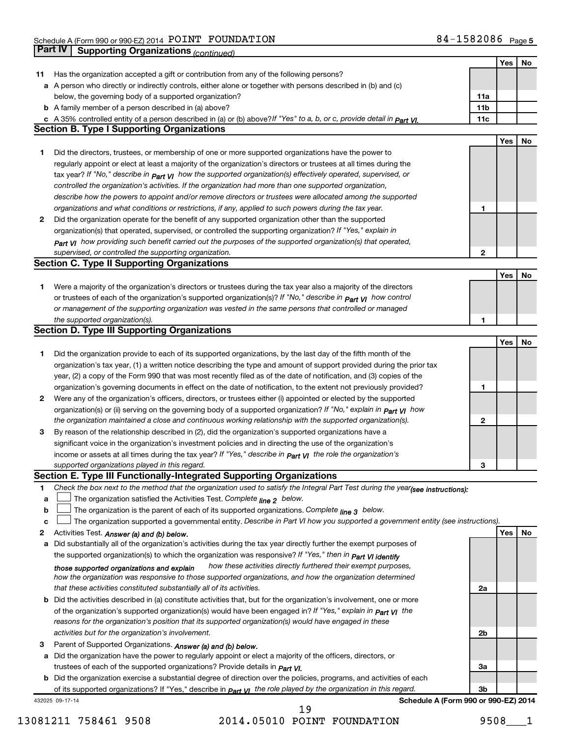|    | Part IV<br>Supporting Organizations (continued)                                                                                   |                 |            |    |
|----|-----------------------------------------------------------------------------------------------------------------------------------|-----------------|------------|----|
|    |                                                                                                                                   |                 | Yes        | No |
| 11 | Has the organization accepted a gift or contribution from any of the following persons?                                           |                 |            |    |
|    | a A person who directly or indirectly controls, either alone or together with persons described in (b) and (c)                    |                 |            |    |
|    | below, the governing body of a supported organization?                                                                            | 11a             |            |    |
|    | <b>b</b> A family member of a person described in (a) above?                                                                      | 11 <sub>b</sub> |            |    |
|    | c A 35% controlled entity of a person described in (a) or (b) above?If "Yes" to a, b, or c, provide detail in Part VI.            | 11c             |            |    |
|    | <b>Section B. Type I Supporting Organizations</b>                                                                                 |                 |            |    |
|    |                                                                                                                                   |                 | Yes        | No |
| 1  | Did the directors, trustees, or membership of one or more supported organizations have the power to                               |                 |            |    |
|    | regularly appoint or elect at least a majority of the organization's directors or trustees at all times during the                |                 |            |    |
|    | tax year? If "No," describe in $p_{art}$ VI how the supported organization(s) effectively operated, supervised, or                |                 |            |    |
|    | controlled the organization's activities. If the organization had more than one supported organization,                           |                 |            |    |
|    | describe how the powers to appoint and/or remove directors or trustees were allocated among the supported                         |                 |            |    |
|    | organizations and what conditions or restrictions, if any, applied to such powers during the tax year.                            | 1               |            |    |
| 2  | Did the organization operate for the benefit of any supported organization other than the supported                               |                 |            |    |
|    | organization(s) that operated, supervised, or controlled the supporting organization? If "Yes," explain in                        |                 |            |    |
|    | Part VI how providing such benefit carried out the purposes of the supported organization(s) that operated,                       |                 |            |    |
|    | supervised, or controlled the supporting organization.                                                                            | 2               |            |    |
|    | <b>Section C. Type II Supporting Organizations</b>                                                                                |                 |            |    |
|    |                                                                                                                                   |                 | Yes        | No |
| 1. | Were a majority of the organization's directors or trustees during the tax year also a majority of the directors                  |                 |            |    |
|    | or trustees of each of the organization's supported organization(s)? If "No," describe in <b>Part VI</b> how control              |                 |            |    |
|    | or management of the supporting organization was vested in the same persons that controlled or managed                            |                 |            |    |
|    | the supported organization(s).                                                                                                    | 1               |            |    |
|    | <b>Section D. Type III Supporting Organizations</b>                                                                               |                 |            |    |
|    |                                                                                                                                   |                 | Yes        | No |
| 1  | Did the organization provide to each of its supported organizations, by the last day of the fifth month of the                    |                 |            |    |
|    | organization's tax year, (1) a written notice describing the type and amount of support provided during the prior tax             |                 |            |    |
|    | year, (2) a copy of the Form 990 that was most recently filed as of the date of notification, and (3) copies of the               |                 |            |    |
|    | organization's governing documents in effect on the date of notification, to the extent not previously provided?                  | 1               |            |    |
| 2  | Were any of the organization's officers, directors, or trustees either (i) appointed or elected by the supported                  |                 |            |    |
|    | organization(s) or (ii) serving on the governing body of a supported organization? If "No," explain in part VI how                |                 |            |    |
|    | the organization maintained a close and continuous working relationship with the supported organization(s).                       | $\mathbf{2}$    |            |    |
| 3  | By reason of the relationship described in (2), did the organization's supported organizations have a                             |                 |            |    |
|    | significant voice in the organization's investment policies and in directing the use of the organization's                        |                 |            |    |
|    | income or assets at all times during the tax year? If "Yes," describe in $_{Part}$ y the role the organization's                  |                 |            |    |
|    | supported organizations played in this regard.                                                                                    | з               |            |    |
|    | Section E. Type III Functionally-Integrated Supporting Organizations                                                              |                 |            |    |
| 1  | Check the box next to the method that the organization used to satisfy the Integral Part Test during the year(see instructions):  |                 |            |    |
| а  | The organization satisfied the Activities Test. Complete line 2 below.                                                            |                 |            |    |
| b  | The organization is the parent of each of its supported organizations. Complete line 3 below.                                     |                 |            |    |
| c  | The organization supported a governmental entity. Describe in Part VI how you supported a government entity (see instructions).   |                 |            |    |
| 2  | Activities Test. Answer (a) and (b) below.                                                                                        |                 | <b>Yes</b> | No |
| а  | Did substantially all of the organization's activities during the tax year directly further the exempt purposes of                |                 |            |    |
|    | the supported organization(s) to which the organization was responsive? If "Yes," then in Part VI identify                        |                 |            |    |
|    | how these activities directly furthered their exempt purposes,<br>those supported organizations and explain                       |                 |            |    |
|    | how the organization was responsive to those supported organizations, and how the organization determined                         |                 |            |    |
|    | that these activities constituted substantially all of its activities.                                                            | 2a              |            |    |
| b  | Did the activities described in (a) constitute activities that, but for the organization's involvement, one or more               |                 |            |    |
|    | of the organization's supported organization(s) would have been engaged in? If "Yes," explain in <b>Part VI</b> the               |                 |            |    |
|    | reasons for the organization's position that its supported organization(s) would have engaged in these                            |                 |            |    |
|    | activities but for the organization's involvement.                                                                                | 2b              |            |    |
| З  | Parent of Supported Organizations. Answer (a) and (b) below.                                                                      |                 |            |    |
| а  | Did the organization have the power to regularly appoint or elect a majority of the officers, directors, or                       |                 |            |    |
|    | trustees of each of the supported organizations? Provide details in <i>Part VI.</i>                                               | За              |            |    |
|    | <b>b</b> Did the organization exercise a substantial degree of direction over the policies, programs, and activities of each      |                 |            |    |
|    | of its supported organizations? If "Yes," describe in $P_{\text{diff}}$ $y_1$ the role played by the organization in this regard. | 3b              |            |    |
|    | Schedule A (Form 990 or 990-EZ) 2014<br>432025 09-17-14                                                                           |                 |            |    |

13081211 758461 9508 2014.05010 POINT FOUNDATION 9508\_\_\_1 19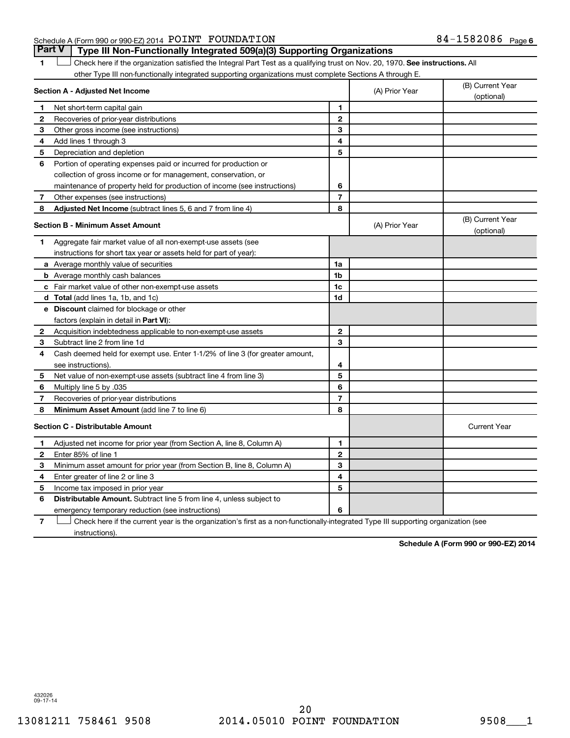#### Schedule A (Form 990 or 990-EZ) 2014  $\tt POINT$   $\tt FOUNDATION$   $\tt 84-1582086$   $\tt Page$

1 **Letter on Reck here if the organization satisfied the Integral Part Test as a qualifying trust on Nov. 20, 1970. See instructions. All** other Type III non-functionally integrated supporting organizations must complete Sections A through E. **Part V Type III Non-Functionally Integrated 509(a)(3) Supporting Organizations** 

|              | Section A - Adjusted Net Income                                                                                                   |                | (A) Prior Year | (B) Current Year<br>(optional) |
|--------------|-----------------------------------------------------------------------------------------------------------------------------------|----------------|----------------|--------------------------------|
| 1            | Net short-term capital gain                                                                                                       | 1              |                |                                |
| $\mathbf{2}$ | Recoveries of prior-year distributions                                                                                            | $\mathbf{2}$   |                |                                |
| З            | Other gross income (see instructions)                                                                                             | 3              |                |                                |
| 4            | Add lines 1 through 3                                                                                                             | 4              |                |                                |
| 5            | Depreciation and depletion                                                                                                        | 5              |                |                                |
| 6            | Portion of operating expenses paid or incurred for production or                                                                  |                |                |                                |
|              | collection of gross income or for management, conservation, or                                                                    |                |                |                                |
|              | maintenance of property held for production of income (see instructions)                                                          | 6              |                |                                |
| 7            | Other expenses (see instructions)                                                                                                 | $\overline{7}$ |                |                                |
| 8            | Adjusted Net Income (subtract lines 5, 6 and 7 from line 4)                                                                       | 8              |                |                                |
|              | <b>Section B - Minimum Asset Amount</b>                                                                                           |                | (A) Prior Year | (B) Current Year<br>(optional) |
| 1            | Aggregate fair market value of all non-exempt-use assets (see                                                                     |                |                |                                |
|              | instructions for short tax year or assets held for part of year):                                                                 |                |                |                                |
|              | a Average monthly value of securities                                                                                             | 1a             |                |                                |
|              | <b>b</b> Average monthly cash balances                                                                                            | 1 <sub>b</sub> |                |                                |
|              | c Fair market value of other non-exempt-use assets                                                                                | 1c             |                |                                |
|              | d Total (add lines 1a, 1b, and 1c)                                                                                                | 1d             |                |                                |
|              | e Discount claimed for blockage or other                                                                                          |                |                |                                |
|              | factors (explain in detail in Part VI):                                                                                           |                |                |                                |
| 2            | Acquisition indebtedness applicable to non-exempt-use assets                                                                      | $\mathbf{2}$   |                |                                |
| 3            | Subtract line 2 from line 1d                                                                                                      | 3              |                |                                |
| 4            | Cash deemed held for exempt use. Enter 1-1/2% of line 3 (for greater amount,                                                      |                |                |                                |
|              | see instructions).                                                                                                                | 4              |                |                                |
| 5            | Net value of non-exempt-use assets (subtract line 4 from line 3)                                                                  | 5              |                |                                |
| 6            | Multiply line 5 by .035                                                                                                           | 6              |                |                                |
| 7            | Recoveries of prior-year distributions                                                                                            | $\overline{7}$ |                |                                |
| 8            | <b>Minimum Asset Amount (add line 7 to line 6)</b>                                                                                | 8              |                |                                |
|              | <b>Section C - Distributable Amount</b>                                                                                           |                |                | <b>Current Year</b>            |
| 1            | Adjusted net income for prior year (from Section A, line 8, Column A)                                                             | 1              |                |                                |
| 2            | Enter 85% of line 1                                                                                                               | $\overline{2}$ |                |                                |
| 3            | Minimum asset amount for prior year (from Section B, line 8, Column A)                                                            | 3              |                |                                |
| 4            | Enter greater of line 2 or line 3                                                                                                 | 4              |                |                                |
| 5            | Income tax imposed in prior year                                                                                                  | 5              |                |                                |
| 6            | <b>Distributable Amount.</b> Subtract line 5 from line 4, unless subject to                                                       |                |                |                                |
|              | emergency temporary reduction (see instructions)                                                                                  | 6              |                |                                |
| 7            | Check here if the current year is the organization's first as a non-functionally-integrated Type III supporting organization (see |                |                |                                |

instructions).

**Schedule A (Form 990 or 990-EZ) 2014**

432026 09-17-14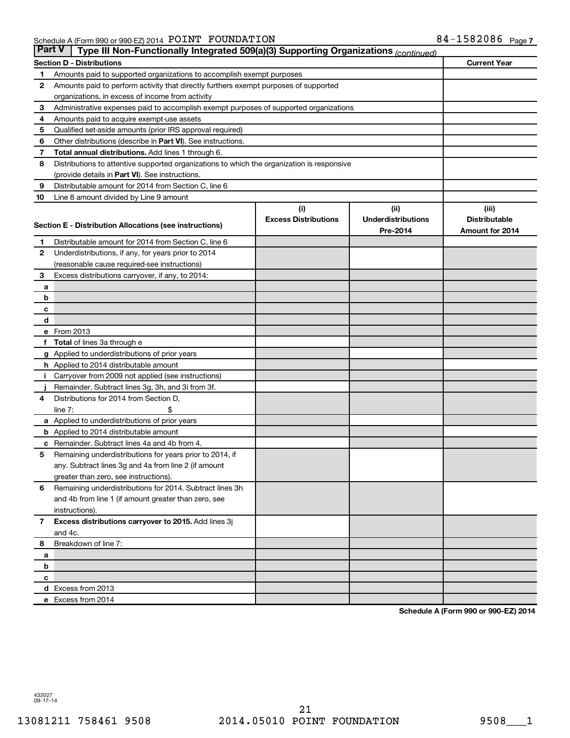| <b>Part V</b><br>Type III Non-Functionally Integrated 509(a)(3) Supporting Organizations (continued) |                                                                                            |                             |                           |                      |  |  |  |  |  |
|------------------------------------------------------------------------------------------------------|--------------------------------------------------------------------------------------------|-----------------------------|---------------------------|----------------------|--|--|--|--|--|
| <b>Current Year</b><br><b>Section D - Distributions</b>                                              |                                                                                            |                             |                           |                      |  |  |  |  |  |
| 1                                                                                                    | Amounts paid to supported organizations to accomplish exempt purposes                      |                             |                           |                      |  |  |  |  |  |
| 2                                                                                                    | Amounts paid to perform activity that directly furthers exempt purposes of supported       |                             |                           |                      |  |  |  |  |  |
|                                                                                                      | organizations, in excess of income from activity                                           |                             |                           |                      |  |  |  |  |  |
| 3                                                                                                    | Administrative expenses paid to accomplish exempt purposes of supported organizations      |                             |                           |                      |  |  |  |  |  |
| 4                                                                                                    | Amounts paid to acquire exempt-use assets                                                  |                             |                           |                      |  |  |  |  |  |
| 5                                                                                                    | Qualified set-aside amounts (prior IRS approval required)                                  |                             |                           |                      |  |  |  |  |  |
| 6                                                                                                    | Other distributions (describe in Part VI). See instructions.                               |                             |                           |                      |  |  |  |  |  |
| 7                                                                                                    | Total annual distributions. Add lines 1 through 6.                                         |                             |                           |                      |  |  |  |  |  |
| 8                                                                                                    | Distributions to attentive supported organizations to which the organization is responsive |                             |                           |                      |  |  |  |  |  |
|                                                                                                      | (provide details in Part VI). See instructions.                                            |                             |                           |                      |  |  |  |  |  |
| 9                                                                                                    | Distributable amount for 2014 from Section C, line 6                                       |                             |                           |                      |  |  |  |  |  |
| 10                                                                                                   | Line 8 amount divided by Line 9 amount                                                     |                             |                           |                      |  |  |  |  |  |
|                                                                                                      |                                                                                            | (i)                         | (i)                       | (iii)                |  |  |  |  |  |
|                                                                                                      | Section E - Distribution Allocations (see instructions)                                    | <b>Excess Distributions</b> | <b>Underdistributions</b> | <b>Distributable</b> |  |  |  |  |  |
|                                                                                                      |                                                                                            |                             | Pre-2014                  | Amount for 2014      |  |  |  |  |  |
| 1                                                                                                    | Distributable amount for 2014 from Section C, line 6                                       |                             |                           |                      |  |  |  |  |  |
| $\mathbf{2}$                                                                                         | Underdistributions, if any, for years prior to 2014                                        |                             |                           |                      |  |  |  |  |  |
|                                                                                                      | (reasonable cause required-see instructions)                                               |                             |                           |                      |  |  |  |  |  |
| 3                                                                                                    | Excess distributions carryover, if any, to 2014:                                           |                             |                           |                      |  |  |  |  |  |
| a                                                                                                    |                                                                                            |                             |                           |                      |  |  |  |  |  |
| b                                                                                                    |                                                                                            |                             |                           |                      |  |  |  |  |  |
| с                                                                                                    |                                                                                            |                             |                           |                      |  |  |  |  |  |
| d                                                                                                    | e From 2013                                                                                |                             |                           |                      |  |  |  |  |  |
|                                                                                                      |                                                                                            |                             |                           |                      |  |  |  |  |  |
|                                                                                                      | <b>Total</b> of lines 3a through e<br>g Applied to underdistributions of prior years       |                             |                           |                      |  |  |  |  |  |
|                                                                                                      | <b>h</b> Applied to 2014 distributable amount                                              |                             |                           |                      |  |  |  |  |  |
|                                                                                                      | Carryover from 2009 not applied (see instructions)                                         |                             |                           |                      |  |  |  |  |  |
|                                                                                                      | Remainder. Subtract lines 3g, 3h, and 3i from 3f.                                          |                             |                           |                      |  |  |  |  |  |
| 4                                                                                                    | Distributions for 2014 from Section D,                                                     |                             |                           |                      |  |  |  |  |  |
|                                                                                                      | $line 7$ :                                                                                 |                             |                           |                      |  |  |  |  |  |
|                                                                                                      | a Applied to underdistributions of prior years                                             |                             |                           |                      |  |  |  |  |  |
|                                                                                                      | <b>b</b> Applied to 2014 distributable amount                                              |                             |                           |                      |  |  |  |  |  |
| с                                                                                                    | Remainder. Subtract lines 4a and 4b from 4.                                                |                             |                           |                      |  |  |  |  |  |
| 5                                                                                                    | Remaining underdistributions for years prior to 2014, if                                   |                             |                           |                      |  |  |  |  |  |
|                                                                                                      | any. Subtract lines 3g and 4a from line 2 (if amount                                       |                             |                           |                      |  |  |  |  |  |
|                                                                                                      | greater than zero, see instructions).                                                      |                             |                           |                      |  |  |  |  |  |
| 6                                                                                                    | Remaining underdistributions for 2014. Subtract lines 3h                                   |                             |                           |                      |  |  |  |  |  |
|                                                                                                      | and 4b from line 1 (if amount greater than zero, see                                       |                             |                           |                      |  |  |  |  |  |
|                                                                                                      | instructions).                                                                             |                             |                           |                      |  |  |  |  |  |
| $\overline{7}$                                                                                       | Excess distributions carryover to 2015. Add lines 3j                                       |                             |                           |                      |  |  |  |  |  |
|                                                                                                      | and 4c.                                                                                    |                             |                           |                      |  |  |  |  |  |
| 8                                                                                                    | Breakdown of line 7:                                                                       |                             |                           |                      |  |  |  |  |  |
| a                                                                                                    |                                                                                            |                             |                           |                      |  |  |  |  |  |
| b                                                                                                    |                                                                                            |                             |                           |                      |  |  |  |  |  |
| с                                                                                                    |                                                                                            |                             |                           |                      |  |  |  |  |  |
|                                                                                                      | d Excess from 2013                                                                         |                             |                           |                      |  |  |  |  |  |
|                                                                                                      | e Excess from 2014                                                                         |                             |                           |                      |  |  |  |  |  |

**Schedule A (Form 990 or 990-EZ) 2014**

432027 09-17-14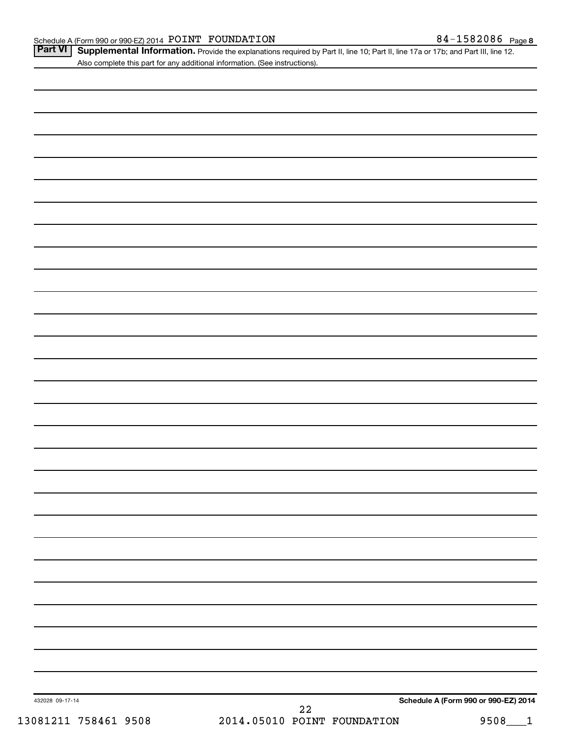Part VI | Supplemental Information. Provide the explanations required by Part II, line 10; Part II, line 17a or 17b; and Part III, line 12. Also complete this part for any additional information. (See instructions).

| 432028 09-17-14<br>13081211 758461 9508 | 22<br>2014.05010 POINT FOUNDATION | Schedule A (Form 990 or 990-EZ) 2014<br>9508<br>$\mathbf{1}$ |
|-----------------------------------------|-----------------------------------|--------------------------------------------------------------|
|                                         |                                   |                                                              |
|                                         |                                   |                                                              |
|                                         |                                   |                                                              |
|                                         |                                   |                                                              |
|                                         |                                   |                                                              |
|                                         |                                   |                                                              |
|                                         |                                   |                                                              |
|                                         |                                   |                                                              |
|                                         |                                   |                                                              |
|                                         |                                   |                                                              |
|                                         |                                   |                                                              |
|                                         |                                   |                                                              |
|                                         |                                   |                                                              |
|                                         |                                   |                                                              |
|                                         |                                   |                                                              |
|                                         |                                   |                                                              |
|                                         |                                   |                                                              |
|                                         |                                   |                                                              |
|                                         |                                   |                                                              |
|                                         |                                   |                                                              |
|                                         |                                   |                                                              |
|                                         |                                   |                                                              |
|                                         |                                   |                                                              |
|                                         |                                   |                                                              |
|                                         |                                   |                                                              |
|                                         |                                   |                                                              |
|                                         |                                   |                                                              |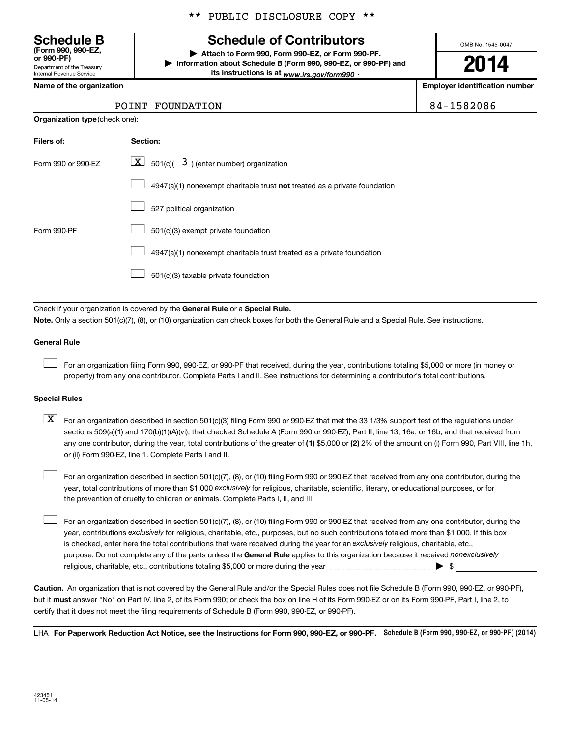Department of the Treasury Internal Revenue Service **(Form 990, 990-EZ,**

#### \*\* PUBLIC DISCLOSURE COPY \*\*

# **Schedule B Schedule of Contributors**

**or 990-PF) | Attach to Form 990, Form 990-EZ, or Form 990-PF. | Information about Schedule B (Form 990, 990-EZ, or 990-PF) and** its instructions is at <sub>www.irs.gov/form990  $\cdot$ </sub>

OMB No. 1545-0047

# **2014**

**Name of the organization Employer identification number**

#### POINT FOUNDATION 84-1582086

| <b>Organization type (check one):</b> |                                                                                    |  |  |  |  |  |  |
|---------------------------------------|------------------------------------------------------------------------------------|--|--|--|--|--|--|
| Filers of:                            | Section:                                                                           |  |  |  |  |  |  |
| Form 990 or 990-EZ                    | $\lfloor \underline{X} \rfloor$ 501(c)( 3) (enter number) organization             |  |  |  |  |  |  |
|                                       | $4947(a)(1)$ nonexempt charitable trust <b>not</b> treated as a private foundation |  |  |  |  |  |  |
|                                       | 527 political organization                                                         |  |  |  |  |  |  |
| Form 990-PF                           | 501(c)(3) exempt private foundation                                                |  |  |  |  |  |  |
|                                       | 4947(a)(1) nonexempt charitable trust treated as a private foundation              |  |  |  |  |  |  |
|                                       | 501(c)(3) taxable private foundation                                               |  |  |  |  |  |  |

Check if your organization is covered by the General Rule or a Special Rule.

**Note.**  Only a section 501(c)(7), (8), or (10) organization can check boxes for both the General Rule and a Special Rule. See instructions.

#### **General Rule**

 $\Box$ 

For an organization filing Form 990, 990-EZ, or 990-PF that received, during the year, contributions totaling \$5,000 or more (in money or property) from any one contributor. Complete Parts I and II. See instructions for determining a contributor's total contributions.

#### **Special Rules**

any one contributor, during the year, total contributions of the greater of **(1)** \$5,000 or **(2)** 2% of the amount on (i) Form 990, Part VIII, line 1h,  $\boxed{\text{X}}$  For an organization described in section 501(c)(3) filing Form 990 or 990-EZ that met the 33 1/3% support test of the regulations under sections 509(a)(1) and 170(b)(1)(A)(vi), that checked Schedule A (Form 990 or 990-EZ), Part II, line 13, 16a, or 16b, and that received from or (ii) Form 990-EZ, line 1. Complete Parts I and II.

year, total contributions of more than \$1,000 *exclusively* for religious, charitable, scientific, literary, or educational purposes, or for For an organization described in section 501(c)(7), (8), or (10) filing Form 990 or 990-EZ that received from any one contributor, during the the prevention of cruelty to children or animals. Complete Parts I, II, and III.  $\Box$ 

purpose. Do not complete any of the parts unless the General Rule applies to this organization because it received nonexclusively year, contributions exclusively for religious, charitable, etc., purposes, but no such contributions totaled more than \$1,000. If this box is checked, enter here the total contributions that were received during the year for an exclusively religious, charitable, etc., For an organization described in section 501(c)(7), (8), or (10) filing Form 990 or 990-EZ that received from any one contributor, during the religious, charitable, etc., contributions totaling \$5,000 or more during the year  $\ldots$  $\ldots$  $\ldots$  $\ldots$  $\ldots$  $\ldots$  $\Box$ 

**Caution.** An organization that is not covered by the General Rule and/or the Special Rules does not file Schedule B (Form 990, 990-EZ, or 990-PF),  **must** but it answer "No" on Part IV, line 2, of its Form 990; or check the box on line H of its Form 990-EZ or on its Form 990-PF, Part I, line 2, to certify that it does not meet the filing requirements of Schedule B (Form 990, 990-EZ, or 990-PF).

LHA For Paperwork Reduction Act Notice, see the Instructions for Form 990, 990-EZ, or 990-PF. Schedule B (Form 990, 990-EZ, or 990-PF) (2014)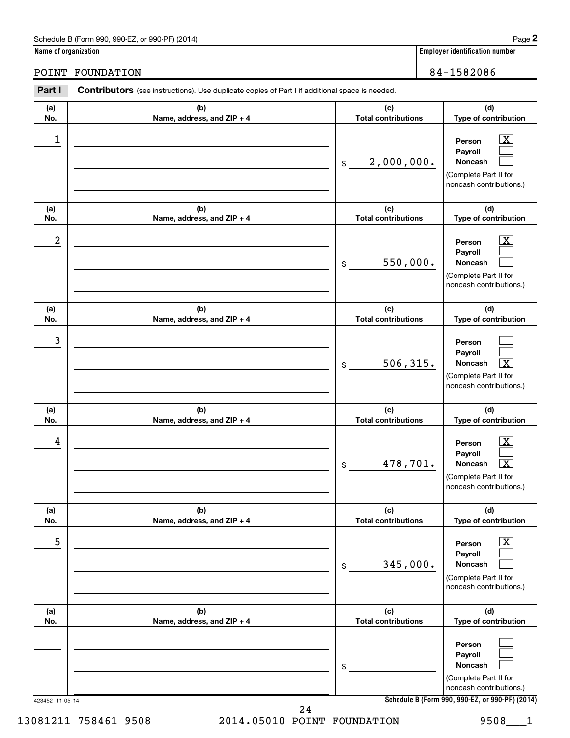#### Schedule B (Form 990, 990-EZ, or 990-PF) (2014)

**Name of organization Employer identification number**

POINT FOUNDATION 84-1582086

| (a)                     | (b)                               | (c)                               | (d)                                                                                                                                    |
|-------------------------|-----------------------------------|-----------------------------------|----------------------------------------------------------------------------------------------------------------------------------------|
| No.                     | Name, address, and ZIP + 4        | <b>Total contributions</b>        | Type of contribution                                                                                                                   |
| 1                       |                                   | 2,000,000.<br>\$                  | $\mathbf{X}$<br>Person<br>Payroll<br>Noncash<br>(Complete Part II for<br>noncash contributions.)                                       |
| (a)<br>No.              | (b)<br>Name, address, and ZIP + 4 | (c)<br><b>Total contributions</b> | (d)<br>Type of contribution                                                                                                            |
| $\overline{\mathbf{c}}$ |                                   | 550,000.<br>\$                    | x<br>Person<br>Payroll<br>Noncash<br>(Complete Part II for<br>noncash contributions.)                                                  |
| (a)<br>No.              | (b)<br>Name, address, and ZIP + 4 | (c)<br><b>Total contributions</b> | (d)<br>Type of contribution                                                                                                            |
| 3                       |                                   | 506, 315.<br>\$                   | Person<br>Payroll<br>Noncash<br>х<br>(Complete Part II for<br>noncash contributions.)                                                  |
| (a)<br>No.              | (b)<br>Name, address, and ZIP + 4 | (c)<br><b>Total contributions</b> | (d)<br>Type of contribution                                                                                                            |
| 4                       |                                   | 478,701.<br>\$                    | $\overline{\mathbf{X}}$<br>Person<br>Payroll<br>$\overline{\mathbf{x}}$<br>Noncash<br>(Complete Part II for<br>noncash contributions.) |
| (a)<br>No.              | (b)<br>Name, address, and ZIP + 4 | (c)<br><b>Total contributions</b> | (d)<br>Type of contribution                                                                                                            |
| 5                       |                                   | 345,000.<br>\$                    | $\boxed{\text{X}}$<br>Person<br>Payroll<br>Noncash<br>(Complete Part II for<br>noncash contributions.)                                 |
| (a)<br>No.              | (b)<br>Name, address, and ZIP + 4 | (c)<br><b>Total contributions</b> | (d)<br>Type of contribution                                                                                                            |
|                         |                                   | \$                                | Person<br>Payroll<br>Noncash<br>(Complete Part II for<br>noncash contributions.)                                                       |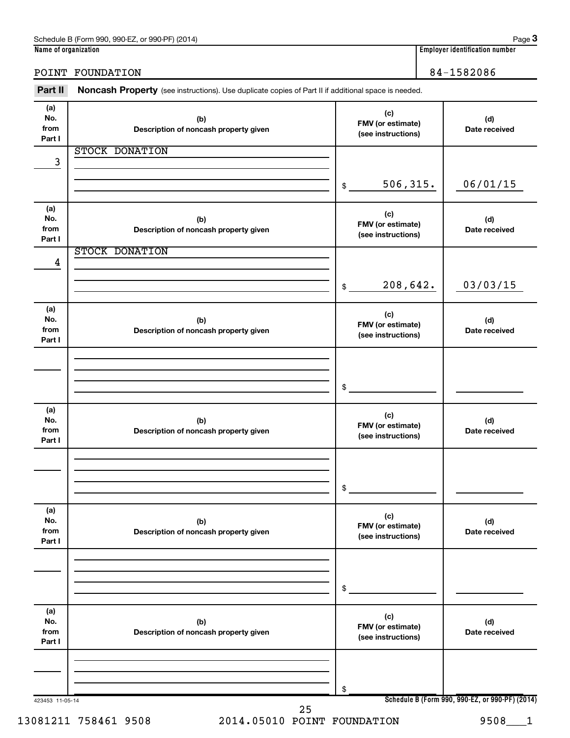| Name of organization         |                                                                                                     |                                                | <b>Employer identification number</b>           |
|------------------------------|-----------------------------------------------------------------------------------------------------|------------------------------------------------|-------------------------------------------------|
|                              | POINT FOUNDATION                                                                                    |                                                | 84-1582086                                      |
| Part II                      | Noncash Property (see instructions). Use duplicate copies of Part II if additional space is needed. |                                                |                                                 |
| (a)<br>No.<br>from<br>Part I | (b)<br>Description of noncash property given                                                        | (c)<br>FMV (or estimate)<br>(see instructions) | (d)<br>Date received                            |
| 3                            | STOCK DONATION                                                                                      |                                                |                                                 |
|                              |                                                                                                     | 506, 315.<br>\$                                | 06/01/15                                        |
| (a)<br>No.<br>from<br>Part I | (b)<br>Description of noncash property given                                                        | (c)<br>FMV (or estimate)<br>(see instructions) | (d)<br>Date received                            |
| 4                            | <b>STOCK DONATION</b>                                                                               |                                                |                                                 |
|                              |                                                                                                     | 208,642.<br>\$                                 | 03/03/15                                        |
| (a)<br>No.<br>from<br>Part I | (b)<br>Description of noncash property given                                                        | (c)<br>FMV (or estimate)<br>(see instructions) | (d)<br>Date received                            |
|                              |                                                                                                     | \$                                             |                                                 |
| (a)<br>No.<br>from<br>Part I | (b)<br>Description of noncash property given                                                        | (c)<br>FMV (or estimate)<br>(see instructions) | (d)<br>Date received                            |
|                              |                                                                                                     | \$                                             |                                                 |
| (a)<br>No.<br>from<br>Part I | (b)<br>Description of noncash property given                                                        | (c)<br>FMV (or estimate)<br>(see instructions) | (d)<br>Date received                            |
|                              |                                                                                                     | \$                                             |                                                 |
| (a)<br>No.<br>from<br>Part I | (b)<br>Description of noncash property given                                                        | (c)<br>FMV (or estimate)<br>(see instructions) | (d)<br>Date received                            |
|                              |                                                                                                     | \$                                             |                                                 |
| 423453 11-05-14              | 25                                                                                                  |                                                | Schedule B (Form 990, 990-EZ, or 990-PF) (2014) |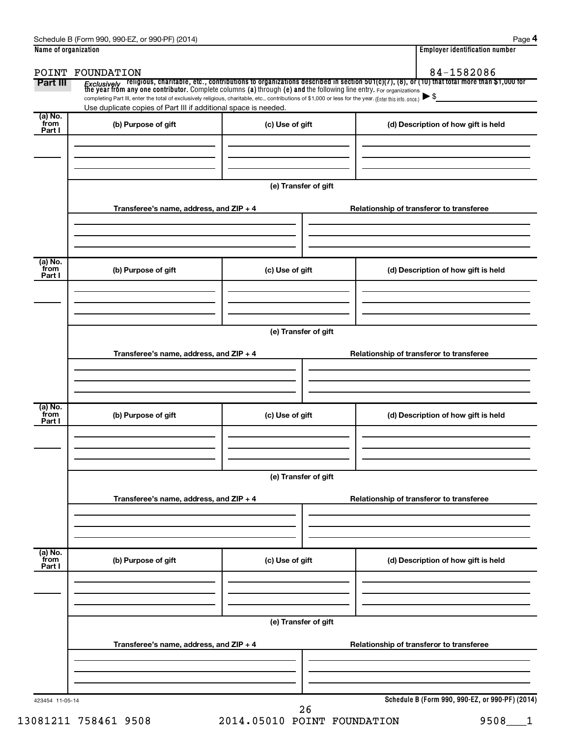|                           | POINT FOUNDATION                                                                                                                                                                                                            |                      | 84-1582086                                                                                                                                                                                                                         |
|---------------------------|-----------------------------------------------------------------------------------------------------------------------------------------------------------------------------------------------------------------------------|----------------------|------------------------------------------------------------------------------------------------------------------------------------------------------------------------------------------------------------------------------------|
| Part III                  |                                                                                                                                                                                                                             |                      | Exclusively religious, charitable, etc., contributions to organizations described in section 501(c)(7), (8), or (10) that total more than \$1,000 for<br>the year from any one contributor. Complete columns (a) through (e) and t |
|                           | completing Part III, enter the total of exclusively religious, charitable, etc., contributions of \$1,000 or less for the year. (Enter this info. once.)<br>Use duplicate copies of Part III if additional space is needed. |                      |                                                                                                                                                                                                                                    |
| (a) No.<br>from<br>Part I | (b) Purpose of gift                                                                                                                                                                                                         | (c) Use of gift      | (d) Description of how gift is held                                                                                                                                                                                                |
|                           |                                                                                                                                                                                                                             | (e) Transfer of gift |                                                                                                                                                                                                                                    |
|                           | Transferee's name, address, and ZIP + 4                                                                                                                                                                                     |                      | Relationship of transferor to transferee                                                                                                                                                                                           |
| (a) No.<br>from<br>Part I | (b) Purpose of gift                                                                                                                                                                                                         | (c) Use of gift      | (d) Description of how gift is held                                                                                                                                                                                                |
|                           | Transferee's name, address, and ZIP + 4                                                                                                                                                                                     | (e) Transfer of gift | Relationship of transferor to transferee                                                                                                                                                                                           |
| (a) No.<br>from           | (b) Purpose of gift                                                                                                                                                                                                         | (c) Use of gift      | (d) Description of how gift is held                                                                                                                                                                                                |
| Part I                    |                                                                                                                                                                                                                             |                      |                                                                                                                                                                                                                                    |
|                           |                                                                                                                                                                                                                             | (e) Transfer of gift |                                                                                                                                                                                                                                    |
|                           | Transferee's name, address, and ZIP + 4                                                                                                                                                                                     |                      | Relationship of transferor to transferee                                                                                                                                                                                           |
| (a) No.<br>from<br>Part I | (b) Purpose of gift                                                                                                                                                                                                         | (c) Use of gift      | (d) Description of how gift is held                                                                                                                                                                                                |
|                           |                                                                                                                                                                                                                             | (e) Transfer of gift |                                                                                                                                                                                                                                    |
|                           | Transferee's name, address, and ZIP + 4                                                                                                                                                                                     |                      | Relationship of transferor to transferee                                                                                                                                                                                           |
|                           |                                                                                                                                                                                                                             |                      |                                                                                                                                                                                                                                    |
|                           | 423454 11-05-14                                                                                                                                                                                                             |                      | Schedule B (Form 990, 990-EZ, or 990-PF) (2014)                                                                                                                                                                                    |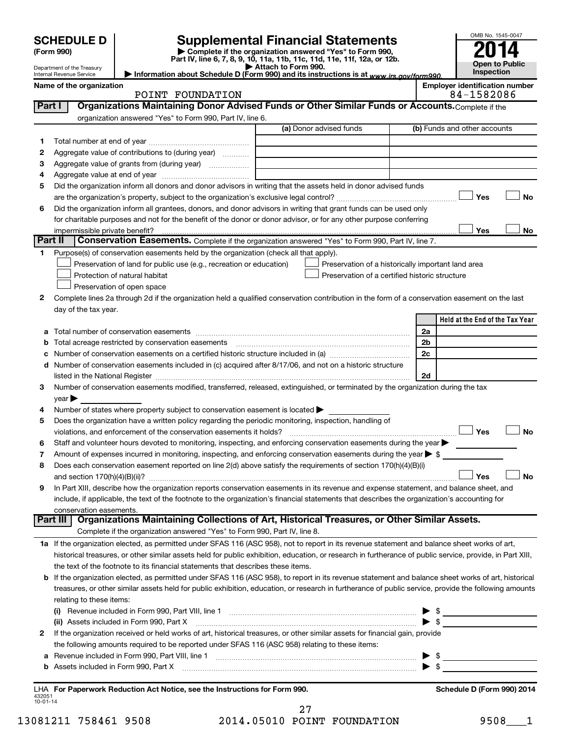|        | <b>SCHEDULE D</b><br>(Form 990)<br>Department of the Treasury<br>Internal Revenue Service |                                                                                                                                                                                                                                | <b>Supplemental Financial Statements</b><br>Complete if the organization answered "Yes" to Form 990,<br>Part IV, line 6, 7, 8, 9, 10, 11a, 11b, 11c, 11d, 11e, 11f, 12a, or 12b.<br>Attach to Form 990.<br>Information about Schedule D (Form 990) and its instructions is at www.irs.gov/form990. |                               | OMB No. 1545-0047<br>Open to Public<br>Inspection |
|--------|-------------------------------------------------------------------------------------------|--------------------------------------------------------------------------------------------------------------------------------------------------------------------------------------------------------------------------------|----------------------------------------------------------------------------------------------------------------------------------------------------------------------------------------------------------------------------------------------------------------------------------------------------|-------------------------------|---------------------------------------------------|
|        | Name of the organization                                                                  |                                                                                                                                                                                                                                |                                                                                                                                                                                                                                                                                                    |                               | <b>Employer identification number</b>             |
|        |                                                                                           | POINT FOUNDATION                                                                                                                                                                                                               |                                                                                                                                                                                                                                                                                                    |                               | 84-1582086                                        |
| Part I |                                                                                           | Organizations Maintaining Donor Advised Funds or Other Similar Funds or Accounts. Complete if the                                                                                                                              |                                                                                                                                                                                                                                                                                                    |                               |                                                   |
|        |                                                                                           | organization answered "Yes" to Form 990, Part IV, line 6.                                                                                                                                                                      |                                                                                                                                                                                                                                                                                                    |                               |                                                   |
|        |                                                                                           |                                                                                                                                                                                                                                | (a) Donor advised funds                                                                                                                                                                                                                                                                            |                               | (b) Funds and other accounts                      |
| 1      |                                                                                           |                                                                                                                                                                                                                                |                                                                                                                                                                                                                                                                                                    |                               |                                                   |
| 2      |                                                                                           | Aggregate value of contributions to (during year)                                                                                                                                                                              |                                                                                                                                                                                                                                                                                                    |                               |                                                   |
| з      |                                                                                           | Aggregate value of grants from (during year) <i></i>                                                                                                                                                                           |                                                                                                                                                                                                                                                                                                    |                               |                                                   |
| 4      |                                                                                           |                                                                                                                                                                                                                                |                                                                                                                                                                                                                                                                                                    |                               |                                                   |
| 5      |                                                                                           | Did the organization inform all donors and donor advisors in writing that the assets held in donor advised funds                                                                                                               |                                                                                                                                                                                                                                                                                                    |                               |                                                   |
|        |                                                                                           |                                                                                                                                                                                                                                |                                                                                                                                                                                                                                                                                                    |                               | Yes<br>No                                         |
| 6      |                                                                                           | Did the organization inform all grantees, donors, and donor advisors in writing that grant funds can be used only                                                                                                              |                                                                                                                                                                                                                                                                                                    |                               |                                                   |
|        |                                                                                           | for charitable purposes and not for the benefit of the donor or donor advisor, or for any other purpose conferring                                                                                                             |                                                                                                                                                                                                                                                                                                    |                               | Yes<br>No                                         |
|        | impermissible private benefit?<br>Part II                                                 | Conservation Easements. Complete if the organization answered "Yes" to Form 990, Part IV, line 7.                                                                                                                              |                                                                                                                                                                                                                                                                                                    |                               |                                                   |
| 1.     |                                                                                           | Purpose(s) of conservation easements held by the organization (check all that apply).                                                                                                                                          |                                                                                                                                                                                                                                                                                                    |                               |                                                   |
|        |                                                                                           | Preservation of land for public use (e.g., recreation or education)                                                                                                                                                            | Preservation of a historically important land area                                                                                                                                                                                                                                                 |                               |                                                   |
|        |                                                                                           | Protection of natural habitat                                                                                                                                                                                                  | Preservation of a certified historic structure                                                                                                                                                                                                                                                     |                               |                                                   |
|        |                                                                                           | Preservation of open space                                                                                                                                                                                                     |                                                                                                                                                                                                                                                                                                    |                               |                                                   |
| 2      |                                                                                           | Complete lines 2a through 2d if the organization held a qualified conservation contribution in the form of a conservation easement on the last                                                                                 |                                                                                                                                                                                                                                                                                                    |                               |                                                   |
|        | day of the tax year.                                                                      |                                                                                                                                                                                                                                |                                                                                                                                                                                                                                                                                                    |                               |                                                   |
|        |                                                                                           |                                                                                                                                                                                                                                |                                                                                                                                                                                                                                                                                                    |                               | Held at the End of the Tax Year                   |
| а      |                                                                                           | Total number of conservation easements                                                                                                                                                                                         |                                                                                                                                                                                                                                                                                                    | 2a                            |                                                   |
| b      |                                                                                           | Total acreage restricted by conservation easements                                                                                                                                                                             |                                                                                                                                                                                                                                                                                                    | 2 <sub>b</sub>                |                                                   |
| с      |                                                                                           | Number of conservation easements on a certified historic structure included in (a) manufacture included in (a)                                                                                                                 |                                                                                                                                                                                                                                                                                                    | 2c                            |                                                   |
| d      |                                                                                           | Number of conservation easements included in (c) acquired after 8/17/06, and not on a historic structure                                                                                                                       |                                                                                                                                                                                                                                                                                                    |                               |                                                   |
|        |                                                                                           | listed in the National Register [111] in the National Register [11] in the National Management of the National Register [11] in the National Register [11] in the National Register [11] in the National Management of the Nat |                                                                                                                                                                                                                                                                                                    | 2d                            |                                                   |
| З      |                                                                                           | Number of conservation easements modified, transferred, released, extinguished, or terminated by the organization during the tax                                                                                               |                                                                                                                                                                                                                                                                                                    |                               |                                                   |
|        | year                                                                                      |                                                                                                                                                                                                                                |                                                                                                                                                                                                                                                                                                    |                               |                                                   |
| 4      |                                                                                           | Number of states where property subject to conservation easement is located >                                                                                                                                                  |                                                                                                                                                                                                                                                                                                    |                               |                                                   |
| 5      |                                                                                           | Does the organization have a written policy regarding the periodic monitoring, inspection, handling of                                                                                                                         |                                                                                                                                                                                                                                                                                                    |                               |                                                   |
|        |                                                                                           |                                                                                                                                                                                                                                |                                                                                                                                                                                                                                                                                                    |                               | Yes<br>No                                         |
| 6      |                                                                                           | Staff and volunteer hours devoted to monitoring, inspecting, and enforcing conservation easements during the year                                                                                                              |                                                                                                                                                                                                                                                                                                    |                               |                                                   |
| 7      |                                                                                           | Amount of expenses incurred in monitoring, inspecting, and enforcing conservation easements during the year $\triangleright$ \$                                                                                                |                                                                                                                                                                                                                                                                                                    |                               |                                                   |
| 8      |                                                                                           | Does each conservation easement reported on line 2(d) above satisfy the requirements of section 170(h)(4)(B)(i)                                                                                                                |                                                                                                                                                                                                                                                                                                    |                               |                                                   |
|        | and section $170(h)(4)(B)(ii)?$                                                           |                                                                                                                                                                                                                                |                                                                                                                                                                                                                                                                                                    |                               | Yes<br><b>No</b>                                  |
| 9      |                                                                                           | In Part XIII, describe how the organization reports conservation easements in its revenue and expense statement, and balance sheet, and                                                                                        |                                                                                                                                                                                                                                                                                                    |                               |                                                   |
|        |                                                                                           | include, if applicable, the text of the footnote to the organization's financial statements that describes the organization's accounting for                                                                                   |                                                                                                                                                                                                                                                                                                    |                               |                                                   |
|        | conservation easements.<br>Part III                                                       | Organizations Maintaining Collections of Art, Historical Treasures, or Other Similar Assets.                                                                                                                                   |                                                                                                                                                                                                                                                                                                    |                               |                                                   |
|        |                                                                                           | Complete if the organization answered "Yes" to Form 990, Part IV, line 8.                                                                                                                                                      |                                                                                                                                                                                                                                                                                                    |                               |                                                   |
|        |                                                                                           | 1a If the organization elected, as permitted under SFAS 116 (ASC 958), not to report in its revenue statement and balance sheet works of art,                                                                                  |                                                                                                                                                                                                                                                                                                    |                               |                                                   |
|        |                                                                                           | historical treasures, or other similar assets held for public exhibition, education, or research in furtherance of public service, provide, in Part XIII,                                                                      |                                                                                                                                                                                                                                                                                                    |                               |                                                   |
|        |                                                                                           | the text of the footnote to its financial statements that describes these items.                                                                                                                                               |                                                                                                                                                                                                                                                                                                    |                               |                                                   |
|        |                                                                                           | b If the organization elected, as permitted under SFAS 116 (ASC 958), to report in its revenue statement and balance sheet works of art, historical                                                                            |                                                                                                                                                                                                                                                                                                    |                               |                                                   |
|        |                                                                                           | treasures, or other similar assets held for public exhibition, education, or research in furtherance of public service, provide the following amounts                                                                          |                                                                                                                                                                                                                                                                                                    |                               |                                                   |
|        | relating to these items:                                                                  |                                                                                                                                                                                                                                |                                                                                                                                                                                                                                                                                                    |                               |                                                   |
|        |                                                                                           |                                                                                                                                                                                                                                |                                                                                                                                                                                                                                                                                                    |                               |                                                   |
|        |                                                                                           | (ii) Assets included in Form 990, Part X                                                                                                                                                                                       |                                                                                                                                                                                                                                                                                                    |                               | $\blacktriangleright$ \$                          |
| 2      |                                                                                           | If the organization received or held works of art, historical treasures, or other similar assets for financial gain, provide                                                                                                   |                                                                                                                                                                                                                                                                                                    |                               |                                                   |
|        |                                                                                           | the following amounts required to be reported under SFAS 116 (ASC 958) relating to these items:                                                                                                                                |                                                                                                                                                                                                                                                                                                    |                               |                                                   |
|        |                                                                                           |                                                                                                                                                                                                                                |                                                                                                                                                                                                                                                                                                    |                               |                                                   |
| а      |                                                                                           |                                                                                                                                                                                                                                |                                                                                                                                                                                                                                                                                                    | \$                            |                                                   |
| b      |                                                                                           | Assets included in Form 990, Part X [CONDITED INTERNATION IN A SERVICE 2010]                                                                                                                                                   |                                                                                                                                                                                                                                                                                                    | ▶<br>$\blacktriangleright$ \$ |                                                   |

8 2014.05010 POINT FOUNDATION 9508\_\_\_1 27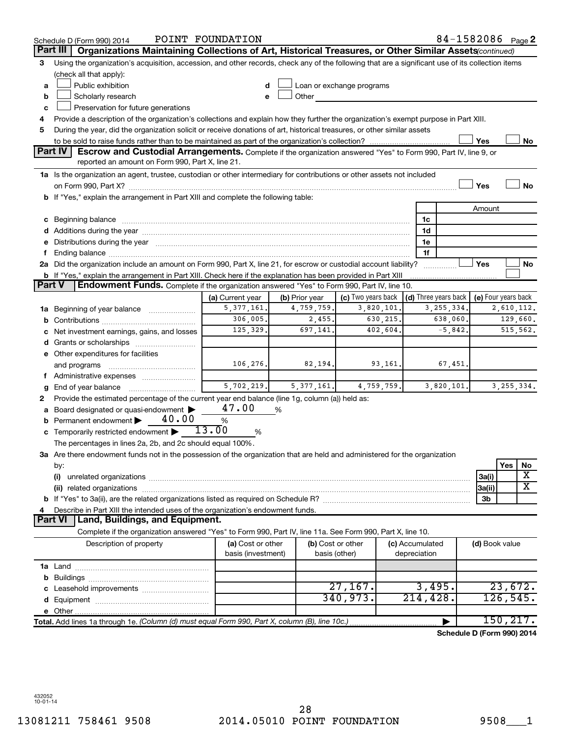|        | Schedule D (Form 990) 2014                                                                                                                                                                                                     | POINT FOUNDATION   |                |                           |                 | 84-1582086 Page 2                    |                     |           |              |  |
|--------|--------------------------------------------------------------------------------------------------------------------------------------------------------------------------------------------------------------------------------|--------------------|----------------|---------------------------|-----------------|--------------------------------------|---------------------|-----------|--------------|--|
|        | Part III<br>Organizations Maintaining Collections of Art, Historical Treasures, or Other Similar Assets(continued)                                                                                                             |                    |                |                           |                 |                                      |                     |           |              |  |
| 3      | Using the organization's acquisition, accession, and other records, check any of the following that are a significant use of its collection items                                                                              |                    |                |                           |                 |                                      |                     |           |              |  |
|        | (check all that apply):                                                                                                                                                                                                        |                    |                |                           |                 |                                      |                     |           |              |  |
| a      | Public exhibition                                                                                                                                                                                                              | d                  |                | Loan or exchange programs |                 |                                      |                     |           |              |  |
| b      | Scholarly research                                                                                                                                                                                                             | e                  | Other          |                           |                 |                                      |                     |           |              |  |
| c      | Preservation for future generations                                                                                                                                                                                            |                    |                |                           |                 |                                      |                     |           |              |  |
| 4      | Provide a description of the organization's collections and explain how they further the organization's exempt purpose in Part XIII.                                                                                           |                    |                |                           |                 |                                      |                     |           |              |  |
| 5      | During the year, did the organization solicit or receive donations of art, historical treasures, or other similar assets                                                                                                       |                    |                |                           |                 |                                      |                     |           |              |  |
| Yes    |                                                                                                                                                                                                                                |                    |                |                           |                 |                                      |                     |           | No           |  |
|        | Part IV<br><b>Escrow and Custodial Arrangements.</b> Complete if the organization answered "Yes" to Form 990, Part IV, line 9, or                                                                                              |                    |                |                           |                 |                                      |                     |           |              |  |
|        | reported an amount on Form 990, Part X, line 21.                                                                                                                                                                               |                    |                |                           |                 |                                      |                     |           |              |  |
|        | 1a Is the organization an agent, trustee, custodian or other intermediary for contributions or other assets not included                                                                                                       |                    |                |                           |                 |                                      |                     |           |              |  |
|        | on Form 990, Part X? [11] matter and the contract of the contract of the contract of the contract of the contract of the contract of the contract of the contract of the contract of the contract of the contract of the contr |                    |                |                           |                 |                                      | Yes                 |           | No           |  |
|        | b If "Yes," explain the arrangement in Part XIII and complete the following table:                                                                                                                                             |                    |                |                           |                 |                                      |                     |           |              |  |
|        |                                                                                                                                                                                                                                |                    |                |                           |                 |                                      | Amount              |           |              |  |
|        | c Beginning balance measurements and the contract of the contract of the contract of the contract of the contract of the contract of the contract of the contract of the contract of the contract of the contract of the contr |                    |                |                           | 1c              |                                      |                     |           |              |  |
|        |                                                                                                                                                                                                                                |                    |                |                           | 1d              |                                      |                     |           |              |  |
| е      | Distributions during the year manufactured and an account of the year manufactured and the year manufactured and the year manufactured and the year manufactured and the year manufactured and the year manufactured and the y |                    |                |                           | 1e              |                                      |                     |           |              |  |
| f.     |                                                                                                                                                                                                                                |                    |                |                           | 1f              |                                      |                     |           |              |  |
|        | 2a Did the organization include an amount on Form 990, Part X, line 21, for escrow or custodial account liability?                                                                                                             |                    |                |                           |                 |                                      | Yes                 |           | No           |  |
|        | <b>b</b> If "Yes," explain the arrangement in Part XIII. Check here if the explanation has been provided in Part XIII                                                                                                          |                    |                |                           |                 |                                      |                     |           |              |  |
| Part V | <b>Endowment Funds.</b> Complete if the organization answered "Yes" to Form 990, Part IV, line 10.                                                                                                                             |                    |                |                           |                 |                                      |                     |           |              |  |
|        |                                                                                                                                                                                                                                | (a) Current year   | (b) Prior year | (c) Two years back        |                 | $\vert$ (d) Three years back $\vert$ | (e) Four years back |           |              |  |
| 1a     | Beginning of year balance <i>manumman</i>                                                                                                                                                                                      | 5, 377, 161.       | 4,759,759.     | 3,820,101                 |                 | 3, 255, 334.                         |                     |           | 2,610,112.   |  |
| b      |                                                                                                                                                                                                                                | 306,005.           | 2,455.         | 630, 215.                 |                 | 638,060.                             |                     |           | 129,660.     |  |
|        | Net investment earnings, gains, and losses                                                                                                                                                                                     | 125,329.           | 697,141.       | 402,604.                  |                 | $-5,842.$                            |                     |           | 515,562.     |  |
|        |                                                                                                                                                                                                                                |                    |                |                           |                 |                                      |                     |           |              |  |
| d      |                                                                                                                                                                                                                                |                    |                |                           |                 |                                      |                     |           |              |  |
|        | e Other expenditures for facilities                                                                                                                                                                                            | 106,276.           | 82,194.        | 93,161.                   |                 |                                      |                     |           |              |  |
|        | and programs                                                                                                                                                                                                                   |                    |                |                           |                 | 67,451.                              |                     |           |              |  |
|        | f Administrative expenses                                                                                                                                                                                                      | 5,702,219.         |                |                           |                 | 3,820,101.                           |                     |           |              |  |
|        | End of year balance                                                                                                                                                                                                            |                    | 5,377,161.     | 4,759,759.                |                 |                                      |                     |           | 3, 255, 334. |  |
| 2      | Provide the estimated percentage of the current year end balance (line 1g, column (a)) held as:                                                                                                                                | 47.00              |                |                           |                 |                                      |                     |           |              |  |
| а      | Board designated or quasi-endowment                                                                                                                                                                                            |                    | %              |                           |                 |                                      |                     |           |              |  |
|        | 40.00<br>Permanent endowment                                                                                                                                                                                                   | $\%$<br>13.00      |                |                           |                 |                                      |                     |           |              |  |
|        | c Temporarily restricted endowment $\blacktriangleright$                                                                                                                                                                       | %                  |                |                           |                 |                                      |                     |           |              |  |
|        | The percentages in lines 2a, 2b, and 2c should equal 100%.                                                                                                                                                                     |                    |                |                           |                 |                                      |                     |           |              |  |
|        | 3a Are there endowment funds not in the possession of the organization that are held and administered for the organization                                                                                                     |                    |                |                           |                 |                                      |                     |           |              |  |
|        | by:                                                                                                                                                                                                                            |                    |                |                           |                 |                                      |                     | Yes       | No<br>х      |  |
|        | (i)                                                                                                                                                                                                                            |                    |                |                           |                 |                                      | 3a(i)               |           | x            |  |
|        |                                                                                                                                                                                                                                |                    |                |                           |                 |                                      | 3a(ii)              |           |              |  |
|        |                                                                                                                                                                                                                                |                    |                |                           |                 |                                      | 3b                  |           |              |  |
| 4      | Describe in Part XIII the intended uses of the organization's endowment funds.<br><b>Part VI</b><br>Land, Buildings, and Equipment.                                                                                            |                    |                |                           |                 |                                      |                     |           |              |  |
|        |                                                                                                                                                                                                                                |                    |                |                           |                 |                                      |                     |           |              |  |
|        | Complete if the organization answered "Yes" to Form 990, Part IV, line 11a. See Form 990, Part X, line 10.                                                                                                                     |                    |                |                           |                 |                                      |                     |           |              |  |
|        | Description of property                                                                                                                                                                                                        | (a) Cost or other  |                | (b) Cost or other         | (c) Accumulated |                                      | (d) Book value      |           |              |  |
|        |                                                                                                                                                                                                                                | basis (investment) |                | basis (other)             | depreciation    |                                      |                     |           |              |  |
|        |                                                                                                                                                                                                                                |                    |                |                           |                 |                                      |                     |           |              |  |
|        |                                                                                                                                                                                                                                |                    |                |                           |                 |                                      |                     |           |              |  |
|        |                                                                                                                                                                                                                                |                    |                | 27,167.                   |                 | 3,495.                               |                     |           | 23,672.      |  |
|        |                                                                                                                                                                                                                                |                    |                | 340,973.                  | 214, 428.       |                                      |                     | 126, 545. |              |  |
|        |                                                                                                                                                                                                                                |                    |                |                           |                 |                                      |                     |           |              |  |
|        | Total. Add lines 1a through 1e. (Column (d) must equal Form 990, Part X, column (B), line 10c.)                                                                                                                                |                    |                |                           |                 |                                      |                     |           | 150, 217.    |  |
|        |                                                                                                                                                                                                                                |                    |                |                           |                 | Schedule D (Form 990) 2014           |                     |           |              |  |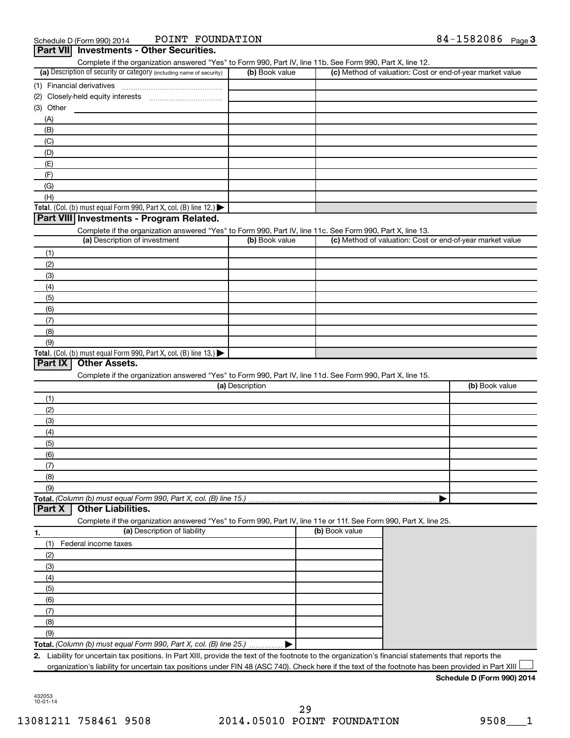| (a) Description of security or category (including name of security)<br>(1) Financial derivatives<br>(2)<br>(3) Other<br>(A)<br>(B)<br>(C)<br>(D)<br>(E)<br>(F)<br>(G)<br>(H)<br>Total. (Col. (b) must equal Form 990, Part X, col. (B) line 12.) $\blacktriangleright$<br>Part VIII Investments - Program Related.<br>(1)<br>(2)<br>(3)<br>(4)<br>(5)<br>(6)<br>(7)<br>(8)<br>(9)<br>Total. (Col. (b) must equal Form 990, Part X, col. (B) line 13.)<br>Part IX<br><b>Other Assets.</b> | Complete if the organization answered "Yes" to Form 990, Part IV, line 11b. See Form 990, Part X, line 12.<br>Complete if the organization answered "Yes" to Form 990, Part IV, line 11c. See Form 990, Part X, line 13.<br>(a) Description of investment |                 | (b) Book value<br>(b) Book value |                                                                                                                                                   |  | (c) Method of valuation: Cost or end-of-year market value<br>(c) Method of valuation: Cost or end-of-year market value |
|-------------------------------------------------------------------------------------------------------------------------------------------------------------------------------------------------------------------------------------------------------------------------------------------------------------------------------------------------------------------------------------------------------------------------------------------------------------------------------------------|-----------------------------------------------------------------------------------------------------------------------------------------------------------------------------------------------------------------------------------------------------------|-----------------|----------------------------------|---------------------------------------------------------------------------------------------------------------------------------------------------|--|------------------------------------------------------------------------------------------------------------------------|
|                                                                                                                                                                                                                                                                                                                                                                                                                                                                                           |                                                                                                                                                                                                                                                           |                 |                                  |                                                                                                                                                   |  |                                                                                                                        |
|                                                                                                                                                                                                                                                                                                                                                                                                                                                                                           |                                                                                                                                                                                                                                                           |                 |                                  |                                                                                                                                                   |  |                                                                                                                        |
|                                                                                                                                                                                                                                                                                                                                                                                                                                                                                           |                                                                                                                                                                                                                                                           |                 |                                  |                                                                                                                                                   |  |                                                                                                                        |
|                                                                                                                                                                                                                                                                                                                                                                                                                                                                                           |                                                                                                                                                                                                                                                           |                 |                                  |                                                                                                                                                   |  |                                                                                                                        |
|                                                                                                                                                                                                                                                                                                                                                                                                                                                                                           |                                                                                                                                                                                                                                                           |                 |                                  |                                                                                                                                                   |  |                                                                                                                        |
|                                                                                                                                                                                                                                                                                                                                                                                                                                                                                           |                                                                                                                                                                                                                                                           |                 |                                  |                                                                                                                                                   |  |                                                                                                                        |
|                                                                                                                                                                                                                                                                                                                                                                                                                                                                                           |                                                                                                                                                                                                                                                           |                 |                                  |                                                                                                                                                   |  |                                                                                                                        |
|                                                                                                                                                                                                                                                                                                                                                                                                                                                                                           |                                                                                                                                                                                                                                                           |                 |                                  |                                                                                                                                                   |  |                                                                                                                        |
|                                                                                                                                                                                                                                                                                                                                                                                                                                                                                           |                                                                                                                                                                                                                                                           |                 |                                  |                                                                                                                                                   |  |                                                                                                                        |
|                                                                                                                                                                                                                                                                                                                                                                                                                                                                                           |                                                                                                                                                                                                                                                           |                 |                                  |                                                                                                                                                   |  |                                                                                                                        |
|                                                                                                                                                                                                                                                                                                                                                                                                                                                                                           |                                                                                                                                                                                                                                                           |                 |                                  |                                                                                                                                                   |  |                                                                                                                        |
|                                                                                                                                                                                                                                                                                                                                                                                                                                                                                           |                                                                                                                                                                                                                                                           |                 |                                  |                                                                                                                                                   |  |                                                                                                                        |
|                                                                                                                                                                                                                                                                                                                                                                                                                                                                                           |                                                                                                                                                                                                                                                           |                 |                                  |                                                                                                                                                   |  |                                                                                                                        |
|                                                                                                                                                                                                                                                                                                                                                                                                                                                                                           |                                                                                                                                                                                                                                                           |                 |                                  |                                                                                                                                                   |  |                                                                                                                        |
|                                                                                                                                                                                                                                                                                                                                                                                                                                                                                           |                                                                                                                                                                                                                                                           |                 |                                  |                                                                                                                                                   |  |                                                                                                                        |
|                                                                                                                                                                                                                                                                                                                                                                                                                                                                                           |                                                                                                                                                                                                                                                           |                 |                                  |                                                                                                                                                   |  |                                                                                                                        |
|                                                                                                                                                                                                                                                                                                                                                                                                                                                                                           |                                                                                                                                                                                                                                                           |                 |                                  |                                                                                                                                                   |  |                                                                                                                        |
|                                                                                                                                                                                                                                                                                                                                                                                                                                                                                           |                                                                                                                                                                                                                                                           |                 |                                  |                                                                                                                                                   |  |                                                                                                                        |
|                                                                                                                                                                                                                                                                                                                                                                                                                                                                                           |                                                                                                                                                                                                                                                           |                 |                                  |                                                                                                                                                   |  |                                                                                                                        |
|                                                                                                                                                                                                                                                                                                                                                                                                                                                                                           |                                                                                                                                                                                                                                                           |                 |                                  |                                                                                                                                                   |  |                                                                                                                        |
|                                                                                                                                                                                                                                                                                                                                                                                                                                                                                           |                                                                                                                                                                                                                                                           |                 |                                  |                                                                                                                                                   |  |                                                                                                                        |
|                                                                                                                                                                                                                                                                                                                                                                                                                                                                                           |                                                                                                                                                                                                                                                           |                 |                                  |                                                                                                                                                   |  |                                                                                                                        |
|                                                                                                                                                                                                                                                                                                                                                                                                                                                                                           |                                                                                                                                                                                                                                                           |                 |                                  |                                                                                                                                                   |  |                                                                                                                        |
|                                                                                                                                                                                                                                                                                                                                                                                                                                                                                           |                                                                                                                                                                                                                                                           |                 |                                  |                                                                                                                                                   |  |                                                                                                                        |
|                                                                                                                                                                                                                                                                                                                                                                                                                                                                                           |                                                                                                                                                                                                                                                           |                 |                                  |                                                                                                                                                   |  |                                                                                                                        |
|                                                                                                                                                                                                                                                                                                                                                                                                                                                                                           |                                                                                                                                                                                                                                                           |                 |                                  |                                                                                                                                                   |  |                                                                                                                        |
|                                                                                                                                                                                                                                                                                                                                                                                                                                                                                           | Complete if the organization answered "Yes" to Form 990, Part IV, line 11d. See Form 990, Part X, line 15.                                                                                                                                                | (a) Description |                                  |                                                                                                                                                   |  | (b) Book value                                                                                                         |
| (1)                                                                                                                                                                                                                                                                                                                                                                                                                                                                                       |                                                                                                                                                                                                                                                           |                 |                                  |                                                                                                                                                   |  |                                                                                                                        |
| (2)                                                                                                                                                                                                                                                                                                                                                                                                                                                                                       |                                                                                                                                                                                                                                                           |                 |                                  |                                                                                                                                                   |  |                                                                                                                        |
| (3)                                                                                                                                                                                                                                                                                                                                                                                                                                                                                       |                                                                                                                                                                                                                                                           |                 |                                  |                                                                                                                                                   |  |                                                                                                                        |
| (4)                                                                                                                                                                                                                                                                                                                                                                                                                                                                                       |                                                                                                                                                                                                                                                           |                 |                                  |                                                                                                                                                   |  |                                                                                                                        |
| (5)                                                                                                                                                                                                                                                                                                                                                                                                                                                                                       |                                                                                                                                                                                                                                                           |                 |                                  |                                                                                                                                                   |  |                                                                                                                        |
| (6)                                                                                                                                                                                                                                                                                                                                                                                                                                                                                       |                                                                                                                                                                                                                                                           |                 |                                  |                                                                                                                                                   |  |                                                                                                                        |
| (7)                                                                                                                                                                                                                                                                                                                                                                                                                                                                                       |                                                                                                                                                                                                                                                           |                 |                                  |                                                                                                                                                   |  |                                                                                                                        |
| (8)                                                                                                                                                                                                                                                                                                                                                                                                                                                                                       |                                                                                                                                                                                                                                                           |                 |                                  |                                                                                                                                                   |  |                                                                                                                        |
| (9)                                                                                                                                                                                                                                                                                                                                                                                                                                                                                       |                                                                                                                                                                                                                                                           |                 |                                  |                                                                                                                                                   |  |                                                                                                                        |
| <b>Other Liabilities.</b><br>Part X                                                                                                                                                                                                                                                                                                                                                                                                                                                       | Total. (Column (b) must equal Form 990, Part X, col. (B) line 15.)                                                                                                                                                                                        |                 |                                  |                                                                                                                                                   |  |                                                                                                                        |
|                                                                                                                                                                                                                                                                                                                                                                                                                                                                                           | Complete if the organization answered "Yes" to Form 990, Part IV, line 11e or 11f. See Form 990, Part X, line 25.<br>(a) Description of liability                                                                                                         |                 |                                  | (b) Book value                                                                                                                                    |  |                                                                                                                        |
|                                                                                                                                                                                                                                                                                                                                                                                                                                                                                           |                                                                                                                                                                                                                                                           |                 |                                  |                                                                                                                                                   |  |                                                                                                                        |
| Federal income taxes<br>(1)                                                                                                                                                                                                                                                                                                                                                                                                                                                               |                                                                                                                                                                                                                                                           |                 |                                  |                                                                                                                                                   |  |                                                                                                                        |
| (2)                                                                                                                                                                                                                                                                                                                                                                                                                                                                                       |                                                                                                                                                                                                                                                           |                 |                                  |                                                                                                                                                   |  |                                                                                                                        |
| (3)                                                                                                                                                                                                                                                                                                                                                                                                                                                                                       |                                                                                                                                                                                                                                                           |                 |                                  |                                                                                                                                                   |  |                                                                                                                        |
| (4)                                                                                                                                                                                                                                                                                                                                                                                                                                                                                       |                                                                                                                                                                                                                                                           |                 |                                  |                                                                                                                                                   |  |                                                                                                                        |
| (5)                                                                                                                                                                                                                                                                                                                                                                                                                                                                                       |                                                                                                                                                                                                                                                           |                 |                                  |                                                                                                                                                   |  |                                                                                                                        |
| (6)                                                                                                                                                                                                                                                                                                                                                                                                                                                                                       |                                                                                                                                                                                                                                                           |                 |                                  |                                                                                                                                                   |  |                                                                                                                        |
| (7)                                                                                                                                                                                                                                                                                                                                                                                                                                                                                       |                                                                                                                                                                                                                                                           |                 |                                  |                                                                                                                                                   |  |                                                                                                                        |
|                                                                                                                                                                                                                                                                                                                                                                                                                                                                                           |                                                                                                                                                                                                                                                           |                 |                                  |                                                                                                                                                   |  |                                                                                                                        |
| (8)                                                                                                                                                                                                                                                                                                                                                                                                                                                                                       |                                                                                                                                                                                                                                                           |                 |                                  |                                                                                                                                                   |  |                                                                                                                        |
| (9)                                                                                                                                                                                                                                                                                                                                                                                                                                                                                       |                                                                                                                                                                                                                                                           |                 |                                  |                                                                                                                                                   |  |                                                                                                                        |
|                                                                                                                                                                                                                                                                                                                                                                                                                                                                                           | Total. (Column (b) must equal Form 990, Part X, col. (B) line 25.)                                                                                                                                                                                        |                 |                                  | Liability for uncertain tax positions. In Part XIII, provide the text of the footnote to the organization's financial statements that reports the |  |                                                                                                                        |

**Schedule D (Form 990) 2014**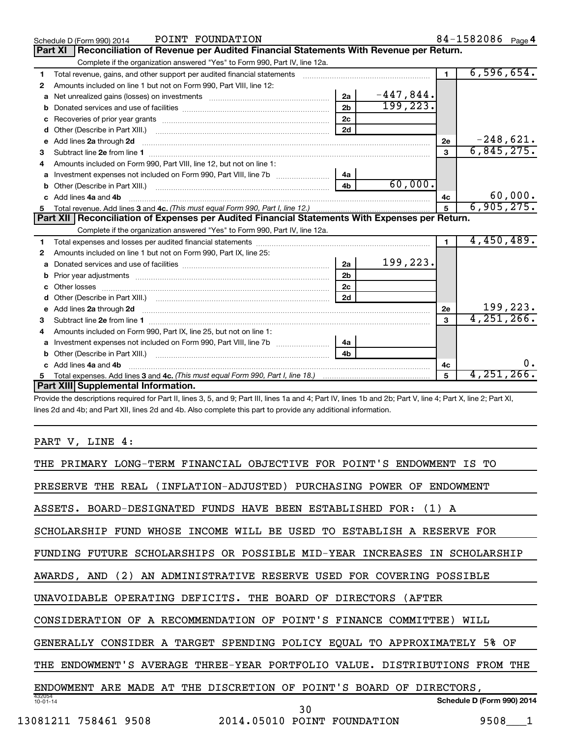|   | POINT FOUNDATION<br>Schedule D (Form 990) 2014                                                                                                                                                                                      |                |             |                | 84-1582086 Page 4 |
|---|-------------------------------------------------------------------------------------------------------------------------------------------------------------------------------------------------------------------------------------|----------------|-------------|----------------|-------------------|
|   | Reconciliation of Revenue per Audited Financial Statements With Revenue per Return.<br><b>Part XI</b>                                                                                                                               |                |             |                |                   |
|   | Complete if the organization answered "Yes" to Form 990, Part IV, line 12a.                                                                                                                                                         |                |             |                |                   |
| 1 | Total revenue, gains, and other support per audited financial statements [111][11] matterconductions and other support per audited financial statements [11] matter support in the state of the state of the state of the stat      |                |             | $\mathbf{1}$   | 6,596,654.        |
| 2 | Amounts included on line 1 but not on Form 990, Part VIII, line 12:                                                                                                                                                                 |                |             |                |                   |
| a | Net unrealized gains (losses) on investments [111] Net unrealized mains (losses) on investments [11] Metaman mains and the unrealized mains and the unrealized mains (losses) on investments [11] Metaman mains and the unreal      | 2a             | $-447,844.$ |                |                   |
| b |                                                                                                                                                                                                                                     | 2 <sub>b</sub> | 199, 223.   |                |                   |
| с |                                                                                                                                                                                                                                     | 2c             |             |                |                   |
| d | Other (Describe in Part XIII.)                                                                                                                                                                                                      | 2d             |             |                |                   |
| е | Add lines 2a through 2d <b>continuum contract and all and all and all and all and all and all and all and all and a</b>                                                                                                             |                |             | 2е             | $-248,621.$       |
| з |                                                                                                                                                                                                                                     |                |             | 3              | 6,845,275.        |
|   | Amounts included on Form 990, Part VIII, line 12, but not on line 1:                                                                                                                                                                |                |             |                |                   |
| a |                                                                                                                                                                                                                                     | 4a             |             |                |                   |
| b |                                                                                                                                                                                                                                     | 4 <sub>b</sub> | 60,000.     |                |                   |
|   | Add lines 4a and 4b                                                                                                                                                                                                                 |                |             | 4c             | 60,000.           |
| 5 |                                                                                                                                                                                                                                     |                |             |                | 6,905,275.        |
|   | Part XII   Reconciliation of Expenses per Audited Financial Statements With Expenses per Return.                                                                                                                                    |                |             |                |                   |
|   |                                                                                                                                                                                                                                     |                |             |                |                   |
|   | Complete if the organization answered "Yes" to Form 990, Part IV, line 12a.                                                                                                                                                         |                |             |                |                   |
| 1 |                                                                                                                                                                                                                                     |                |             | $\blacksquare$ | 4,450,489.        |
| 2 | Amounts included on line 1 but not on Form 990, Part IX, line 25:                                                                                                                                                                   |                |             |                |                   |
| a |                                                                                                                                                                                                                                     | 2a             | 199,223.    |                |                   |
| b |                                                                                                                                                                                                                                     | 2 <sub>b</sub> |             |                |                   |
|   |                                                                                                                                                                                                                                     | 2 <sub>c</sub> |             |                |                   |
|   |                                                                                                                                                                                                                                     | 2d             |             |                |                   |
| e | Add lines 2a through 2d <b>[10]</b> University of the contract of the state of the state of the state of the state of the state of the state of the state of the state of the state of the state of the state of the state of the s |                |             | 2e             | 199,223.          |
| 3 | Subtract line 2e from line 1 <b>Manual Community of the Community</b> Subtract line 2e from line 1                                                                                                                                  |                |             | $\mathbf{a}$   | 4, 251, 266.      |
| 4 | Amounts included on Form 990, Part IX, line 25, but not on line 1:                                                                                                                                                                  |                |             |                |                   |
| a |                                                                                                                                                                                                                                     | 4a             |             |                |                   |
|   |                                                                                                                                                                                                                                     | 4h             |             |                |                   |
|   | Add lines 4a and 4b                                                                                                                                                                                                                 |                |             | 4c             | $0$ .             |
| 5 | Part XIII Supplemental Information.                                                                                                                                                                                                 |                |             | 5              | $4,251,266$ .     |

Provide the descriptions required for Part II, lines 3, 5, and 9; Part III, lines 1a and 4; Part IV, lines 1b and 2b; Part V, line 4; Part X, line 2; Part XI, lines 2d and 4b; and Part XII, lines 2d and 4b. Also complete this part to provide any additional information.

PART V, LINE 4:

| PRIMARY LONG-TERM FINANCIAL OBJECTIVE FOR POINT'S ENDOWMENT<br>IS TO          |                            |
|-------------------------------------------------------------------------------|----------------------------|
| (INFLATION-ADJUSTED) PURCHASING POWER OF<br>PRESERVE THE REAL<br>ENDOWMENT    |                            |
| BOARD-DESIGNATED FUNDS HAVE BEEN ESTABLISHED FOR:<br>ASSETS.<br>$(1)$ A       |                            |
| WHOSE INCOME WILL BE USED TO ESTABLISH A RESERVE<br>SCHOLARSHIP<br>FUND       | FOR                        |
| FUTURE SCHOLARSHIPS OR POSSIBLE MID-YEAR INCREASES IN SCHOLARSHIP<br>FUNDING  |                            |
| AN ADMINISTRATIVE RESERVE USED FOR COVERING<br>(2)<br>POSSIBLE<br>AWARDS, AND |                            |
| UNAVOIDABLE OPERATING DEFICITS. THE BOARD OF<br>DIRECTORS (AFTER              |                            |
| CONSIDERATION OF A RECOMMENDATION OF POINT'S FINANCE COMMITTEE)<br>WILL       |                            |
| GENERALLY CONSIDER A TARGET SPENDING POLICY EQUAL TO APPROXIMATELY 5% OF      |                            |
| ENDOWMENT'S AVERAGE THREE-YEAR PORTFOLIO VALUE. DISTRIBUTIONS FROM THE<br>THE |                            |
| POINT'S BOARD OF DIRECTORS,<br>ARE MADE AT THE DISCRETION OF<br>ENDOWMENT     |                            |
| 432054<br>$10 - 01 - 14$<br>30                                                | Schedule D (Form 990) 2014 |
| 2014.05010 POINT FOUNDATION<br>13081211<br>758461 9508                        | 9508                       |
|                                                                               |                            |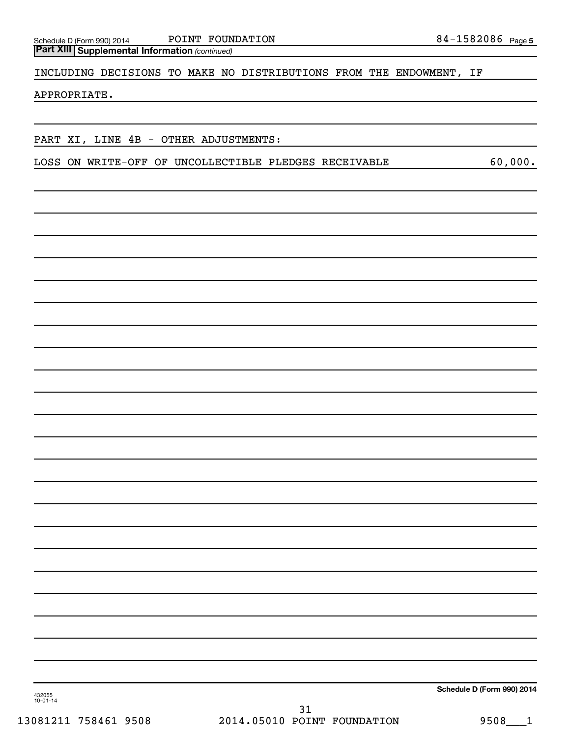Schedule D (Form 990) 2014 Page POINT FOUNDATION 84-1582086

*(continued)* **Part XIII Supplemental Information** 

INCLUDING DECISIONS TO MAKE NO DISTRIBUTIONS FROM THE ENDOWMENT, IF

APPROPRIATE.

PART XI, LINE 4B - OTHER ADJUSTMENTS:

LOSS ON WRITE-OFF OF UNCOLLECTIBLE PLEDGES RECEIVABLE 60,000.

**Schedule D (Form 990) 2014**

432055 10-01-14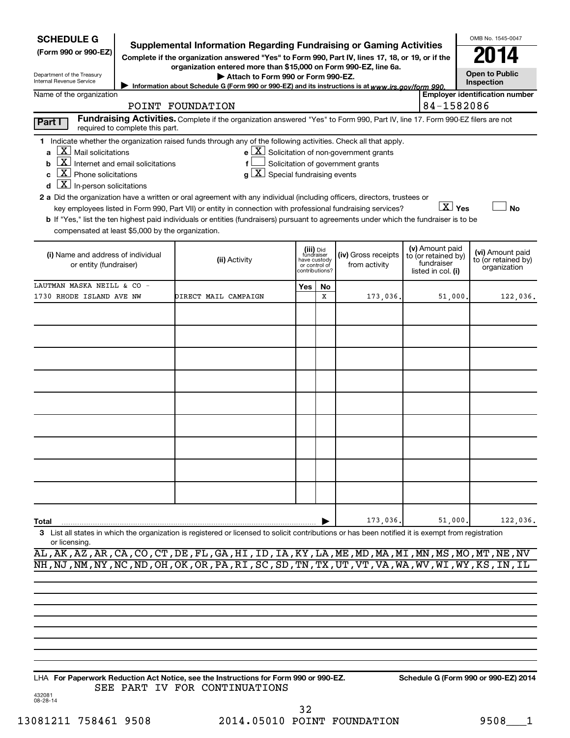| <b>SCHEDULE G</b><br>(Form 990 or 990-EZ)<br>Department of the Treasury<br>Internal Revenue Service<br>Name of the organization                                                                                                                                                         | Supplemental Information Regarding Fundraising or Gaming Activities<br>Complete if the organization answered "Yes" to Form 990, Part IV, lines 17, 18, or 19, or if the<br>organization entered more than \$15,000 on Form 990-EZ, line 6a.<br>Attach to Form 990 or Form 990-EZ.<br>Information about Schedule G (Form 990 or 990-EZ) and its instructions is at www.irs.gov/form 990.<br>POINT FOUNDATION                                                                                                |                                                    |                                                                            |                                                                                                   |                                                                            | OMB No. 1545-0047<br><b>Open to Public</b><br>Inspection<br><b>Employer identification number</b><br>84-1582086 |
|-----------------------------------------------------------------------------------------------------------------------------------------------------------------------------------------------------------------------------------------------------------------------------------------|------------------------------------------------------------------------------------------------------------------------------------------------------------------------------------------------------------------------------------------------------------------------------------------------------------------------------------------------------------------------------------------------------------------------------------------------------------------------------------------------------------|----------------------------------------------------|----------------------------------------------------------------------------|---------------------------------------------------------------------------------------------------|----------------------------------------------------------------------------|-----------------------------------------------------------------------------------------------------------------|
| Part I                                                                                                                                                                                                                                                                                  | Fundraising Activities. Complete if the organization answered "Yes" to Form 990, Part IV, line 17. Form 990-EZ filers are not                                                                                                                                                                                                                                                                                                                                                                              |                                                    |                                                                            |                                                                                                   |                                                                            |                                                                                                                 |
| required to complete this part.<br>$X$ Mail solicitations<br>a<br>$\overline{\mathbf{X}}$ Internet and email solicitations<br>b<br>$\overline{X}$ Phone solicitations<br>C<br>$\overline{\mathbf{X}}$ In-person solicitations<br>d<br>compensated at least \$5,000 by the organization. | 1 Indicate whether the organization raised funds through any of the following activities. Check all that apply.<br>a<br>2 a Did the organization have a written or oral agreement with any individual (including officers, directors, trustees or<br>key employees listed in Form 990, Part VII) or entity in connection with professional fundraising services?<br>b If "Yes," list the ten highest paid individuals or entities (fundraisers) pursuant to agreements under which the fundraiser is to be | $\overline{\mathbf{X}}$ Special fundraising events |                                                                            | $e$ $\boxed{\text{X}}$ Solicitation of non-government grants<br>Solicitation of government grants |                                                                            | $\boxed{\text{X}}$ Yes<br>No                                                                                    |
| (i) Name and address of individual<br>or entity (fundraiser)                                                                                                                                                                                                                            | (ii) Activity                                                                                                                                                                                                                                                                                                                                                                                                                                                                                              |                                                    | (iii) Did<br>fundraiser<br>have custody<br>or control of<br>contributions? | (iv) Gross receipts<br>from activity                                                              | (v) Amount paid<br>to (or retained by)<br>fundraiser<br>listed in col. (i) | (vi) Amount paid<br>to (or retained by)<br>organization                                                         |
| LAUTMAN MASKA NEILL & CO -<br>1730 RHODE ISLAND AVE NW                                                                                                                                                                                                                                  | DIRECT MAIL CAMPAIGN                                                                                                                                                                                                                                                                                                                                                                                                                                                                                       | Yes                                                | No<br>X                                                                    | 173,036.                                                                                          |                                                                            | 51,000.<br>122,036.                                                                                             |
| Total                                                                                                                                                                                                                                                                                   |                                                                                                                                                                                                                                                                                                                                                                                                                                                                                                            |                                                    |                                                                            | 173,036.                                                                                          | 51,000.                                                                    | 122,036.                                                                                                        |
| 3<br>or licensing<br>AL, AK, AZ, AR, CA, CO, CT, DE, FL, GA, HI, ID, IA, KY, LA, ME, MD, MA, MI, MN, MS, MO, MT, NE, NV                                                                                                                                                                 | List all states in which the organization is registered or licensed to solicit contributions or has been notified it is exempt from registration                                                                                                                                                                                                                                                                                                                                                           |                                                    |                                                                            |                                                                                                   |                                                                            |                                                                                                                 |

NH,NJ,NM,NY,NC,ND,OH,OK,OR,PA,RI,SC,SD,TN,TX,UT,VT,VA,WA,WV,WI,WY,KS,IN,IL

**For Paperwork Reduction Act Notice, see the Instructions for Form 990 or 990-EZ. Schedule G (Form 990 or 990-EZ) 2014** LHA SEE PART IV FOR CONTINUATIONS

432081 08-28-14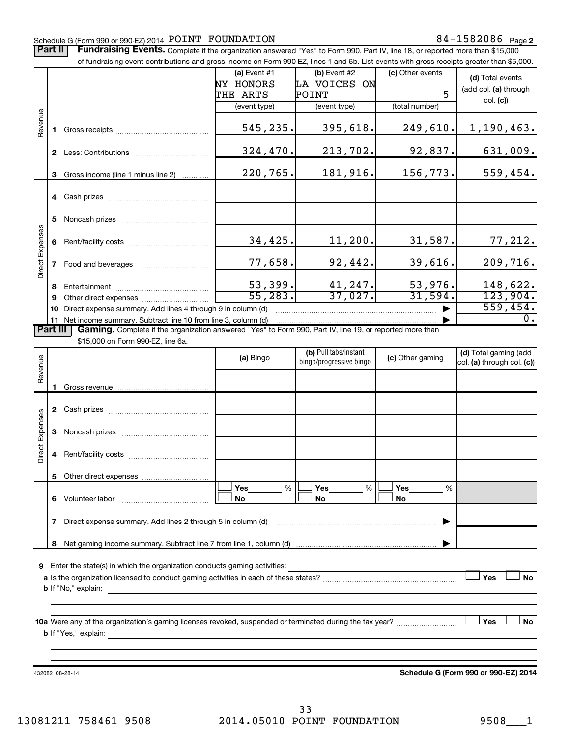#### Schedule G (Form 990 or 990-EZ) 2014  $\tt POINT$   $\tt FOUNDATION$   $\tt 84-1582086$   $\tt Page$

Part II | Fundraising Events. Complete if the organization answered "Yes" to Form 990, Part IV, line 18, or reported more than \$15,000

|                        |              | of fundraising event contributions and gross income on Form 990-EZ, lines 1 and 6b. List events with gross receipts greater than \$5,000.                                                                                      |                                                       |                                                       |                                         |                                                       |
|------------------------|--------------|--------------------------------------------------------------------------------------------------------------------------------------------------------------------------------------------------------------------------------|-------------------------------------------------------|-------------------------------------------------------|-----------------------------------------|-------------------------------------------------------|
|                        |              |                                                                                                                                                                                                                                | (a) Event #1<br>NY HONORS<br>THE ARTS<br>(event type) | (b) Event #2<br>LA VOICES ON<br>POINT<br>(event type) | (c) Other events<br>5<br>(total number) | (d) Total events<br>(add col. (a) through<br>col. (c) |
| Revenue                | 1.           | Gross receipts and the contract of the contract of the contract of the contract of the contract of the contract of the contract of the contract of the contract of the contract of the contract of the contract of the contrac | 545,235.                                              | 395,618.                                              | 249,610.                                | 1,190,463.                                            |
|                        |              |                                                                                                                                                                                                                                | 324,470.                                              | 213,702.                                              | 92,837.                                 | 631,009.                                              |
|                        | 3            | Gross income (line 1 minus line 2)                                                                                                                                                                                             | 220,765.                                              | 181,916.                                              | 156,773.                                | 559,454.                                              |
|                        |              |                                                                                                                                                                                                                                |                                                       |                                                       |                                         |                                                       |
|                        | 5            |                                                                                                                                                                                                                                |                                                       |                                                       |                                         |                                                       |
|                        | 6            |                                                                                                                                                                                                                                | 34,425.                                               | 11,200.                                               | 31,587.                                 | 77,212.                                               |
| Direct Expenses        | $\mathbf{7}$ | Food and beverages                                                                                                                                                                                                             | 77,658.                                               | 92,442.                                               | 39,616.                                 | 209,716.                                              |
|                        | 8<br>9       |                                                                                                                                                                                                                                | 53,399.<br>55,283.                                    | 41,247.<br>37,027.                                    | 53,976.<br>31,594.                      | 148,622.<br>123,904.                                  |
|                        | 10           | Direct expense summary. Add lines 4 through 9 in column (d)                                                                                                                                                                    |                                                       |                                                       |                                         | 559,454.                                              |
| <b>Part III</b>        |              | 11 Net income summary. Subtract line 10 from line 3, column (d)<br>Gaming. Complete if the organization answered "Yes" to Form 990, Part IV, line 19, or reported more than                                                    |                                                       |                                                       |                                         | $\overline{0}$ .                                      |
|                        |              | \$15,000 on Form 990-EZ, line 6a.                                                                                                                                                                                              |                                                       |                                                       |                                         |                                                       |
| Revenue                |              |                                                                                                                                                                                                                                | (a) Bingo                                             | (b) Pull tabs/instant<br>bingo/progressive bingo      | (c) Other gaming                        | (d) Total gaming (add<br>col. (a) through col. (c))   |
|                        |              |                                                                                                                                                                                                                                |                                                       |                                                       |                                         |                                                       |
|                        |              |                                                                                                                                                                                                                                |                                                       |                                                       |                                         |                                                       |
|                        |              |                                                                                                                                                                                                                                |                                                       |                                                       |                                         |                                                       |
| <b>Direct Expenses</b> | 4            |                                                                                                                                                                                                                                |                                                       |                                                       |                                         |                                                       |
|                        | 5.           |                                                                                                                                                                                                                                |                                                       |                                                       |                                         |                                                       |
|                        |              |                                                                                                                                                                                                                                | Yes<br>%<br>No                                        | Yes<br>$\frac{0}{6}$<br><b>No</b>                     | <b>Yes</b><br>%<br><b>No</b>            |                                                       |

**7** Direct expense summary. Add lines 2 through 5 in column (d) ~~~~~~~~~~~~~~~~~~~~~~~~ | **8** Net gaming income summary. Subtract line 7 from line 1, column (d) |

**9** Enter the state(s) in which the organization conducts gaming activities:

| a Is the organization licensed to conduct gaming activities in each of these states? | Yes | No |
|--------------------------------------------------------------------------------------|-----|----|
| <b>b</b> If "No," explain:                                                           |     |    |

**10 a Yes No** Were any of the organization's gaming licenses revoked, suspended or terminated during the tax year? ~~~~~~~~~ † † **b** If "Yes," explain:

432082 08-28-14

**Schedule G (Form 990 or 990-EZ) 2014**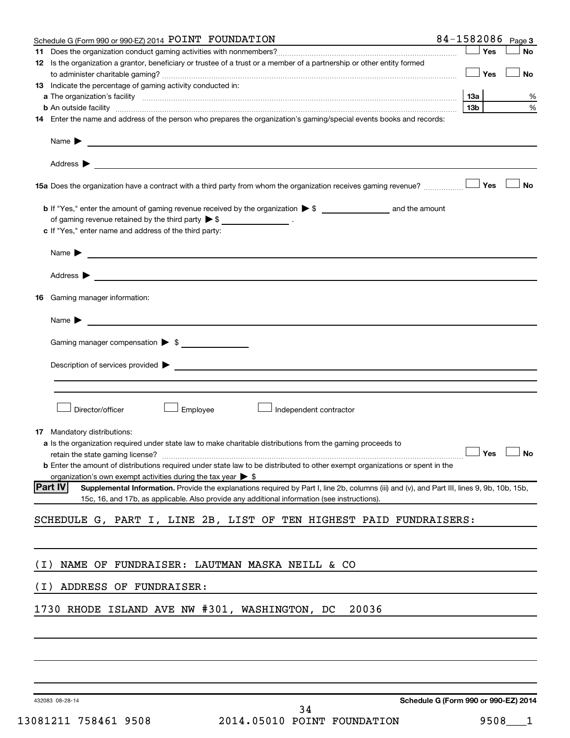|       | 84-1582086<br>Schedule G (Form 990 or 990-EZ) 2014 POINT FOUNDATION                                                                                                                                                                           |                 |     | Page 3 |
|-------|-----------------------------------------------------------------------------------------------------------------------------------------------------------------------------------------------------------------------------------------------|-----------------|-----|--------|
|       |                                                                                                                                                                                                                                               |                 | Yes | No     |
|       | 12 Is the organization a grantor, beneficiary or trustee of a trust or a member of a partnership or other entity formed                                                                                                                       |                 |     |        |
|       |                                                                                                                                                                                                                                               |                 | Yes | No     |
|       | <b>13</b> Indicate the percentage of gaming activity conducted in:                                                                                                                                                                            |                 |     |        |
|       |                                                                                                                                                                                                                                               | 13a             |     | %      |
|       | <b>b</b> An outside facility <i>www.communicality www.communicality.communicality www.communicality www.communicality.communicality www.communicality.com</i>                                                                                 | 13 <sub>b</sub> |     | %      |
|       | 14 Enter the name and address of the person who prepares the organization's gaming/special events books and records:                                                                                                                          |                 |     |        |
|       |                                                                                                                                                                                                                                               |                 |     |        |
|       |                                                                                                                                                                                                                                               |                 |     |        |
|       | 15a Does the organization have a contract with a third party from whom the organization receives gaming revenue?                                                                                                                              |                 | Yes | No     |
|       |                                                                                                                                                                                                                                               |                 |     |        |
|       | of gaming revenue retained by the third party $\triangleright$ \$ __________________.                                                                                                                                                         |                 |     |        |
|       | c If "Yes," enter name and address of the third party:                                                                                                                                                                                        |                 |     |        |
|       |                                                                                                                                                                                                                                               |                 |     |        |
|       |                                                                                                                                                                                                                                               |                 |     |        |
|       |                                                                                                                                                                                                                                               |                 |     |        |
|       | 16 Gaming manager information:                                                                                                                                                                                                                |                 |     |        |
|       | Name $\blacktriangleright$                                                                                                                                                                                                                    |                 |     |        |
|       | Gaming manager compensation > \$                                                                                                                                                                                                              |                 |     |        |
|       |                                                                                                                                                                                                                                               |                 |     |        |
|       |                                                                                                                                                                                                                                               |                 |     |        |
|       |                                                                                                                                                                                                                                               |                 |     |        |
|       |                                                                                                                                                                                                                                               |                 |     |        |
|       | Director/officer<br>Employee<br>Independent contractor                                                                                                                                                                                        |                 |     |        |
|       |                                                                                                                                                                                                                                               |                 |     |        |
|       | <b>17</b> Mandatory distributions:                                                                                                                                                                                                            |                 |     |        |
|       | a Is the organization required under state law to make charitable distributions from the gaming proceeds to                                                                                                                                   |                 |     |        |
|       | retain the state gaming license? $\Box$ No                                                                                                                                                                                                    |                 |     |        |
|       | <b>b</b> Enter the amount of distributions required under state law to be distributed to other exempt organizations or spent in the                                                                                                           |                 |     |        |
|       | organization's own exempt activities during the tax year $\triangleright$ \$<br><b>Part IV</b><br>Supplemental Information. Provide the explanations required by Part I, line 2b, columns (iii) and (v), and Part III, lines 9, 9b, 10b, 15b, |                 |     |        |
|       | 15c, 16, and 17b, as applicable. Also provide any additional information (see instructions).                                                                                                                                                  |                 |     |        |
|       | SCHEDULE G, PART I, LINE 2B, LIST OF TEN HIGHEST PAID FUNDRAISERS:                                                                                                                                                                            |                 |     |        |
|       |                                                                                                                                                                                                                                               |                 |     |        |
|       |                                                                                                                                                                                                                                               |                 |     |        |
| ( I ) | NAME OF FUNDRAISER: LAUTMAN MASKA NEILL & CO                                                                                                                                                                                                  |                 |     |        |
| ( I ) | ADDRESS OF FUNDRAISER:                                                                                                                                                                                                                        |                 |     |        |
|       | 1730 RHODE ISLAND AVE NW #301, WASHINGTON, DC<br>20036                                                                                                                                                                                        |                 |     |        |
|       |                                                                                                                                                                                                                                               |                 |     |        |
|       |                                                                                                                                                                                                                                               |                 |     |        |
|       |                                                                                                                                                                                                                                               |                 |     |        |
|       |                                                                                                                                                                                                                                               |                 |     |        |

432083 08-28-14

**Schedule G (Form 990 or 990-EZ) 2014**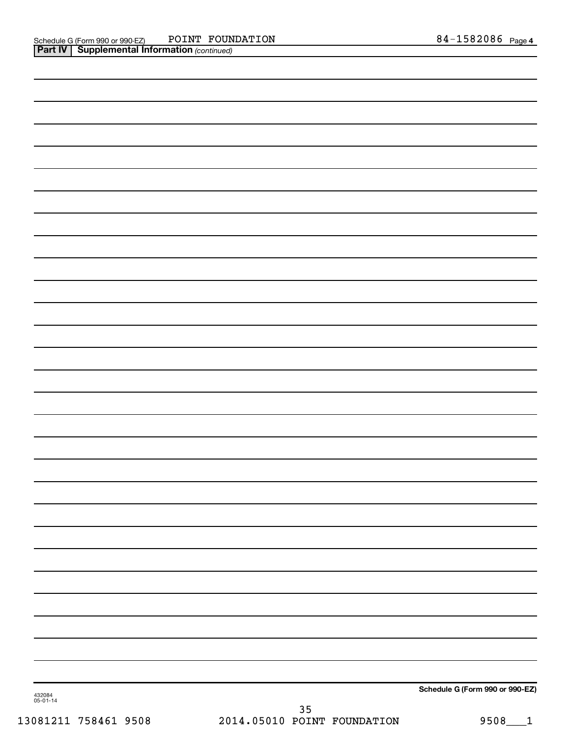| 432084<br>05-01-14 | Schedule G (Form 990 or 990-EZ) |
|--------------------|---------------------------------|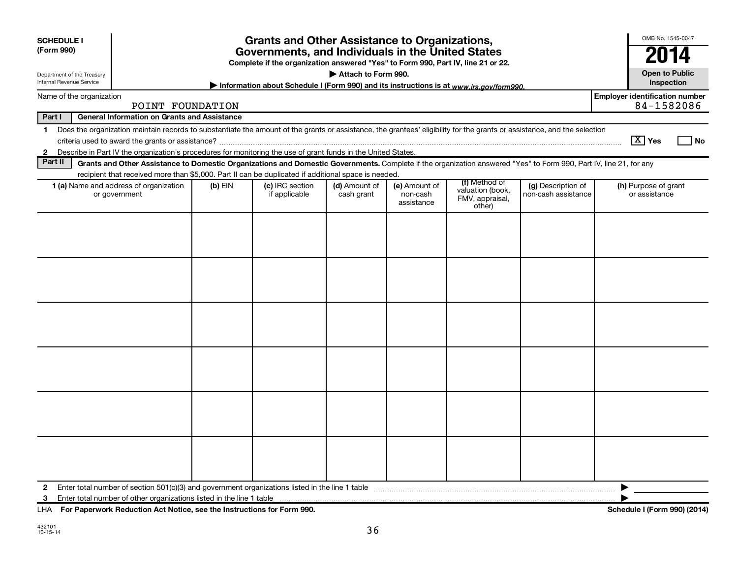| <b>SCHEDULE I</b><br>(Form 990)                        |                                                                                                                                                                                                                                                                                           |         | <b>Grants and Other Assistance to Organizations,</b><br>Governments, and Individuals in the United States<br>Complete if the organization answered "Yes" to Form 990, Part IV, line 21 or 22. |                             |                                         |                                               |                                           | OMB No. 1545-0047<br>2014                           |
|--------------------------------------------------------|-------------------------------------------------------------------------------------------------------------------------------------------------------------------------------------------------------------------------------------------------------------------------------------------|---------|-----------------------------------------------------------------------------------------------------------------------------------------------------------------------------------------------|-----------------------------|-----------------------------------------|-----------------------------------------------|-------------------------------------------|-----------------------------------------------------|
| Department of the Treasury<br>Internal Revenue Service |                                                                                                                                                                                                                                                                                           |         | Information about Schedule I (Form 990) and its instructions is at www.irs.gov/form990.                                                                                                       | Attach to Form 990.         |                                         |                                               |                                           | <b>Open to Public</b><br>Inspection                 |
| Name of the organization                               | POINT FOUNDATION                                                                                                                                                                                                                                                                          |         |                                                                                                                                                                                               |                             |                                         |                                               |                                           | <b>Employer identification number</b><br>84-1582086 |
| Part I                                                 | <b>General Information on Grants and Assistance</b>                                                                                                                                                                                                                                       |         |                                                                                                                                                                                               |                             |                                         |                                               |                                           |                                                     |
| 1<br>$\mathbf{2}$                                      | Does the organization maintain records to substantiate the amount of the grants or assistance, the grantees' eligibility for the grants or assistance, and the selection<br>Describe in Part IV the organization's procedures for monitoring the use of grant funds in the United States. |         |                                                                                                                                                                                               |                             |                                         |                                               |                                           | $\boxed{\text{X}}$ Yes<br>l No                      |
| Part II                                                | Grants and Other Assistance to Domestic Organizations and Domestic Governments. Complete if the organization answered "Yes" to Form 990, Part IV, line 21, for any                                                                                                                        |         |                                                                                                                                                                                               |                             |                                         |                                               |                                           |                                                     |
|                                                        | recipient that received more than \$5,000. Part II can be duplicated if additional space is needed.                                                                                                                                                                                       |         |                                                                                                                                                                                               |                             |                                         | (f) Method of                                 |                                           |                                                     |
|                                                        | 1 (a) Name and address of organization<br>or government                                                                                                                                                                                                                                   | (b) EIN | (c) IRC section<br>if applicable                                                                                                                                                              | (d) Amount of<br>cash grant | (e) Amount of<br>non-cash<br>assistance | valuation (book,<br>FMV, appraisal,<br>other) | (g) Description of<br>non-cash assistance | (h) Purpose of grant<br>or assistance               |
|                                                        |                                                                                                                                                                                                                                                                                           |         |                                                                                                                                                                                               |                             |                                         |                                               |                                           |                                                     |
|                                                        |                                                                                                                                                                                                                                                                                           |         |                                                                                                                                                                                               |                             |                                         |                                               |                                           |                                                     |
|                                                        |                                                                                                                                                                                                                                                                                           |         |                                                                                                                                                                                               |                             |                                         |                                               |                                           |                                                     |
|                                                        |                                                                                                                                                                                                                                                                                           |         |                                                                                                                                                                                               |                             |                                         |                                               |                                           |                                                     |
|                                                        |                                                                                                                                                                                                                                                                                           |         |                                                                                                                                                                                               |                             |                                         |                                               |                                           |                                                     |
|                                                        |                                                                                                                                                                                                                                                                                           |         |                                                                                                                                                                                               |                             |                                         |                                               |                                           |                                                     |
| $\mathbf{2}$<br>3                                      |                                                                                                                                                                                                                                                                                           |         |                                                                                                                                                                                               |                             |                                         |                                               |                                           | ▶                                                   |

**For Paperwork Reduction Act Notice, see the Instructions for Form 990. Schedule I (Form 990) (2014)** LHA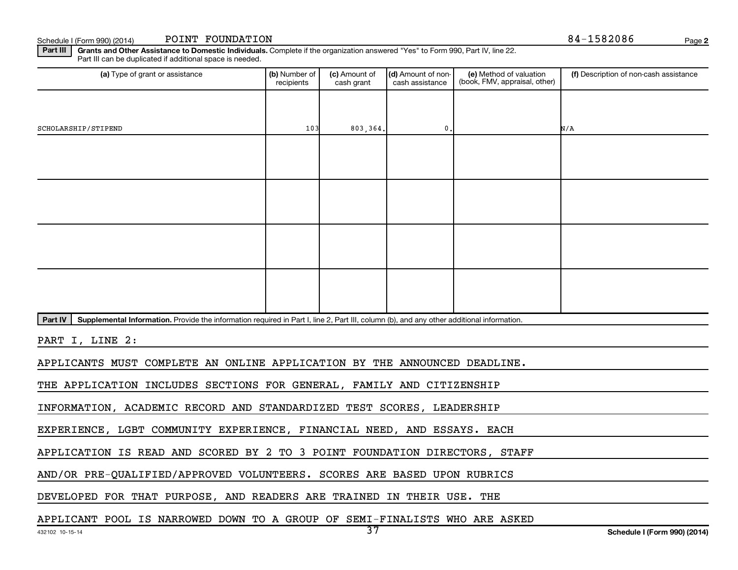Schedule I (Form 990) (2014) POINT FOUNDATION  $84-1582086$ POINT FOUNDATION

**2**

Part III | Grants and Other Assistance to Domestic Individuals. Complete if the organization answered "Yes" to Form 990, Part IV, line 22. Part III can be duplicated if additional space is needed.

| (a) Type of grant or assistance                                                                                                                      | (b) Number of<br>recipients | (c) Amount of<br>cash grant | (d) Amount of non-<br>cash assistance | (e) Method of valuation<br>(book, FMV, appraisal, other) | (f) Description of non-cash assistance |
|------------------------------------------------------------------------------------------------------------------------------------------------------|-----------------------------|-----------------------------|---------------------------------------|----------------------------------------------------------|----------------------------------------|
|                                                                                                                                                      |                             |                             |                                       |                                                          |                                        |
| SCHOLARSHIP/STIPEND                                                                                                                                  | 103                         | 803,364.                    | $\mathbf{0}$ .                        |                                                          | N/A                                    |
|                                                                                                                                                      |                             |                             |                                       |                                                          |                                        |
|                                                                                                                                                      |                             |                             |                                       |                                                          |                                        |
|                                                                                                                                                      |                             |                             |                                       |                                                          |                                        |
|                                                                                                                                                      |                             |                             |                                       |                                                          |                                        |
|                                                                                                                                                      |                             |                             |                                       |                                                          |                                        |
|                                                                                                                                                      |                             |                             |                                       |                                                          |                                        |
|                                                                                                                                                      |                             |                             |                                       |                                                          |                                        |
|                                                                                                                                                      |                             |                             |                                       |                                                          |                                        |
| Supplemental Information. Provide the information required in Part I, line 2, Part III, column (b), and any other additional information.<br>Part IV |                             |                             |                                       |                                                          |                                        |
| $      -$<br>---- -                                                                                                                                  |                             |                             |                                       |                                                          |                                        |

PART I, LINE 2:

APPLICANTS MUST COMPLETE AN ONLINE APPLICATION BY THE ANNOUNCED DEADLINE.

THE APPLICATION INCLUDES SECTIONS FOR GENERAL, FAMILY AND CITIZENSHIP

INFORMATION, ACADEMIC RECORD AND STANDARDIZED TEST SCORES, LEADERSHIP

EXPERIENCE, LGBT COMMUNITY EXPERIENCE, FINANCIAL NEED, AND ESSAYS. EACH

APPLICATION IS READ AND SCORED BY 2 TO 3 POINT FOUNDATION DIRECTORS, STAFF

AND/OR PRE-QUALIFIED/APPROVED VOLUNTEERS. SCORES ARE BASED UPON RUBRICS

DEVELOPED FOR THAT PURPOSE, AND READERS ARE TRAINED IN THEIR USE. THE

APPLICANT POOL IS NARROWED DOWN TO A GROUP OF SEMI-FINALISTS WHO ARE ASKED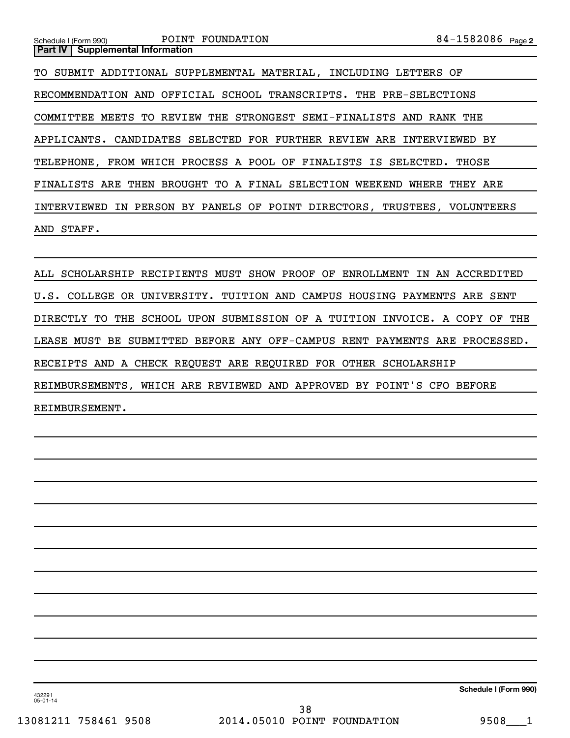**2** Schedule I (Form 990) Page **Part IV** | Supplemental Information POINT FOUNDATION TO SUBMIT ADDITIONAL SUPPLEMENTAL MATERIAL, INCLUDING LETTERS OF RECOMMENDATION AND OFFICIAL SCHOOL TRANSCRIPTS. THE PRE-SELECTIONS COMMITTEE MEETS TO REVIEW THE STRONGEST SEMI-FINALISTS AND RANK THE APPLICANTS. CANDIDATES SELECTED FOR FURTHER REVIEW ARE INTERVIEWED BY TELEPHONE, FROM WHICH PROCESS A POOL OF FINALISTS IS SELECTED. THOSE FINALISTS ARE THEN BROUGHT TO A FINAL SELECTION WEEKEND WHERE THEY ARE INTERVIEWED IN PERSON BY PANELS OF POINT DIRECTORS, TRUSTEES, VOLUNTEERS AND STAFF.

ALL SCHOLARSHIP RECIPIENTS MUST SHOW PROOF OF ENROLLMENT IN AN ACCREDITED U.S. COLLEGE OR UNIVERSITY. TUITION AND CAMPUS HOUSING PAYMENTS ARE SENT DIRECTLY TO THE SCHOOL UPON SUBMISSION OF A TUITION INVOICE. A COPY OF THE LEASE MUST BE SUBMITTED BEFORE ANY OFF-CAMPUS RENT PAYMENTS ARE PROCESSED. RECEIPTS AND A CHECK REQUEST ARE REQUIRED FOR OTHER SCHOLARSHIP REIMBURSEMENTS, WHICH ARE REVIEWED AND APPROVED BY POINT'S CFO BEFORE REIMBURSEMENT.

**Schedule I (Form 990)**

432291 05-01-14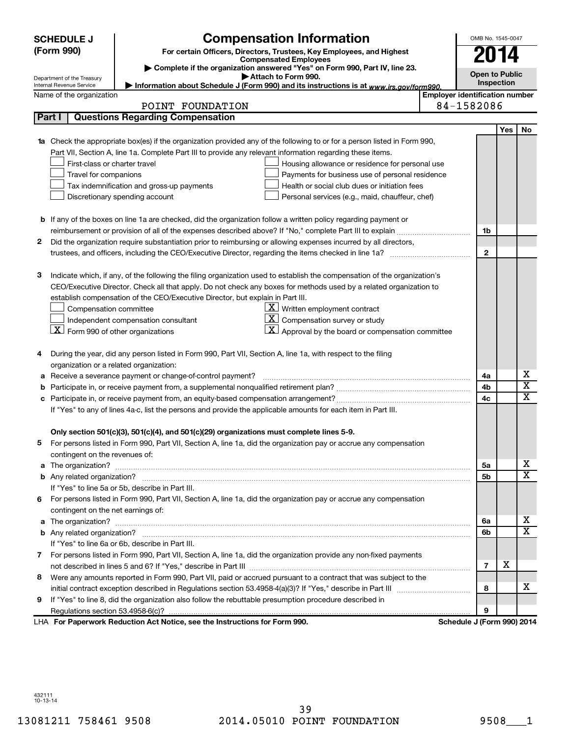|        | <b>SCHEDULE J</b>                       | <b>Compensation Information</b>                                                                                                        |                                       | OMB No. 1545-0047     |     |                         |
|--------|-----------------------------------------|----------------------------------------------------------------------------------------------------------------------------------------|---------------------------------------|-----------------------|-----|-------------------------|
|        | (Form 990)                              | For certain Officers, Directors, Trustees, Key Employees, and Highest                                                                  |                                       | 2014                  |     |                         |
|        |                                         | <b>Compensated Employees</b>                                                                                                           |                                       |                       |     |                         |
|        | Department of the Treasury              | Complete if the organization answered "Yes" on Form 990, Part IV, line 23.<br>Attach to Form 990.                                      |                                       | <b>Open to Public</b> |     |                         |
|        | Internal Revenue Service                | Information about Schedule J (Form 990) and its instructions is at www.irs.gov/form990.                                                |                                       | Inspection            |     |                         |
|        | Name of the organization                |                                                                                                                                        | <b>Employer identification number</b> |                       |     |                         |
|        |                                         | POINT FOUNDATION                                                                                                                       | 84-1582086                            |                       |     |                         |
| Part I |                                         | <b>Questions Regarding Compensation</b>                                                                                                |                                       |                       |     |                         |
|        |                                         |                                                                                                                                        |                                       |                       | Yes | No                      |
|        |                                         | 1a Check the appropriate box(es) if the organization provided any of the following to or for a person listed in Form 990,              |                                       |                       |     |                         |
|        |                                         | Part VII, Section A, line 1a. Complete Part III to provide any relevant information regarding these items.                             |                                       |                       |     |                         |
|        | First-class or charter travel           | Housing allowance or residence for personal use                                                                                        |                                       |                       |     |                         |
|        | Travel for companions                   | Payments for business use of personal residence                                                                                        |                                       |                       |     |                         |
|        |                                         | Tax indemnification and gross-up payments<br>Health or social club dues or initiation fees                                             |                                       |                       |     |                         |
|        |                                         | Discretionary spending account<br>Personal services (e.g., maid, chauffeur, chef)                                                      |                                       |                       |     |                         |
|        |                                         |                                                                                                                                        |                                       |                       |     |                         |
|        |                                         | <b>b</b> If any of the boxes on line 1a are checked, did the organization follow a written policy regarding payment or                 |                                       |                       |     |                         |
|        |                                         |                                                                                                                                        |                                       | 1b                    |     |                         |
| 2      |                                         | Did the organization require substantiation prior to reimbursing or allowing expenses incurred by all directors,                       |                                       |                       |     |                         |
|        |                                         |                                                                                                                                        |                                       | $\mathbf{2}$          |     |                         |
|        |                                         |                                                                                                                                        |                                       |                       |     |                         |
| 3      |                                         | Indicate which, if any, of the following the filing organization used to establish the compensation of the organization's              |                                       |                       |     |                         |
|        |                                         | CEO/Executive Director. Check all that apply. Do not check any boxes for methods used by a related organization to                     |                                       |                       |     |                         |
|        |                                         | establish compensation of the CEO/Executive Director, but explain in Part III.<br>$\underline{\mathbf{X}}$ Written employment contract |                                       |                       |     |                         |
|        | Compensation committee                  | $ \mathbf{X} $ Compensation survey or study                                                                                            |                                       |                       |     |                         |
|        | $X$ Form 990 of other organizations     | Independent compensation consultant<br>$\mathbf{X}$ Approval by the board or compensation committee                                    |                                       |                       |     |                         |
|        |                                         |                                                                                                                                        |                                       |                       |     |                         |
| 4      |                                         | During the year, did any person listed in Form 990, Part VII, Section A, line 1a, with respect to the filing                           |                                       |                       |     |                         |
|        | organization or a related organization: |                                                                                                                                        |                                       |                       |     |                         |
|        |                                         | Receive a severance payment or change-of-control payment?                                                                              |                                       | 4a                    |     | х                       |
| b      |                                         |                                                                                                                                        |                                       | 4b                    |     | $\overline{\textbf{x}}$ |
| с      |                                         |                                                                                                                                        |                                       | 4c                    |     | $\overline{\text{x}}$   |
|        |                                         | If "Yes" to any of lines 4a-c, list the persons and provide the applicable amounts for each item in Part III.                          |                                       |                       |     |                         |
|        |                                         |                                                                                                                                        |                                       |                       |     |                         |
|        |                                         | Only section 501(c)(3), 501(c)(4), and 501(c)(29) organizations must complete lines 5-9.                                               |                                       |                       |     |                         |
|        |                                         | For persons listed in Form 990, Part VII, Section A, line 1a, did the organization pay or accrue any compensation                      |                                       |                       |     |                         |
|        | contingent on the revenues of:          |                                                                                                                                        |                                       |                       |     |                         |
|        |                                         |                                                                                                                                        |                                       | 5а                    |     | X.                      |
|        |                                         |                                                                                                                                        |                                       | 5b                    |     | $\overline{\mathbf{X}}$ |
|        |                                         | If "Yes" to line 5a or 5b, describe in Part III.                                                                                       |                                       |                       |     |                         |
| 6      |                                         | For persons listed in Form 990, Part VII, Section A, line 1a, did the organization pay or accrue any compensation                      |                                       |                       |     |                         |
|        | contingent on the net earnings of:      |                                                                                                                                        |                                       |                       |     |                         |
|        |                                         |                                                                                                                                        |                                       | 6a                    |     | х                       |
|        |                                         |                                                                                                                                        |                                       | 6b                    |     | $\overline{\mathbf{X}}$ |
|        |                                         | If "Yes" to line 6a or 6b, describe in Part III.                                                                                       |                                       |                       |     |                         |
|        |                                         | 7 For persons listed in Form 990, Part VII, Section A, line 1a, did the organization provide any non-fixed payments                    |                                       |                       |     |                         |
|        |                                         |                                                                                                                                        |                                       | $\overline{7}$        | x   |                         |
| 8      |                                         | Were any amounts reported in Form 990, Part VII, paid or accrued pursuant to a contract that was subject to the                        |                                       |                       |     |                         |
|        |                                         |                                                                                                                                        |                                       | 8                     |     | X.                      |
| 9      |                                         | If "Yes" to line 8, did the organization also follow the rebuttable presumption procedure described in                                 |                                       |                       |     |                         |
|        |                                         |                                                                                                                                        |                                       | 9                     |     |                         |
|        |                                         | LHA For Paperwork Reduction Act Notice, see the Instructions for Form 990.                                                             | Schedule J (Form 990) 2014            |                       |     |                         |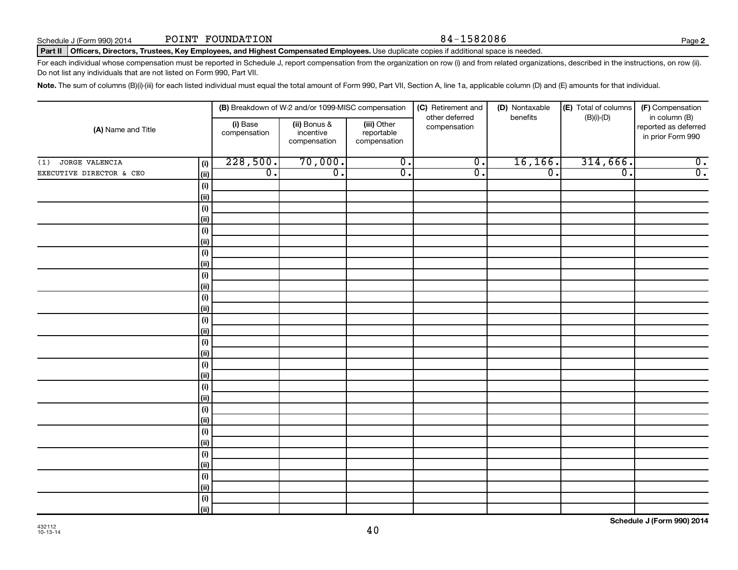#### Part II | Officers, Directors, Trustees, Key Employees, and Highest Compensated Employees. Use duplicate copies if additional space is needed.

For each individual whose compensation must be reported in Schedule J, report compensation from the organization on row (i) and from related organizations, described in the instructions, on row (ii). Do not list any individuals that are not listed on Form 990, Part VII.

Note. The sum of columns (B)(i)-(iii) for each listed individual must equal the total amount of Form 990, Part VII, Section A, line 1a, applicable column (D) and (E) amounts for that individual.

|                          |              |                          | (B) Breakdown of W-2 and/or 1099-MISC compensation |                                           | (C) Retirement and             | (D) Nontaxable   | (E) Total of columns | (F) Compensation                                           |
|--------------------------|--------------|--------------------------|----------------------------------------------------|-------------------------------------------|--------------------------------|------------------|----------------------|------------------------------------------------------------|
| (A) Name and Title       |              | (i) Base<br>compensation | (ii) Bonus &<br>incentive<br>compensation          | (iii) Other<br>reportable<br>compensation | other deferred<br>compensation | benefits         | $(B)(i)-(D)$         | in column (B)<br>reported as deferred<br>in prior Form 990 |
| JORGE VALENCIA<br>(1)    | (i)          | 228,500.                 | 70,000.                                            | $\overline{0}$ .                          | $\overline{0}$ .               | 16, 166.         | 314,666.             | $\overline{0}$ .                                           |
| EXECUTIVE DIRECTOR & CEO | (ii)         | $\overline{0}$ .         | $\overline{0}$ .                                   | $\overline{0}$ .                          | $\overline{0}$ .               | $\overline{0}$ . | $\overline{0}$ .     | $\overline{0}$ .                                           |
|                          | (i)          |                          |                                                    |                                           |                                |                  |                      |                                                            |
|                          | (ii)         |                          |                                                    |                                           |                                |                  |                      |                                                            |
|                          | (i)          |                          |                                                    |                                           |                                |                  |                      |                                                            |
|                          | (ii)         |                          |                                                    |                                           |                                |                  |                      |                                                            |
|                          | (i)          |                          |                                                    |                                           |                                |                  |                      |                                                            |
|                          | (ii)         |                          |                                                    |                                           |                                |                  |                      |                                                            |
|                          | (i)          |                          |                                                    |                                           |                                |                  |                      |                                                            |
|                          | (ii)         |                          |                                                    |                                           |                                |                  |                      |                                                            |
|                          | (i)          |                          |                                                    |                                           |                                |                  |                      |                                                            |
|                          | $\vert$ (ii) |                          |                                                    |                                           |                                |                  |                      |                                                            |
|                          | (i)          |                          |                                                    |                                           |                                |                  |                      |                                                            |
|                          | (ii)         |                          |                                                    |                                           |                                |                  |                      |                                                            |
|                          | (i)          |                          |                                                    |                                           |                                |                  |                      |                                                            |
|                          | (ii)         |                          |                                                    |                                           |                                |                  |                      |                                                            |
|                          | (i)<br>(ii)  |                          |                                                    |                                           |                                |                  |                      |                                                            |
|                          | (i)          |                          |                                                    |                                           |                                |                  |                      |                                                            |
|                          | (ii)         |                          |                                                    |                                           |                                |                  |                      |                                                            |
|                          | (i)          |                          |                                                    |                                           |                                |                  |                      |                                                            |
|                          | (ii)         |                          |                                                    |                                           |                                |                  |                      |                                                            |
|                          | (i)          |                          |                                                    |                                           |                                |                  |                      |                                                            |
|                          | (ii)         |                          |                                                    |                                           |                                |                  |                      |                                                            |
|                          | (i)          |                          |                                                    |                                           |                                |                  |                      |                                                            |
|                          | (ii)         |                          |                                                    |                                           |                                |                  |                      |                                                            |
|                          | (i)          |                          |                                                    |                                           |                                |                  |                      |                                                            |
|                          | $\vert$ (ii) |                          |                                                    |                                           |                                |                  |                      |                                                            |
|                          | (i)          |                          |                                                    |                                           |                                |                  |                      |                                                            |
|                          | $\vert$ (ii) |                          |                                                    |                                           |                                |                  |                      |                                                            |
|                          | (i)          |                          |                                                    |                                           |                                |                  |                      |                                                            |
|                          | (iii)        |                          |                                                    |                                           |                                |                  |                      |                                                            |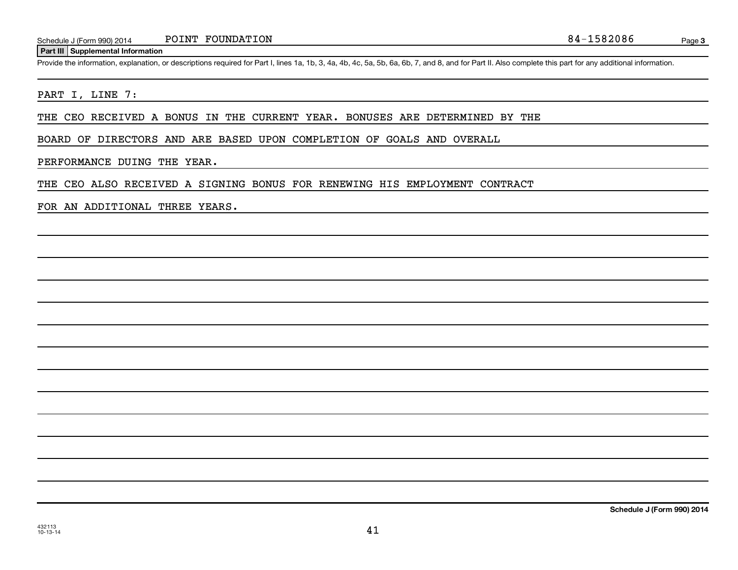#### **Part III Supplemental Information**

Page 3

Provide the information, explanation, or descriptions required for Part I, lines 1a, 1b, 3, 4a, 4b, 4c, 5a, 5b, 6a, 6b, 7, and 8, and for Part II. Also complete this part for any additional information.

#### PART I, LINE 7:

THE CEO RECEIVED A BONUS IN THE CURRENT YEAR. BONUSES ARE DETERMINED BY THE

BOARD OF DIRECTORS AND ARE BASED UPON COMPLETION OF GOALS AND OVERALL

#### PERFORMANCE DUING THE YEAR.

THE CEO ALSO RECEIVED A SIGNING BONUS FOR RENEWING HIS EMPLOYMENT CONTRACT

#### FOR AN ADDITIONAL THREE YEARS.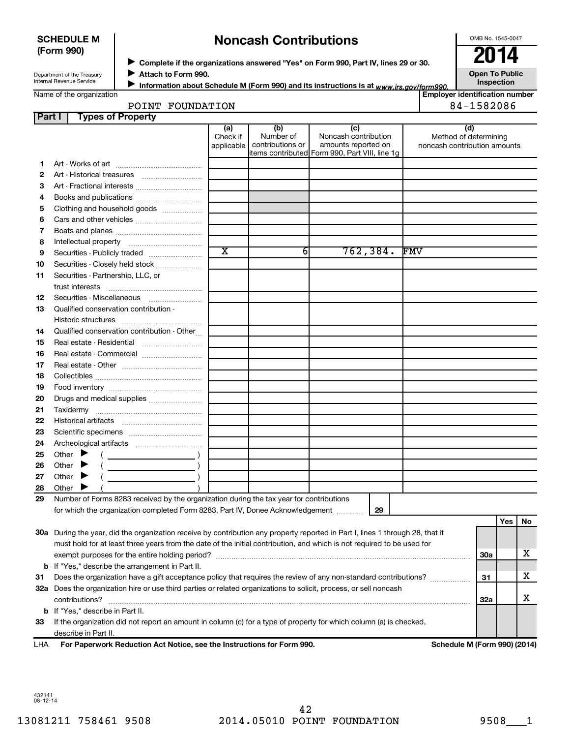#### **SCHEDULE M (Form 990)**

# **Noncash Contributions**

OMB No. 1545-0047

Department of the Treasury Internal Revenue Service

◆ Complete if the organizations answered "Yes" on Form 990, Part IV, lines 29 or 30.<br>▶ Complete if the organizations answered "Yes" on Form 990, Part IV, lines 29 or 30. **Attach to Form 990.** J

**Open To Public Inspection**

|  | Name of the organization |
|--|--------------------------|
|  |                          |
|  |                          |
|  |                          |

Information about Schedule M (Form 990) and its instructions is at www.irs.gov/form990.

**Employer identification number** 84-1582086

| <b>POINT</b> | FOUNDATION |
|--------------|------------|
|              |            |
|              |            |

| Part I   | <b>Types of Property</b>                                                                                                       |                               |                                      |                                                                                                        |                                                              |            |     |
|----------|--------------------------------------------------------------------------------------------------------------------------------|-------------------------------|--------------------------------------|--------------------------------------------------------------------------------------------------------|--------------------------------------------------------------|------------|-----|
|          |                                                                                                                                | (a)<br>Check if<br>applicable | (b)<br>Number of<br>contributions or | (c)<br>Noncash contribution<br>amounts reported on<br>litems contributed  Form 990, Part VIII, line 1g | (d)<br>Method of determining<br>noncash contribution amounts |            |     |
| 1.       |                                                                                                                                |                               |                                      |                                                                                                        |                                                              |            |     |
| 2        |                                                                                                                                |                               |                                      |                                                                                                        |                                                              |            |     |
| З        | Art - Fractional interests                                                                                                     |                               |                                      |                                                                                                        |                                                              |            |     |
| 4        | Books and publications                                                                                                         |                               |                                      |                                                                                                        |                                                              |            |     |
| 5        | Clothing and household goods                                                                                                   |                               |                                      |                                                                                                        |                                                              |            |     |
| 6        |                                                                                                                                |                               |                                      |                                                                                                        |                                                              |            |     |
| 7        |                                                                                                                                |                               |                                      |                                                                                                        |                                                              |            |     |
| 8        |                                                                                                                                |                               |                                      |                                                                                                        |                                                              |            |     |
| 9        | Securities - Publicly traded                                                                                                   | $\overline{\textbf{x}}$       | 6                                    | 762, 384.                                                                                              | FMV                                                          |            |     |
| 10       | Securities - Closely held stock                                                                                                |                               |                                      |                                                                                                        |                                                              |            |     |
| 11       | Securities - Partnership, LLC, or<br>trust interests                                                                           |                               |                                      |                                                                                                        |                                                              |            |     |
| 12       |                                                                                                                                |                               |                                      |                                                                                                        |                                                              |            |     |
| 13       | Qualified conservation contribution -                                                                                          |                               |                                      |                                                                                                        |                                                              |            |     |
|          | Qualified conservation contribution - Other                                                                                    |                               |                                      |                                                                                                        |                                                              |            |     |
| 14<br>15 |                                                                                                                                |                               |                                      |                                                                                                        |                                                              |            |     |
| 16       | Real estate - Commercial                                                                                                       |                               |                                      |                                                                                                        |                                                              |            |     |
| 17       |                                                                                                                                |                               |                                      |                                                                                                        |                                                              |            |     |
| 18       |                                                                                                                                |                               |                                      |                                                                                                        |                                                              |            |     |
| 19       |                                                                                                                                |                               |                                      |                                                                                                        |                                                              |            |     |
| 20       | Drugs and medical supplies                                                                                                     |                               |                                      |                                                                                                        |                                                              |            |     |
| 21       |                                                                                                                                |                               |                                      |                                                                                                        |                                                              |            |     |
| 22       |                                                                                                                                |                               |                                      |                                                                                                        |                                                              |            |     |
| 23       |                                                                                                                                |                               |                                      |                                                                                                        |                                                              |            |     |
| 24       |                                                                                                                                |                               |                                      |                                                                                                        |                                                              |            |     |
| 25       | Other $\blacktriangleright$                                                                                                    |                               |                                      |                                                                                                        |                                                              |            |     |
| 26       | Other                                                                                                                          |                               |                                      |                                                                                                        |                                                              |            |     |
| 27       | $\overline{\phantom{a}}$ ( )<br>Other<br>▸                                                                                     |                               |                                      |                                                                                                        |                                                              |            |     |
| 28       | Other                                                                                                                          |                               |                                      |                                                                                                        |                                                              |            |     |
| 29       | Number of Forms 8283 received by the organization during the tax year for contributions                                        |                               |                                      |                                                                                                        |                                                              |            |     |
|          | for which the organization completed Form 8283, Part IV, Donee Acknowledgement                                                 |                               |                                      | 29                                                                                                     |                                                              |            |     |
|          |                                                                                                                                |                               |                                      |                                                                                                        |                                                              | Yes        | No. |
|          | 30a During the year, did the organization receive by contribution any property reported in Part I, lines 1 through 28, that it |                               |                                      |                                                                                                        |                                                              |            |     |
|          | must hold for at least three years from the date of the initial contribution, and which is not required to be used for         |                               |                                      |                                                                                                        |                                                              |            |     |
|          |                                                                                                                                |                               |                                      |                                                                                                        |                                                              | <b>30a</b> | х   |
| b        | If "Yes," describe the arrangement in Part II.                                                                                 |                               |                                      |                                                                                                        |                                                              |            |     |
| 31       | Does the organization have a gift acceptance policy that requires the review of any non-standard contributions?                |                               |                                      |                                                                                                        |                                                              | 31         | х   |
|          | 32a Does the organization hire or use third parties or related organizations to solicit, process, or sell noncash              |                               |                                      |                                                                                                        |                                                              |            |     |
|          | contributions?                                                                                                                 |                               |                                      |                                                                                                        |                                                              | 32a        | x   |
|          | <b>b</b> If "Yes," describe in Part II.                                                                                        |                               |                                      |                                                                                                        |                                                              |            |     |
| 33       | If the organization did not report an amount in column (c) for a type of property for which column (a) is checked,             |                               |                                      |                                                                                                        |                                                              |            |     |
|          | describe in Part II.                                                                                                           |                               |                                      |                                                                                                        |                                                              |            |     |

**For Paperwork Reduction Act Notice, see the Instructions for Form 990. Schedule M (Form 990) (2014)** LHA

432141 08-12-14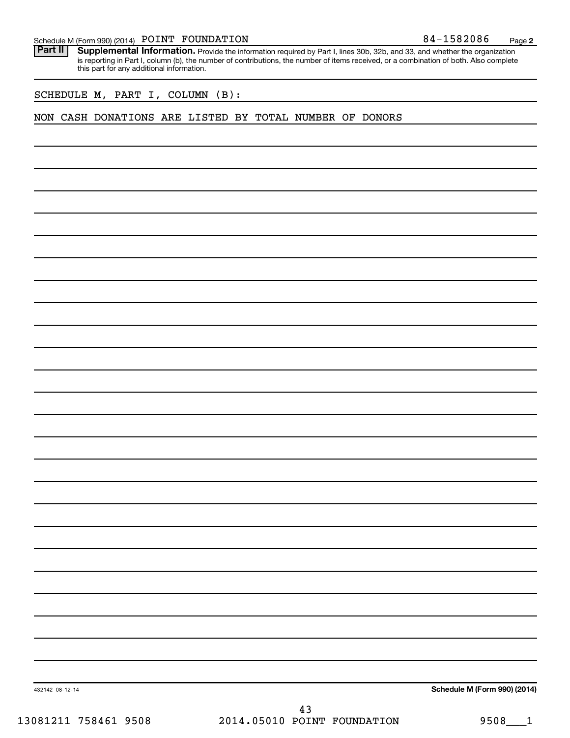| Schedule M (Form 990) (2014) POINT FOUNDATION |  |  | 84-1582086 | Page |  |
|-----------------------------------------------|--|--|------------|------|--|
|-----------------------------------------------|--|--|------------|------|--|

Part II | Supplemental Information. Provide the information required by Part I, lines 30b, 32b, and 33, and whether the organization is reporting in Part I, column (b), the number of contributions, the number of items received, or a combination of both. Also complete this part for any additional information.

SCHEDULE M, PART I, COLUMN (B):

#### NON CASH DONATIONS ARE LISTED BY TOTAL NUMBER OF DONORS

**Schedule M (Form 990) (2014)**

432142 08-12-14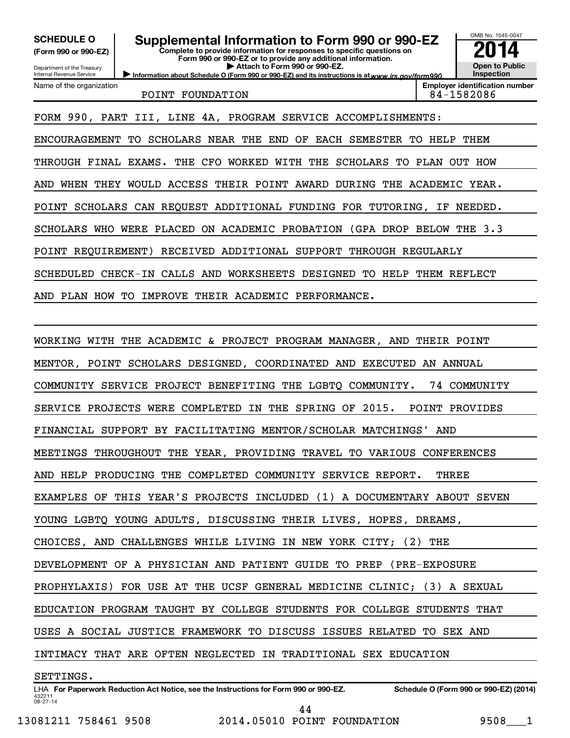**(Form 990 or 990-EZ)**

**Complete to provide information for responses to specific questions on** SCHEDULE O **Supplemental Information to Form 990 or 990-EZ 2014**<br>(Form 990 or 990-EZ) **2014** 

Department of the Treasury Internal Revenue Service Name of the organization **Form 990 or 990-EZ or to provide any additional information. | Attach to Form 990 or 990-EZ.**

Information about Schedule O (Form 990 or 990-EZ) and its instructions is at www.irs.gov/form990.

POINT FOUNDATION 84-1582086

**Inspection Employer identification number**

OMB No. 1545-0047

**Open to Public**

FORM 990, PART III, LINE 4A, PROGRAM SERVICE ACCOMPLISHMENTS: ENCOURAGEMENT TO SCHOLARS NEAR THE END OF EACH SEMESTER TO HELP THEM THROUGH FINAL EXAMS. THE CFO WORKED WITH THE SCHOLARS TO PLAN OUT HOW AND WHEN THEY WOULD ACCESS THEIR POINT AWARD DURING THE ACADEMIC YEAR. POINT SCHOLARS CAN REQUEST ADDITIONAL FUNDING FOR TUTORING, IF NEEDED.

SCHOLARS WHO WERE PLACED ON ACADEMIC PROBATION (GPA DROP BELOW THE 3.3

POINT REQUIREMENT) RECEIVED ADDITIONAL SUPPORT THROUGH REGULARLY

SCHEDULED CHECK-IN CALLS AND WORKSHEETS DESIGNED TO HELP THEM REFLECT

AND PLAN HOW TO IMPROVE THEIR ACADEMIC PERFORMANCE.

WORKING WITH THE ACADEMIC & PROJECT PROGRAM MANAGER, AND THEIR POINT MENTOR, POINT SCHOLARS DESIGNED, COORDINATED AND EXECUTED AN ANNUAL COMMUNITY SERVICE PROJECT BENEFITING THE LGBTQ COMMUNITY. 74 COMMUNITY SERVICE PROJECTS WERE COMPLETED IN THE SPRING OF 2015. POINT PROVIDES FINANCIAL SUPPORT BY FACILITATING MENTOR/SCHOLAR MATCHINGS' AND MEETINGS THROUGHOUT THE YEAR, PROVIDING TRAVEL TO VARIOUS CONFERENCES AND HELP PRODUCING THE COMPLETED COMMUNITY SERVICE REPORT. THREE EXAMPLES OF THIS YEAR'S PROJECTS INCLUDED (1) A DOCUMENTARY ABOUT SEVEN YOUNG LGBTQ YOUNG ADULTS, DISCUSSING THEIR LIVES, HOPES, DREAMS, CHOICES, AND CHALLENGES WHILE LIVING IN NEW YORK CITY; (2) THE DEVELOPMENT OF A PHYSICIAN AND PATIENT GUIDE TO PREP (PRE-EXPOSURE PROPHYLAXIS) FOR USE AT THE UCSF GENERAL MEDICINE CLINIC; (3) A SEXUAL EDUCATION PROGRAM TAUGHT BY COLLEGE STUDENTS FOR COLLEGE STUDENTS THAT USES A SOCIAL JUSTICE FRAMEWORK TO DISCUSS ISSUES RELATED TO SEX AND INTIMACY THAT ARE OFTEN NEGLECTED IN TRADITIONAL SEX EDUCATION

SETTINGS.

432211 08-27-14 LHA For Paperwork Reduction Act Notice, see the Instructions for Form 990 or 990-EZ. Schedule O (Form 990 or 990-EZ) (2014)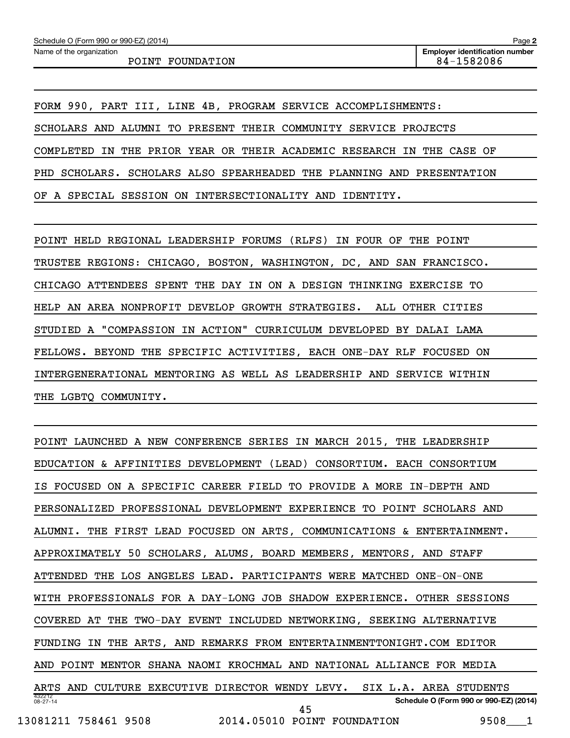Name of the organization

FORM 990, PART III, LINE 4B, PROGRAM SERVICE ACCOMPLISHMENTS: SCHOLARS AND ALUMNI TO PRESENT THEIR COMMUNITY SERVICE PROJECTS COMPLETED IN THE PRIOR YEAR OR THEIR ACADEMIC RESEARCH IN THE CASE OF PHD SCHOLARS. SCHOLARS ALSO SPEARHEADED THE PLANNING AND PRESENTATION OF A SPECIAL SESSION ON INTERSECTIONALITY AND IDENTITY.

POINT HELD REGIONAL LEADERSHIP FORUMS (RLFS) IN FOUR OF THE POINT TRUSTEE REGIONS: CHICAGO, BOSTON, WASHINGTON, DC, AND SAN FRANCISCO. CHICAGO ATTENDEES SPENT THE DAY IN ON A DESIGN THINKING EXERCISE TO HELP AN AREA NONPROFIT DEVELOP GROWTH STRATEGIES. ALL OTHER CITIES STUDIED A "COMPASSION IN ACTION" CURRICULUM DEVELOPED BY DALAI LAMA FELLOWS. BEYOND THE SPECIFIC ACTIVITIES, EACH ONE-DAY RLF FOCUSED ON INTERGENERATIONAL MENTORING AS WELL AS LEADERSHIP AND SERVICE WITHIN THE LGBTQ COMMUNITY.

432212 08-27-14 **Schedule O (Form 990 or 990-EZ) (2014)** POINT LAUNCHED A NEW CONFERENCE SERIES IN MARCH 2015, THE LEADERSHIP EDUCATION & AFFINITIES DEVELOPMENT (LEAD) CONSORTIUM. EACH CONSORTIUM IS FOCUSED ON A SPECIFIC CAREER FIELD TO PROVIDE A MORE IN-DEPTH AND PERSONALIZED PROFESSIONAL DEVELOPMENT EXPERIENCE TO POINT SCHOLARS AND ALUMNI. THE FIRST LEAD FOCUSED ON ARTS, COMMUNICATIONS & ENTERTAINMENT. APPROXIMATELY 50 SCHOLARS, ALUMS, BOARD MEMBERS, MENTORS, AND STAFF ATTENDED THE LOS ANGELES LEAD. PARTICIPANTS WERE MATCHED ONE-ON-ONE WITH PROFESSIONALS FOR A DAY-LONG JOB SHADOW EXPERIENCE. OTHER SESSIONS COVERED AT THE TWO-DAY EVENT INCLUDED NETWORKING, SEEKING ALTERNATIVE FUNDING IN THE ARTS, AND REMARKS FROM ENTERTAINMENTTONIGHT.COM EDITOR AND POINT MENTOR SHANA NAOMI KROCHMAL AND NATIONAL ALLIANCE FOR MEDIA ARTS AND CULTURE EXECUTIVE DIRECTOR WENDY LEVY. SIX L.A. AREA STUDENTS 13081211 758461 9508 2014.05010 POINT FOUNDATION 9508\_\_\_1 45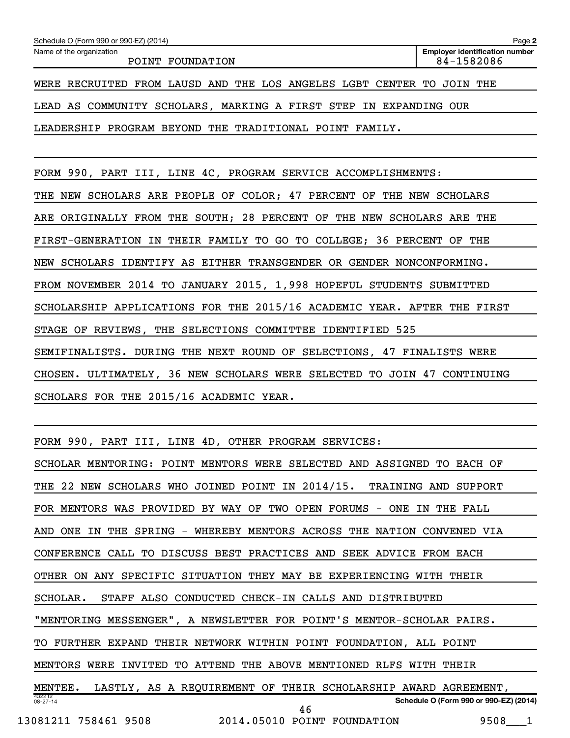| Schedule O (Form 990 or 990-EZ) (2014)                                | Page 2                                              |  |  |
|-----------------------------------------------------------------------|-----------------------------------------------------|--|--|
| Name of the organization<br>POINT FOUNDATION                          | <b>Employer identification number</b><br>84-1582086 |  |  |
| WERE RECRUITED FROM LAUSD AND THE LOS ANGELES LGBT CENTER TO JOIN THE |                                                     |  |  |
| LEAD AS COMMUNITY SCHOLARS, MARKING A FIRST STEP IN EXPANDING OUR     |                                                     |  |  |
| LEADERSHIP PROGRAM BEYOND THE TRADITIONAL POINT FAMILY.               |                                                     |  |  |

FORM 990, PART III, LINE 4C, PROGRAM SERVICE ACCOMPLISHMENTS:

THE NEW SCHOLARS ARE PEOPLE OF COLOR; 47 PERCENT OF THE NEW SCHOLARS ARE ORIGINALLY FROM THE SOUTH; 28 PERCENT OF THE NEW SCHOLARS ARE THE FIRST-GENERATION IN THEIR FAMILY TO GO TO COLLEGE; 36 PERCENT OF THE NEW SCHOLARS IDENTIFY AS EITHER TRANSGENDER OR GENDER NONCONFORMING. FROM NOVEMBER 2014 TO JANUARY 2015, 1,998 HOPEFUL STUDENTS SUBMITTED SCHOLARSHIP APPLICATIONS FOR THE 2015/16 ACADEMIC YEAR. AFTER THE FIRST STAGE OF REVIEWS, THE SELECTIONS COMMITTEE IDENTIFIED 525 SEMIFINALISTS. DURING THE NEXT ROUND OF SELECTIONS, 47 FINALISTS WERE CHOSEN. ULTIMATELY, 36 NEW SCHOLARS WERE SELECTED TO JOIN 47 CONTINUING SCHOLARS FOR THE 2015/16 ACADEMIC YEAR.

|  |  |  |  |  |  |  |  | FORM 990, PART III, LINE 4D, OTHER PROGRAM SERVICES: |  |
|--|--|--|--|--|--|--|--|------------------------------------------------------|--|
|--|--|--|--|--|--|--|--|------------------------------------------------------|--|

| SCHOLAR MENTORING: POINT MENTORS WERE SELECTED AND ASSIGNED TO EACH OF   |
|--------------------------------------------------------------------------|
| THE 22 NEW SCHOLARS WHO JOINED POINT IN 2014/15. TRAINING AND SUPPORT    |
| FOR MENTORS WAS PROVIDED BY WAY OF TWO OPEN FORUMS - ONE IN THE FALL     |
| AND ONE IN THE SPRING - WHEREBY MENTORS ACROSS THE NATION CONVENED VIA   |
| CONFERENCE CALL TO DISCUSS BEST PRACTICES AND SEEK ADVICE FROM EACH      |
| OTHER ON ANY SPECIFIC SITUATION THEY MAY BE EXPERIENCING WITH THEIR      |
| STAFF ALSO CONDUCTED CHECK-IN CALLS AND DISTRIBUTED<br>SCHOLAR.          |
| "MENTORING MESSENGER", A NEWSLETTER FOR POINT'S MENTOR-SCHOLAR PAIRS.    |
| TO FURTHER EXPAND THEIR NETWORK WITHIN POINT FOUNDATION, ALL POINT       |
| MENTORS WERE INVITED TO ATTEND THE ABOVE MENTIONED RLFS WITH THEIR       |
| MENTEE. LASTLY, AS A REQUIREMENT OF THEIR SCHOLARSHIP AWARD AGREEMENT,   |
| 432212<br>Schedule O (Form 990 or 990-EZ) (2014)<br>$08 - 27 - 14$<br>46 |
| 13081211 758461 9508 2014.05010 POINT FOUNDATION<br>9508 1               |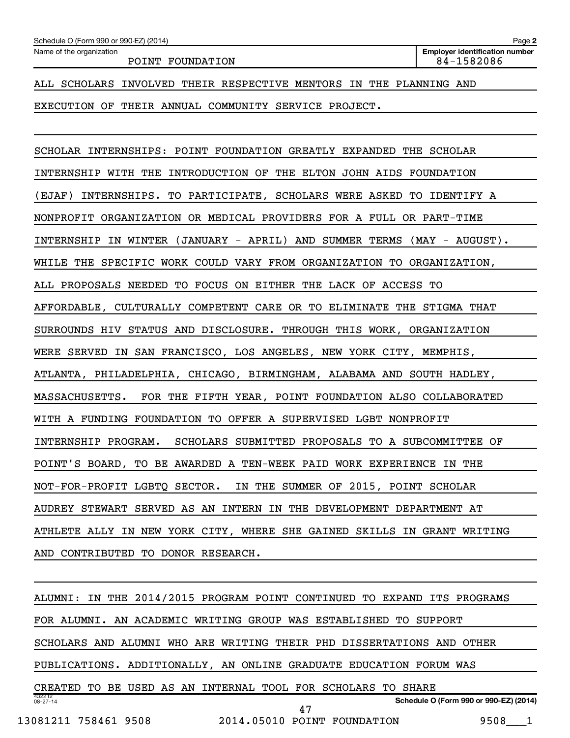### ALL SCHOLARS INVOLVED THEIR RESPECTIVE MENTORS IN THE PLANNING AND

EXECUTION OF THEIR ANNUAL COMMUNITY SERVICE PROJECT.

SCHOLAR INTERNSHIPS: POINT FOUNDATION GREATLY EXPANDED THE SCHOLAR INTERNSHIP WITH THE INTRODUCTION OF THE ELTON JOHN AIDS FOUNDATION (EJAF) INTERNSHIPS. TO PARTICIPATE, SCHOLARS WERE ASKED TO IDENTIFY A NONPROFIT ORGANIZATION OR MEDICAL PROVIDERS FOR A FULL OR PART-TIME INTERNSHIP IN WINTER (JANUARY - APRIL) AND SUMMER TERMS (MAY - AUGUST). WHILE THE SPECIFIC WORK COULD VARY FROM ORGANIZATION TO ORGANIZATION, ALL PROPOSALS NEEDED TO FOCUS ON EITHER THE LACK OF ACCESS TO AFFORDABLE, CULTURALLY COMPETENT CARE OR TO ELIMINATE THE STIGMA THAT SURROUNDS HIV STATUS AND DISCLOSURE. THROUGH THIS WORK, ORGANIZATION WERE SERVED IN SAN FRANCISCO, LOS ANGELES, NEW YORK CITY, MEMPHIS, ATLANTA, PHILADELPHIA, CHICAGO, BIRMINGHAM, ALABAMA AND SOUTH HADLEY, MASSACHUSETTS. FOR THE FIFTH YEAR, POINT FOUNDATION ALSO COLLABORATED WITH A FUNDING FOUNDATION TO OFFER A SUPERVISED LGBT NONPROFIT INTERNSHIP PROGRAM. SCHOLARS SUBMITTED PROPOSALS TO A SUBCOMMITTEE OF POINT'S BOARD, TO BE AWARDED A TEN-WEEK PAID WORK EXPERIENCE IN THE NOT-FOR-PROFIT LGBTQ SECTOR. IN THE SUMMER OF 2015, POINT SCHOLAR AUDREY STEWART SERVED AS AN INTERN IN THE DEVELOPMENT DEPARTMENT AT ATHLETE ALLY IN NEW YORK CITY, WHERE SHE GAINED SKILLS IN GRANT WRITING AND CONTRIBUTED TO DONOR RESEARCH.

432212 08-27-14 **Schedule O (Form 990 or 990-EZ) (2014)** ALUMNI: IN THE 2014/2015 PROGRAM POINT CONTINUED TO EXPAND ITS PROGRAMS FOR ALUMNI. AN ACADEMIC WRITING GROUP WAS ESTABLISHED TO SUPPORT SCHOLARS AND ALUMNI WHO ARE WRITING THEIR PHD DISSERTATIONS AND OTHER PUBLICATIONS. ADDITIONALLY, AN ONLINE GRADUATE EDUCATION FORUM WAS CREATED TO BE USED AS AN INTERNAL TOOL FOR SCHOLARS TO SHARE 13081211 758461 9508 2014.05010 POINT FOUNDATION 9508\_\_\_1 47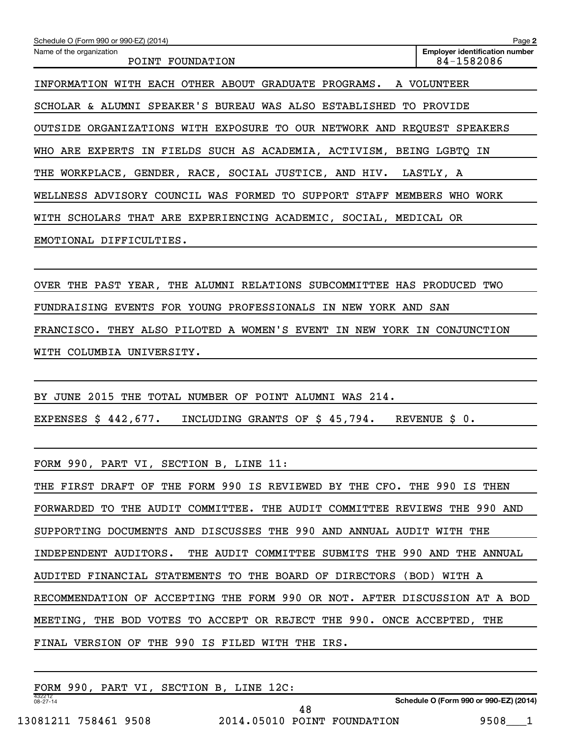| Schedule O (Form 990 or 990-EZ) (2014)                                  | Page 2                                              |
|-------------------------------------------------------------------------|-----------------------------------------------------|
| Name of the organization<br>POINT FOUNDATION                            | <b>Employer identification number</b><br>84-1582086 |
| INFORMATION WITH EACH OTHER ABOUT GRADUATE PROGRAMS. A VOLUNTEER        |                                                     |
| SCHOLAR & ALUMNI SPEAKER'S BUREAU WAS ALSO ESTABLISHED TO PROVIDE       |                                                     |
| OUTSIDE ORGANIZATIONS WITH EXPOSURE TO OUR NETWORK AND REQUEST SPEAKERS |                                                     |
| WHO ARE EXPERTS IN FIELDS SUCH AS ACADEMIA, ACTIVISM, BEING LGBTQ IN    |                                                     |
| THE WORKPLACE, GENDER, RACE, SOCIAL JUSTICE, AND HIV. LASTLY, A         |                                                     |
| WELLNESS ADVISORY COUNCIL WAS FORMED TO<br><b>SUPPORT</b><br>STAFF      | MEMBERS<br>WHO<br>WORK                              |
| WITH SCHOLARS THAT ARE EXPERIENCING ACADEMIC, SOCIAL, MEDICAL OR        |                                                     |
| EMOTIONAL DIFFICULTIES.                                                 |                                                     |
|                                                                         |                                                     |

OVER THE PAST YEAR, THE ALUMNI RELATIONS SUBCOMMITTEE HAS PRODUCED TWO FUNDRAISING EVENTS FOR YOUNG PROFESSIONALS IN NEW YORK AND SAN FRANCISCO. THEY ALSO PILOTED A WOMEN'S EVENT IN NEW YORK IN CONJUNCTION WITH COLUMBIA UNIVERSITY.

BY JUNE 2015 THE TOTAL NUMBER OF POINT ALUMNI WAS 214. EXPENSES \$ 442,677. INCLUDING GRANTS OF \$ 45,794. REVENUE \$ 0.

FORM 990, PART VI, SECTION B, LINE 11:

THE FIRST DRAFT OF THE FORM 990 IS REVIEWED BY THE CFO. THE 990 IS THEN FORWARDED TO THE AUDIT COMMITTEE. THE AUDIT COMMITTEE REVIEWS THE 990 AND SUPPORTING DOCUMENTS AND DISCUSSES THE 990 AND ANNUAL AUDIT WITH THE INDEPENDENT AUDITORS. THE AUDIT COMMITTEE SUBMITS THE 990 AND THE ANNUAL AUDITED FINANCIAL STATEMENTS TO THE BOARD OF DIRECTORS (BOD) WITH A RECOMMENDATION OF ACCEPTING THE FORM 990 OR NOT. AFTER DISCUSSION AT A BOD MEETING, THE BOD VOTES TO ACCEPT OR REJECT THE 990. ONCE ACCEPTED, THE FINAL VERSION OF THE 990 IS FILED WITH THE IRS.

| FORM 990,                |  | PART VI, SECTION B, LINE 12C: |  |  |                             |                                        |      |  |
|--------------------------|--|-------------------------------|--|--|-----------------------------|----------------------------------------|------|--|
| 432212<br>$08 - 27 - 14$ |  |                               |  |  |                             | Schedule O (Form 990 or 990-EZ) (2014) |      |  |
|                          |  |                               |  |  |                             |                                        |      |  |
| 13081211 758461 9508     |  |                               |  |  | 2014.05010 POINT FOUNDATION |                                        | 9508 |  |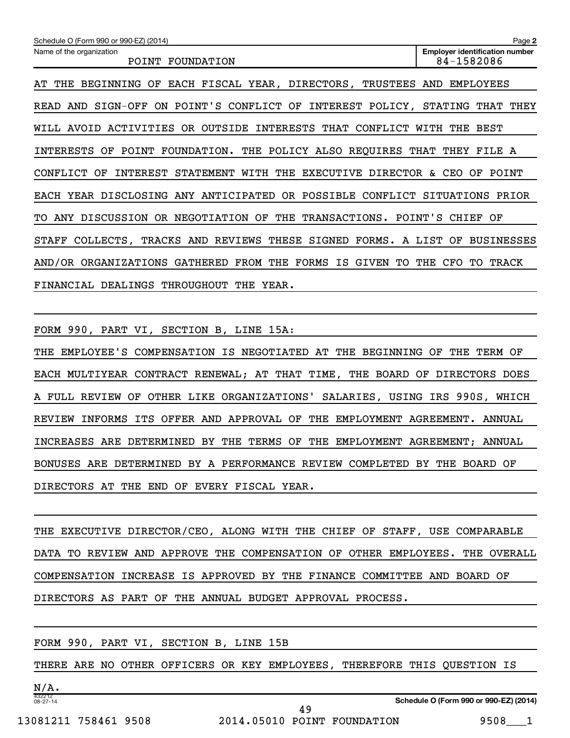| Schedule O (Form 990 or 990-EZ) (2014)                                           | Page 2                                              |
|----------------------------------------------------------------------------------|-----------------------------------------------------|
| Name of the organization<br>POINT FOUNDATION                                     | <b>Employer identification number</b><br>84-1582086 |
| EACH FISCAL YEAR, DIRECTORS, TRUSTEES AND<br>THE BEGINNING OF<br>AT              | EMPLOYEES                                           |
| READ AND SIGN-OFF ON POINT'S CONFLICT OF INTEREST POLICY,                        | STATING<br>THAT THEY                                |
| WILL AVOID ACTIVITIES OR OUTSIDE INTERESTS THAT CONFLICT WITH THE BEST           |                                                     |
| POINT FOUNDATION. THE POLICY ALSO REQUIRES THAT<br>INTERESTS<br>OF               | THEY FILE A                                         |
| INTEREST STATEMENT WITH<br>THE<br>DIRECTOR<br>CONFLICT<br>OF<br><b>EXECUTIVE</b> | $\mathbf{x}$<br>CEO<br>POINT<br>OF                  |
| EACH YEAR DISCLOSING ANY ANTICIPATED OR POSSIBLE CONFLICT                        | SITUATIONS<br>PRIOR                                 |
| ANY DISCUSSION OR NEGOTIATION OF THE TRANSACTIONS.<br>TO.                        | POINT'S CHIEF<br>OF                                 |
| COLLECTS, TRACKS AND REVIEWS THESE SIGNED<br>FORMS.<br>STAFF                     | A LIST<br>OF<br><b>BUSINESSES</b>                   |
| AND/OR ORGANIZATIONS GATHERED FROM THE FORMS IS<br>GIVEN<br>TО                   | THE<br>CFO<br>TRACK<br>TO.                          |
| FINANCIAL DEALINGS THROUGHOUT THE YEAR.                                          |                                                     |

FORM 990, PART VI, SECTION B, LINE 15A:

THE EMPLOYEE'S COMPENSATION IS NEGOTIATED AT THE BEGINNING OF THE TERM OF EACH MULTIYEAR CONTRACT RENEWAL; AT THAT TIME, THE BOARD OF DIRECTORS DOES A FULL REVIEW OF OTHER LIKE ORGANIZATIONS' SALARIES, USING IRS 990S, WHICH REVIEW INFORMS ITS OFFER AND APPROVAL OF THE EMPLOYMENT AGREEMENT. ANNUAL INCREASES ARE DETERMINED BY THE TERMS OF THE EMPLOYMENT AGREEMENT; ANNUAL BONUSES ARE DETERMINED BY A PERFORMANCE REVIEW COMPLETED BY THE BOARD OF DIRECTORS AT THE END OF EVERY FISCAL YEAR.

THE EXECUTIVE DIRECTOR/CEO, ALONG WITH THE CHIEF OF STAFF, USE COMPARABLE DATA TO REVIEW AND APPROVE THE COMPENSATION OF OTHER EMPLOYEES. THE OVERALL COMPENSATION INCREASE IS APPROVED BY THE FINANCE COMMITTEE AND BOARD OF DIRECTORS AS PART OF THE ANNUAL BUDGET APPROVAL PROCESS.

|                          |  | FORM 990, PART VI, SECTION B, LINE 15B |  |                                                                          |  |                                        |  |
|--------------------------|--|----------------------------------------|--|--------------------------------------------------------------------------|--|----------------------------------------|--|
|                          |  |                                        |  | THERE ARE NO OTHER OFFICERS OR KEY EMPLOYEES, THEREFORE THIS QUESTION IS |  |                                        |  |
| N/A.                     |  |                                        |  |                                                                          |  |                                        |  |
| 432212<br>$08 - 27 - 14$ |  |                                        |  |                                                                          |  | Schedule O (Form 990 or 990-EZ) (2014) |  |